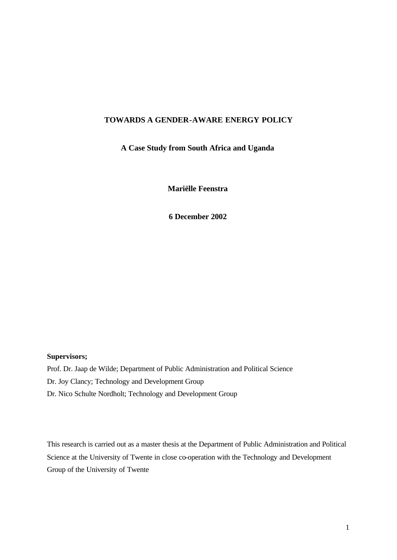#### **TOWARDS A GENDER-AWARE ENERGY POLICY**

### **A Case Study from South Africa and Uganda**

**Mariëlle Feenstra**

**6 December 2002**

#### **Supervisors;**

Prof. Dr. Jaap de Wilde; Department of Public Administration and Political Science Dr. Joy Clancy; Technology and Development Group Dr. Nico Schulte Nordholt; Technology and Development Group

This research is carried out as a master thesis at the Department of Public Administration and Political Science at the University of Twente in close co-operation with the Technology and Development Group of the University of Twente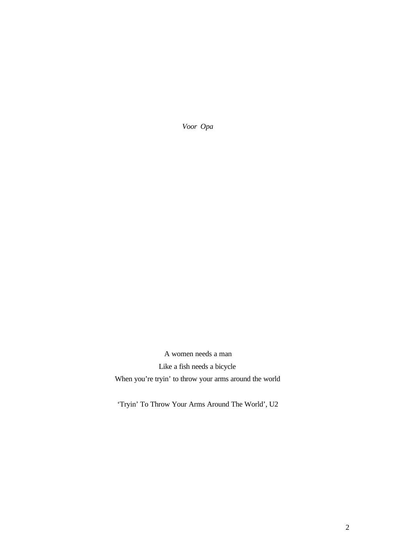*Voor Opa*

A women needs a man Like a fish needs a bicycle When you're tryin' to throw your arms around the world

'Tryin' To Throw Your Arms Around The World', U2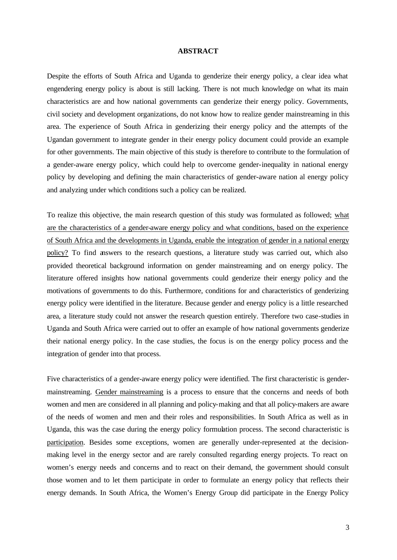#### **ABSTRACT**

Despite the efforts of South Africa and Uganda to genderize their energy policy, a clear idea what engendering energy policy is about is still lacking. There is not much knowledge on what its main characteristics are and how national governments can genderize their energy policy. Governments, civil society and development organizations, do not know how to realize gender mainstreaming in this area. The experience of South Africa in genderizing their energy policy and the attempts of the Ugandan government to integrate gender in their energy policy document could provide an example for other governments. The main objective of this study is therefore to contribute to the formulation of a gender-aware energy policy, which could help to overcome gender-inequality in national energy policy by developing and defining the main characteristics of gender-aware nation al energy policy and analyzing under which conditions such a policy can be realized.

To realize this objective, the main research question of this study was formulated as followed; what are the characteristics of a gender-aware energy policy and what conditions, based on the experience of South Africa and the developments in Uganda, enable the integration of gender in a national energy policy? To find answers to the research questions, a literature study was carried out, which also provided theoretical background information on gender mainstreaming and on energy policy. The literature offered insights how national governments could genderize their energy policy and the motivations of governments to do this. Furthermore, conditions for and characteristics of genderizing energy policy were identified in the literature. Because gender and energy policy is a little researched area, a literature study could not answer the research question entirely. Therefore two case-studies in Uganda and South Africa were carried out to offer an example of how national governments genderize their national energy policy. In the case studies, the focus is on the energy policy process and the integration of gender into that process.

Five characteristics of a gender-aware energy policy were identified. The first characteristic is gendermainstreaming. Gender mainstreaming is a process to ensure that the concerns and needs of both women and men are considered in all planning and policy-making and that all policy-makers are aware of the needs of women and men and their roles and responsibilities. In South Africa as well as in Uganda, this was the case during the energy policy formulation process. The second characteristic is participation. Besides some exceptions, women are generally under-represented at the decisionmaking level in the energy sector and are rarely consulted regarding energy projects. To react on women's energy needs and concerns and to react on their demand, the government should consult those women and to let them participate in order to formulate an energy policy that reflects their energy demands. In South Africa, the Women's Energy Group did participate in the Energy Policy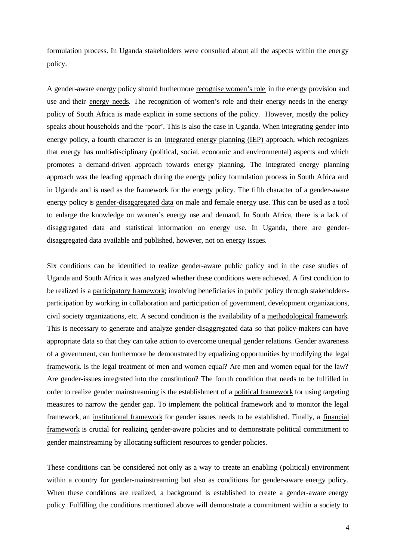formulation process. In Uganda stakeholders were consulted about all the aspects within the energy policy.

A gender-aware energy policy should furthermore recognise women's role in the energy provision and use and their energy needs. The recognition of women's role and their energy needs in the energy policy of South Africa is made explicit in some sections of the policy. However, mostly the policy speaks about households and the 'poor'. This is also the case in Uganda. When integrating gender into energy policy, a fourth character is an integrated energy planning (IEP) approach, which recognizes that energy has multi-disciplinary (political, social, economic and environmental) aspects and which promotes a demand-driven approach towards energy planning. The integrated energy planning approach was the leading approach during the energy policy formulation process in South Africa and in Uganda and is used as the framework for the energy policy. The fifth character of a gender-aware energy policy is gender-disaggregated data on male and female energy use. This can be used as a tool to enlarge the knowledge on women's energy use and demand. In South Africa, there is a lack of disaggregated data and statistical information on energy use. In Uganda, there are genderdisaggregated data available and published, however, not on energy issues.

Six conditions can be identified to realize gender-aware public policy and in the case studies of Uganda and South Africa it was analyzed whether these conditions were achieved. A first condition to be realized is a participatory framework; involving beneficiaries in public policy through stakeholdersparticipation by working in collaboration and participation of government, development organizations, civil society organizations, etc. A second condition is the availability of a methodological framework. This is necessary to generate and analyze gender-disaggregated data so that policy-makers can have appropriate data so that they can take action to overcome unequal gender relations. Gender awareness of a government, can furthermore be demonstrated by equalizing opportunities by modifying the legal framework. Is the legal treatment of men and women equal? Are men and women equal for the law? Are gender-issues integrated into the constitution? The fourth condition that needs to be fulfilled in order to realize gender mainstreaming is the establishment of a political framework for using targeting measures to narrow the gender gap. To implement the political framework and to monitor the legal framework, an institutional framework for gender issues needs to be established. Finally, a financial framework is crucial for realizing gender-aware policies and to demonstrate political commitment to gender mainstreaming by allocating sufficient resources to gender policies.

These conditions can be considered not only as a way to create an enabling (political) environment within a country for gender-mainstreaming but also as conditions for gender-aware energy policy. When these conditions are realized, a background is established to create a gender-aware energy policy. Fulfilling the conditions mentioned above will demonstrate a commitment within a society to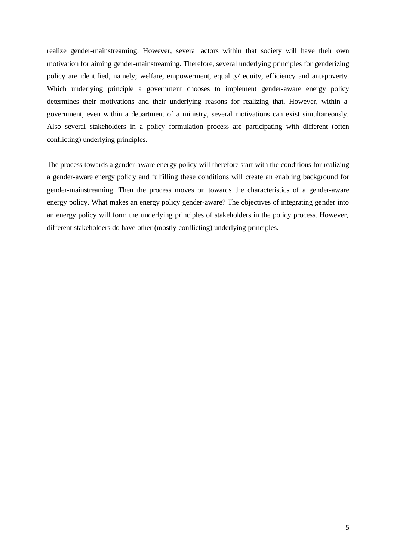realize gender-mainstreaming. However, several actors within that society will have their own motivation for aiming gender-mainstreaming. Therefore, several underlying principles for genderizing policy are identified, namely; welfare, empowerment, equality/ equity, efficiency and anti-poverty. Which underlying principle a government chooses to implement gender-aware energy policy determines their motivations and their underlying reasons for realizing that. However, within a government, even within a department of a ministry, several motivations can exist simultaneously. Also several stakeholders in a policy formulation process are participating with different (often conflicting) underlying principles.

The process towards a gender-aware energy policy will therefore start with the conditions for realizing a gender-aware energy policy and fulfilling these conditions will create an enabling background for gender-mainstreaming. Then the process moves on towards the characteristics of a gender-aware energy policy. What makes an energy policy gender-aware? The objectives of integrating gender into an energy policy will form the underlying principles of stakeholders in the policy process. However, different stakeholders do have other (mostly conflicting) underlying principles.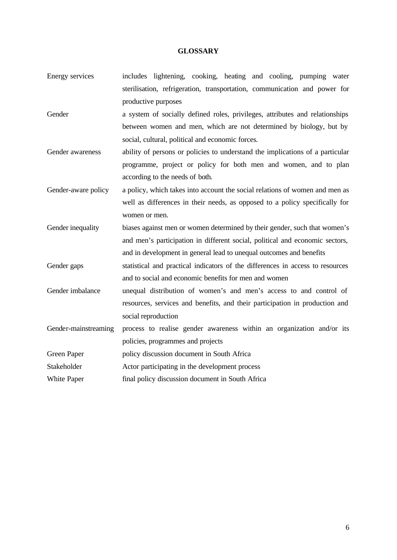#### **GLOSSARY**

- Energy services includes lightening, cooking, heating and cooling, pumping water sterilisation, refrigeration, transportation, communication and power for productive purposes
- Gender a system of socially defined roles, privileges, attributes and relationships between women and men, which are not determined by biology, but by social, cultural, political and economic forces*.*
- Gender awareness ability of persons or policies to understand the implications of a particular programme, project or policy for both men and women, and to plan according to the needs of both.
- Gender-aware policy a policy, which takes into account the social relations of women and men as well as differences in their needs, as opposed to a policy specifically for women or men.
- Gender inequality biases against men or women determined by their gender, such that women's and men's participation in different social, political and economic sectors, and in development in general lead to unequal outcomes and benefits
- Gender gaps statistical and practical indicators of the differences in access to resources and to social and economic benefits for men and women
- Gender imbalance unequal distribution of women's and men's access to and control of resources, services and benefits, and their participation in production and social reproduction
- Gender-mainstreaming process to realise gender awareness within an organization and/or its policies, programmes and projects
- Green Paper policy discussion document in South Africa
- Stakeholder Actor participating in the development process
- White Paper final policy discussion document in South Africa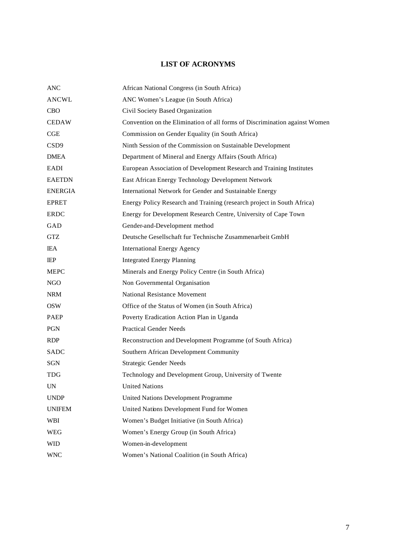# **LIST OF ACRONYMS**

| <b>ANC</b>       | African National Congress (in South Africa)                                |  |
|------------------|----------------------------------------------------------------------------|--|
| ANCWL            | ANC Women's League (in South Africa)                                       |  |
| <b>CBO</b>       | Civil Society Based Organization                                           |  |
| <b>CEDAW</b>     | Convention on the Elimination of all forms of Discrimination against Women |  |
| CGE              | Commission on Gender Equality (in South Africa)                            |  |
| CSD <sub>9</sub> | Ninth Session of the Commission on Sustainable Development                 |  |
| <b>DMEA</b>      | Department of Mineral and Energy Affairs (South Africa)                    |  |
| EADI             | European Association of Development Research and Training Institutes       |  |
| <b>EAETDN</b>    | East African Energy Technology Development Network                         |  |
| <b>ENERGIA</b>   | International Network for Gender and Sustainable Energy                    |  |
| <b>EPRET</b>     | Energy Policy Research and Training (research project in South Africa)     |  |
| <b>ERDC</b>      | Energy for Development Research Centre, University of Cape Town            |  |
| GAD              | Gender-and-Development method                                              |  |
| <b>GTZ</b>       | Deutsche Gesellschaft fur Technische Zusammenarbeit GmbH                   |  |
| <b>IEA</b>       | <b>International Energy Agency</b>                                         |  |
| <b>IEP</b>       | <b>Integrated Energy Planning</b>                                          |  |
| <b>MEPC</b>      | Minerals and Energy Policy Centre (in South Africa)                        |  |
| <b>NGO</b>       | Non Governmental Organisation                                              |  |
| <b>NRM</b>       | <b>National Resistance Movement</b>                                        |  |
| <b>OSW</b>       | Office of the Status of Women (in South Africa)                            |  |
| PAEP             | Poverty Eradication Action Plan in Uganda                                  |  |
| <b>PGN</b>       | <b>Practical Gender Needs</b>                                              |  |
| <b>RDP</b>       | Reconstruction and Development Programme (of South Africa)                 |  |
| SADC             | Southern African Development Community                                     |  |
| SGN              | <b>Strategic Gender Needs</b>                                              |  |
| <b>TDG</b>       | Technology and Development Group, University of Twente                     |  |
| UN               | <b>United Nations</b>                                                      |  |
| <b>UNDP</b>      | <b>United Nations Development Programme</b>                                |  |
| <b>UNIFEM</b>    | United Nations Development Fund for Women                                  |  |
| WBI              | Women's Budget Initiative (in South Africa)                                |  |
| WEG              | Women's Energy Group (in South Africa)                                     |  |
| <b>WID</b>       | Women-in-development                                                       |  |
| <b>WNC</b>       | Women's National Coalition (in South Africa)                               |  |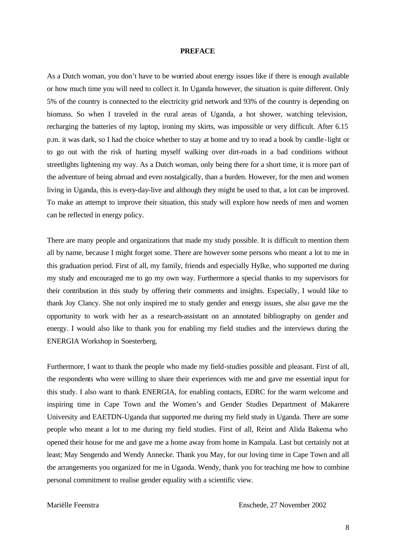#### **PREFACE**

As a Dutch woman, you don't have to be worried about energy issues like if there is enough available or how much time you will need to collect it. In Uganda however, the situation is quite different. Only 5% of the country is connected to the electricity grid network and 93% of the country is depending on biomass. So when I traveled in the rural areas of Uganda, a hot shower, watching television, recharging the batteries of my laptop, ironing my skirts, was impossible or very difficult. After 6.15 p.m. it was dark, so I had the choice whether to stay at home and try to read a book by candle -light or to go out with the risk of hurting myself walking over dirt-roads in a bad conditions without streetlights lightening my way. As a Dutch woman, only being there for a short time, it is more part of the adventure of being abroad and even nostalgically, than a burden. However, for the men and women living in Uganda, this is every-day-live and although they might be used to that, a lot can be improved. To make an attempt to improve their situation, this study will explore how needs of men and women can be reflected in energy policy.

There are many people and organizations that made my study possible. It is difficult to mention them all by name, because I might forget some. There are however some persons who meant a lot to me in this graduation period. First of all, my family, friends and especially Hylke, who supported me during my study and encouraged me to go my own way. Furthermore a special thanks to my supervisors for their contribution in this study by offering their comments and insights. Especially, I would like to thank Joy Clancy. She not only inspired me to study gender and energy issues, she also gave me the opportunity to work with her as a research-assistant on an annotated bibliography on gender and energy. I would also like to thank you for enabling my field studies and the interviews during the ENERGIA Workshop in Soesterberg.

Furthermore, I want to thank the people who made my field-studies possible and pleasant. First of all, the respondents who were willing to share their experiences with me and gave me essential input for this study. I also want to thank ENERGIA, for enabling contacts, EDRC for the warm welcome and inspiring time in Cape Town and the Women's and Gender Studies Department of Makarere University and EAETDN-Uganda that supported me during my field study in Uganda. There are some people who meant a lot to me during my field studies. First of all, Reint and Alida Bakema who opened their house for me and gave me a home away from home in Kampala. Last but certainly not at least; May Sengendo and Wendy Annecke. Thank you May, for our loving time in Cape Town and all the arrangements you organized for me in Uganda. Wendy, thank you for teaching me how to combine personal commitment to realise gender equality with a scientific view.

Mariëlle Feenstra Enschede, 27 November 2002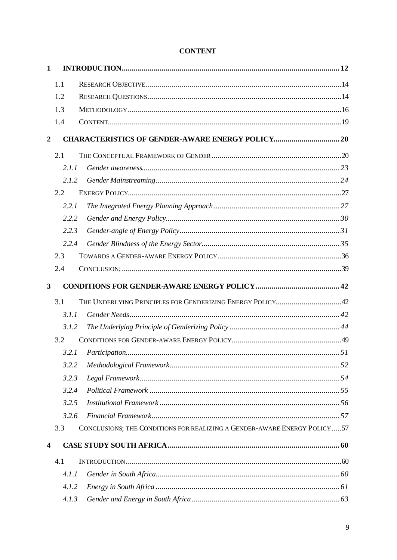| 1              |       |                                                                          |
|----------------|-------|--------------------------------------------------------------------------|
|                | 1.1   |                                                                          |
|                | 1.2   |                                                                          |
|                | 1.3   |                                                                          |
|                | 1.4   |                                                                          |
| $\overline{2}$ |       | <b>CHARACTERISTICS OF GENDER-AWARE ENERGY POLICY 20</b>                  |
|                | 2.1   |                                                                          |
|                | 2.1.1 |                                                                          |
|                | 2.1.2 |                                                                          |
|                | 2.2   |                                                                          |
|                | 2.2.1 |                                                                          |
|                | 2.2.2 |                                                                          |
|                | 2.2.3 |                                                                          |
|                | 2.2.4 |                                                                          |
|                | 2.3   |                                                                          |
|                | 2.4   |                                                                          |
| 3              |       |                                                                          |
|                | 3.1   |                                                                          |
|                | 3.1.1 |                                                                          |
|                | 3.1.2 |                                                                          |
|                | 3.2   |                                                                          |
|                | 3.2.1 |                                                                          |
|                | 3.2.2 |                                                                          |
|                | 3.2.3 |                                                                          |
|                | 3.2.4 |                                                                          |
|                | 3.2.5 |                                                                          |
|                | 3.2.6 |                                                                          |
|                | 3.3   | CONCLUSIONS; THE CONDITIONS FOR REALIZING A GENDER-AWARE ENERGY POLICY57 |
| 4              |       |                                                                          |
|                | 4.1   |                                                                          |
|                | 4.1.1 |                                                                          |
|                | 4.1.2 |                                                                          |
|                | 4.1.3 |                                                                          |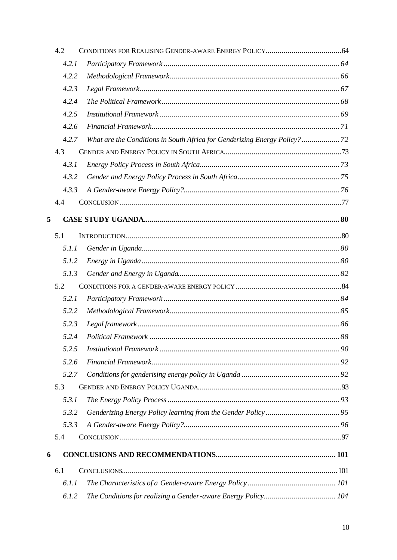|   | 4.2   |  |
|---|-------|--|
|   | 4.2.1 |  |
|   | 4.2.2 |  |
|   | 4.2.3 |  |
|   | 4.2.4 |  |
|   | 4.2.5 |  |
|   | 4.2.6 |  |
|   | 4.2.7 |  |
|   | 4.3   |  |
|   | 4.3.1 |  |
|   | 4.3.2 |  |
|   | 4.3.3 |  |
|   | 4.4   |  |
| 5 |       |  |
|   | 5.1   |  |
|   | 5.1.1 |  |
|   | 5.1.2 |  |
|   | 5.1.3 |  |
|   | 5.2   |  |
|   | 5.2.1 |  |
|   | 5.2.2 |  |
|   | 5.2.3 |  |
|   | 5.2.4 |  |
|   | 5.2.5 |  |
|   | 5.2.6 |  |
|   | 5.2.7 |  |
|   | 5.3   |  |
|   | 5.3.1 |  |
|   | 5.3.2 |  |
|   | 5.3.3 |  |
|   | 5.4   |  |
| 6 |       |  |
|   | 6.1   |  |
|   | 6.1.1 |  |
|   | 6.1.2 |  |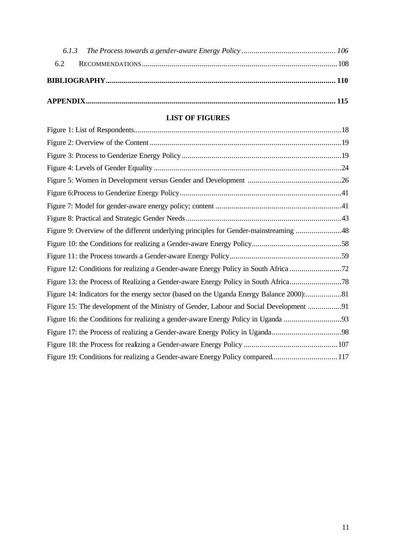# **APPENDIX............................................................................................................................. 115**

# **LIST OF FIGURES**

| Figure 9: Overview of the different underlying principles for Gender-mainstreaming 48    |  |
|------------------------------------------------------------------------------------------|--|
|                                                                                          |  |
|                                                                                          |  |
| Figure 12: Conditions for realizing a Gender-aware Energy Policy in South Africa 72      |  |
| Figure 13: the Process of Realizing a Gender-aware Energy Policy in South Africa78       |  |
| Figure 14: Indicators for the energy sector (based on the Uganda Energy Balance 2000):81 |  |
| Figure 15: The development of the Ministry of Gender, Labour and Social Development 91   |  |
| Figure 16: the Conditions for realizing a gender-aware Energy Policy in Uganda 93        |  |
|                                                                                          |  |
|                                                                                          |  |
| Figure 19: Conditions for realizing a Gender-aware Energy Policy compared117             |  |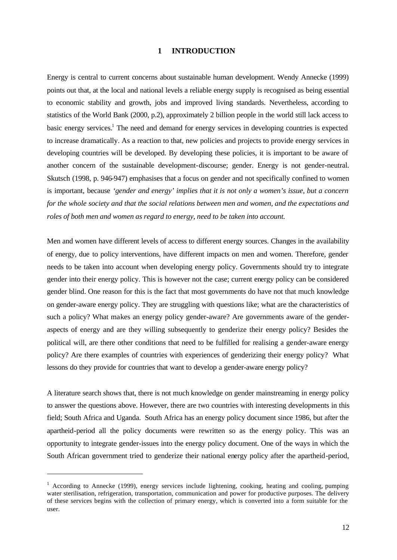#### **1 INTRODUCTION**

Energy is central to current concerns about sustainable human development. Wendy Annecke (1999) points out that, at the local and national levels a reliable energy supply is recognised as being essential to economic stability and growth, jobs and improved living standards. Nevertheless, according to statistics of the World Bank (2000, p.2), approximately 2 billion people in the world still lack access to basic energy services.<sup>1</sup> The need and demand for energy services in developing countries is expected to increase dramatically. As a reaction to that, new policies and projects to provide energy services in developing countries will be developed. By developing these policies, it is important to be aware of another concern of the sustainable development-discourse; gender. Energy is not gender-neutral. Skutsch (1998, p. 946-947) emphasises that a focus on gender and not specifically confined to women is important, because *'gender and energy' implies that it is not only a women's issue, but a concern for the whole society and that the social relations between men and women, and the expectations and roles of both men and women as regard to energy, need to be taken into account.*

Men and women have different levels of access to different energy sources. Changes in the availability of energy, due to policy interventions, have different impacts on men and women. Therefore, gender needs to be taken into account when developing energy policy. Governments should try to integrate gender into their energy policy. This is however not the case; current energy policy can be considered gender blind. One reason for this is the fact that most governments do have not that much knowledge on gender-aware energy policy. They are struggling with questions like; what are the characteristics of such a policy? What makes an energy policy gender-aware? Are governments aware of the genderaspects of energy and are they willing subsequently to genderize their energy policy? Besides the political will, are there other conditions that need to be fulfilled for realising a gender-aware energy policy? Are there examples of countries with experiences of genderizing their energy policy? What lessons do they provide for countries that want to develop a gender-aware energy policy?

A literature search shows that, there is not much knowledge on gender mainstreaming in energy policy to answer the questions above. However, there are two countries with interesting developments in this field; South Africa and Uganda. South Africa has an energy policy document since 1986, but after the apartheid-period all the policy documents were rewritten so as the energy policy. This was an opportunity to integrate gender-issues into the energy policy document. One of the ways in which the South African government tried to genderize their national energy policy after the apartheid-period,

<sup>&</sup>lt;sup>1</sup> According to Annecke (1999), energy services include lightening, cooking, heating and cooling, pumping water sterilisation, refrigeration, transportation, communication and power for productive purposes. The delivery of these services begins with the collection of primary energy, which is converted into a form suitable for the user.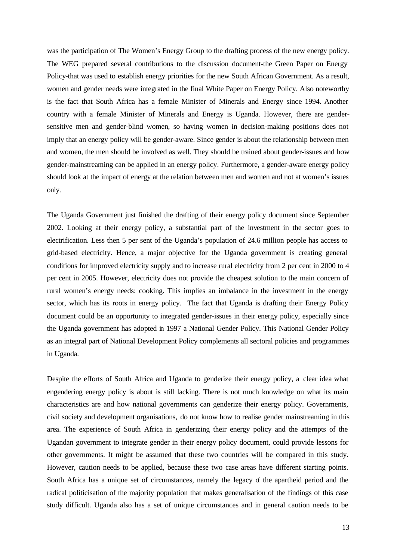was the participation of The Women's Energy Group to the drafting process of the new energy policy. The WEG prepared several contributions to the discussion document-the Green Paper on Energy Policy-that was used to establish energy priorities for the new South African Government. As a result, women and gender needs were integrated in the final White Paper on Energy Policy. Also noteworthy is the fact that South Africa has a female Minister of Minerals and Energy since 1994. Another country with a female Minister of Minerals and Energy is Uganda. However, there are gendersensitive men and gender-blind women, so having women in decision-making positions does not imply that an energy policy will be gender-aware. Since gender is about the relationship between men and women, the men should be involved as well. They should be trained about gender-issues and how gender-mainstreaming can be applied in an energy policy. Furthermore, a gender-aware energy policy should look at the impact of energy at the relation between men and women and not at women's issues only.

The Uganda Government just finished the drafting of their energy policy document since September 2002. Looking at their energy policy, a substantial part of the investment in the sector goes to electrification. Less then 5 per sent of the Uganda's population of 24.6 million people has access to grid-based electricity. Hence, a major objective for the Uganda government is creating general conditions for improved electricity supply and to increase rural electricity from 2 per cent in 2000 to 4 per cent in 2005. However, electricity does not provide the cheapest solution to the main concern of rural women's energy needs: cooking. This implies an imbalance in the investment in the energy sector, which has its roots in energy policy. The fact that Uganda is drafting their Energy Policy document could be an opportunity to integrated gender-issues in their energy policy, especially since the Uganda government has adopted in 1997 a National Gender Policy. This National Gender Policy as an integral part of National Development Policy complements all sectoral policies and programmes in Uganda.

Despite the efforts of South Africa and Uganda to genderize their energy policy, a clear idea what engendering energy policy is about is still lacking. There is not much knowledge on what its main characteristics are and how national governments can genderize their energy policy. Governments, civil society and development organisations, do not know how to realise gender mainstreaming in this area. The experience of South Africa in genderizing their energy policy and the attempts of the Ugandan government to integrate gender in their energy policy document, could provide lessons for other governments. It might be assumed that these two countries will be compared in this study. However, caution needs to be applied, because these two case areas have different starting points. South Africa has a unique set of circumstances, namely the legacy of the apartheid period and the radical politicisation of the majority population that makes generalisation of the findings of this case study difficult. Uganda also has a set of unique circumstances and in general caution needs to be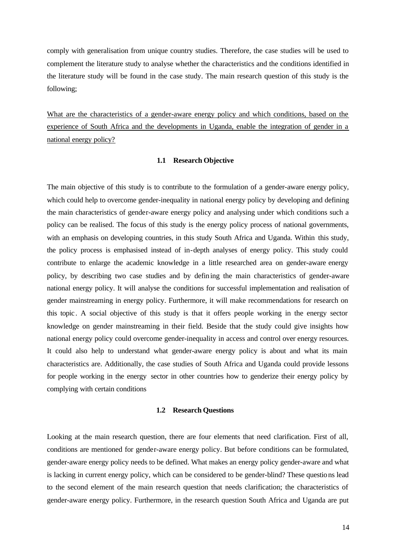comply with generalisation from unique country studies. Therefore, the case studies will be used to complement the literature study to analyse whether the characteristics and the conditions identified in the literature study will be found in the case study. The main research question of this study is the following;

What are the characteristics of a gender-aware energy policy and which conditions, based on the experience of South Africa and the developments in Uganda, enable the integration of gender in a national energy policy?

#### **1.1 Research Objective**

The main objective of this study is to contribute to the formulation of a gender-aware energy policy, which could help to overcome gender-inequality in national energy policy by developing and defining the main characteristics of gender-aware energy policy and analysing under which conditions such a policy can be realised. The focus of this study is the energy policy process of national governments, with an emphasis on developing countries, in this study South Africa and Uganda. Within this study, the policy process is emphasised instead of in-depth analyses of energy policy. This study could contribute to enlarge the academic knowledge in a little researched area on gender-aware energy policy, by describing two case studies and by defining the main characteristics of gender-aware national energy policy. It will analyse the conditions for successful implementation and realisation of gender mainstreaming in energy policy. Furthermore, it will make recommendations for research on this topic. A social objective of this study is that it offers people working in the energy sector knowledge on gender mainstreaming in their field. Beside that the study could give insights how national energy policy could overcome gender-inequality in access and control over energy resources. It could also help to understand what gender-aware energy policy is about and what its main characteristics are. Additionally, the case studies of South Africa and Uganda could provide lessons for people working in the energy sector in other countries how to genderize their energy policy by complying with certain conditions

#### **1.2 Research Questions**

Looking at the main research question, there are four elements that need clarification. First of all, conditions are mentioned for gender-aware energy policy. But before conditions can be formulated, gender-aware energy policy needs to be defined. What makes an energy policy gender-aware and what is lacking in current energy policy, which can be considered to be gender-blind? These questions lead to the second element of the main research question that needs clarification; the characteristics of gender-aware energy policy. Furthermore, in the research question South Africa and Uganda are put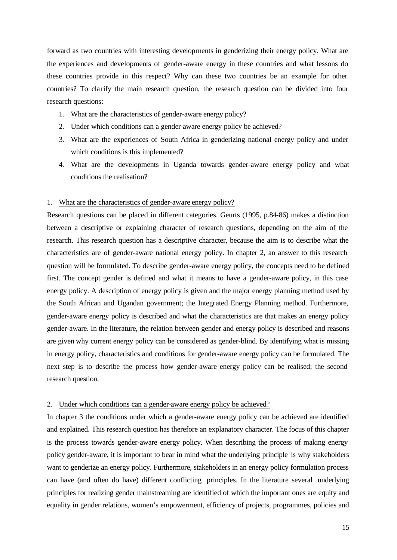forward as two countries with interesting developments in genderizing their energy policy. What are the experiences and developments of gender-aware energy in these countries and what lessons do these countries provide in this respect? Why can these two countries be an example for other countries? To cla rify the main research question, the research question can be divided into four research questions:

- 1. What are the characteristics of gender-aware energy policy?
- 2. Under which conditions can a gender-aware energy policy be achieved?
- 3. What are the experiences of South Africa in genderizing national energy policy and under which conditions is this implemented?
- 4. What are the developments in Uganda towards gender-aware energy policy and what conditions the realisation?

#### 1. What are the characteristics of gender-aware energy policy?

Research questions can be placed in different categories. Geurts (1995, p.84-86) makes a distinction between a descriptive or explaining character of research questions, depending on the aim of the research. This research question has a descriptive character, because the aim is to describe what the characteristics are of gender-aware national energy policy. In chapter 2, an answer to this research question will be formulated. To describe gender-aware energy policy, the concepts need to be defined first. The concept gender is defined and what it means to have a gender-aware policy, in this case energy policy. A description of energy policy is given and the major energy planning method used by the South African and Ugandan government; the Integrated Energy Planning method. Furthermore, gender-aware energy policy is described and what the characteristics are that makes an energy policy gender-aware. In the literature, the relation between gender and energy policy is described and reasons are given why current energy policy can be considered as gender-blind. By identifying what is missing in energy policy, characteristics and conditions for gender-aware energy policy can be formulated. The next step is to describe the process how gender-aware energy policy can be realised; the second research question.

#### 2. Under which conditions can a gender-aware energy policy be achieved?

In chapter 3 the conditions under which a gender-aware energy policy can be achieved are identified and explained. This research question has therefore an explanatory character. The focus of this chapter is the process towards gender-aware energy policy. When describing the process of making energy policy gender-aware, it is important to bear in mind what the underlying principle is why stakeholders want to genderize an energy policy. Furthermore, stakeholders in an energy policy formulation process can have (and often do have) different conflicting principles. In the literature several underlying principles for realizing gender mainstreaming are identified of which the important ones are equity and equality in gender relations, women's empowerment, efficiency of projects, programmes, policies and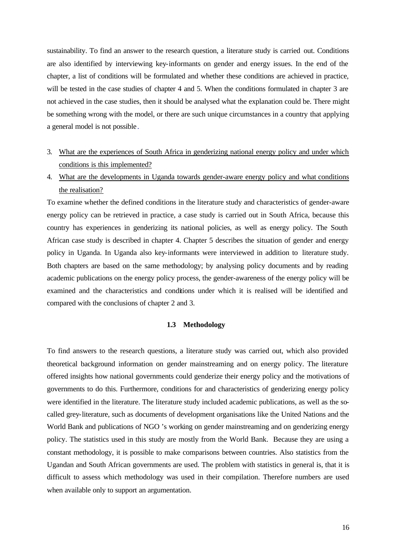sustainability. To find an answer to the research question, a literature study is carried out. Conditions are also identified by interviewing key-informants on gender and energy issues. In the end of the chapter, a list of conditions will be formulated and whether these conditions are achieved in practice, will be tested in the case studies of chapter 4 and 5. When the conditions formulated in chapter 3 are not achieved in the case studies, then it should be analysed what the explanation could be. There might be something wrong with the model, or there are such unique circumstances in a country that applying a general model is not possible .

- 3. What are the experiences of South Africa in genderizing national energy policy and under which conditions is this implemented?
- 4. What are the developments in Uganda towards gender-aware energy policy and what conditions the realisation?

To examine whether the defined conditions in the literature study and characteristics of gender-aware energy policy can be retrieved in practice, a case study is carried out in South Africa, because this country has experiences in genderizing its national policies, as well as energy policy. The South African case study is described in chapter 4. Chapter 5 describes the situation of gender and energy policy in Uganda. In Uganda also key-informants were interviewed in addition to literature study. Both chapters are based on the same methodology; by analysing policy documents and by reading academic publications on the energy policy process, the gender-awareness of the energy policy will be examined and the characteristics and conditions under which it is realised will be identified and compared with the conclusions of chapter 2 and 3.

### **1.3 Methodology**

To find answers to the research questions, a literature study was carried out, which also provided theoretical background information on gender mainstreaming and on energy policy. The literature offered insights how national governments could genderize their energy policy and the motivations of governments to do this. Furthermore, conditions for and characteristics of genderizing energy policy were identified in the literature. The literature study included academic publications, as well as the socalled grey-literature, such as documents of development organisations like the United Nations and the World Bank and publications of NGO 's working on gender mainstreaming and on genderizing energy policy. The statistics used in this study are mostly from the World Bank. Because they are using a constant methodology, it is possible to make comparisons between countries. Also statistics from the Ugandan and South African governments are used. The problem with statistics in general is, that it is difficult to assess which methodology was used in their compilation. Therefore numbers are used when available only to support an argumentation.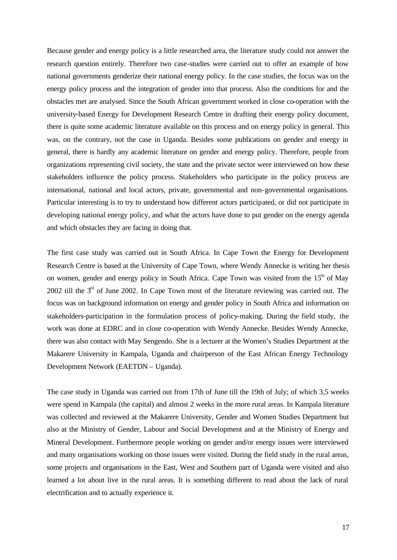Because gender and energy policy is a little researched area, the literature study could not answer the research question entirely. Therefore two case-studies were carried out to offer an example of how national governments genderize their national energy policy. In the case studies, the focus was on the energy policy process and the integration of gender into that process. Also the conditions for and the obstacles met are analysed. Since the South African government worked in close co-operation with the university-based Energy for Development Research Centre in drafting their energy policy document, there is quite some academic literature available on this process and on energy policy in general. This was, on the contrary, not the case in Uganda. Besides some publications on gender and energy in general, there is hardly any academic literature on gender and energy policy. Therefore, people from organizations representing civil society, the state and the private sector were interviewed on how these stakeholders influence the policy process. Stakeholders who participate in the policy process are international, national and local actors, private, governmental and non-governmental organisations. Particular interesting is to try to understand how different actors participated, or did not participate in developing national energy policy, and what the actors have done to put gender on the energy agenda and which obstacles they are facing in doing that.

The first case study was carried out in South Africa. In Cape Town the Energy for Development Research Centre is based at the University of Cape Town, where Wendy Annecke is writing her thesis on women, gender and energy policy in South Africa. Cape Town was visited from the  $15<sup>th</sup>$  of May 2002 till the  $3<sup>d</sup>$  of June 2002. In Cape Town most of the literature reviewing was carried out. The focus was on background information on energy and gender policy in South Africa and information on stakeholders-participation in the formulation process of policy-making. During the field study, the work was done at EDRC and in close co-operation with Wendy Annecke. Besides Wendy Annecke, there was also contact with May Sengendo. She is a lecturer at the Women's Studies Department at the Makarere University in Kampala, Uganda and chairperson of the East African Energy Technology Development Network (EAETDN – Uganda).

The case study in Uganda was carried out from 17th of June till the 19th of July; of which 3,5 weeks were spend in Kampala (the capital) and almost 2 weeks in the more rural areas. In Kampala literature was collected and reviewed at the Makarere University, Gender and Women Studies Department but also at the Ministry of Gender, Labour and Social Development and at the Ministry of Energy and Mineral Development. Furthermore people working on gender and/or energy issues were interviewed and many organisations working on those issues were visited. During the field study in the rural areas, some projects and organisations in the East, West and Southern part of Uganda were visited and also learned a lot about live in the rural areas. It is something different to read about the lack of rural electrification and to actually experience it.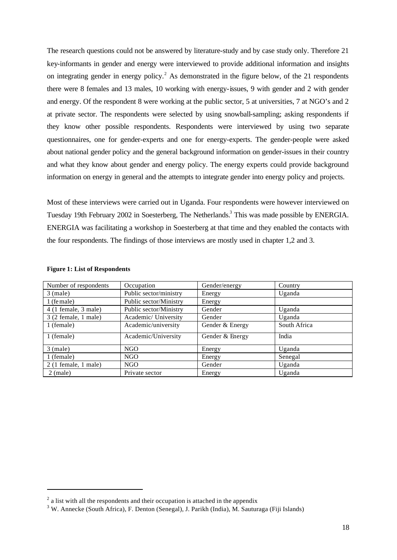The research questions could not be answered by literature-study and by case study only. Therefore 21 key-informants in gender and energy were interviewed to provide additional information and insights on integrating gender in energy policy.<sup>2</sup> As demonstrated in the figure below, of the 21 respondents there were 8 females and 13 males, 10 working with energy-issues, 9 with gender and 2 with gender and energy. Of the respondent 8 were working at the public sector, 5 at universities, 7 at NGO's and 2 at private sector. The respondents were selected by using snowball-sampling; asking respondents if they know other possible respondents. Respondents were interviewed by using two separate questionnaires, one for gender-experts and one for energy-experts. The gender-people were asked about national gender policy and the general background information on gender-issues in their country and what they know about gender and energy policy. The energy experts could provide background information on energy in general and the attempts to integrate gender into energy policy and projects.

Most of these interviews were carried out in Uganda. Four respondents were however interviewed on Tuesday 19th February 2002 in Soesterberg, The Netherlands.<sup>3</sup> This was made possible by ENERGIA. ENERGIA was facilitating a workshop in Soesterberg at that time and they enabled the contacts with the four respondents. The findings of those interviews are mostly used in chapter 1,2 and 3.

| Number of respondents<br>Occupation                           |                        | Gender/energy   | Country      |
|---------------------------------------------------------------|------------------------|-----------------|--------------|
| $3$ (male)                                                    | Public sector/ministry |                 | Uganda       |
| Public sector/Ministry<br>$1$ (fe male)                       |                        | Energy          |              |
| $4(1$ female, $3$ male)                                       | Public sector/Ministry | Gender          | Uganda       |
| $3(2 \text{ female}, 1 \text{ male})$<br>Academic/ University |                        | Gender          | Uganda       |
| 1 (female)                                                    | Academic/university    | Gender & Energy | South Africa |
| 1 (female)                                                    | Academic/University    | Gender & Energy | India        |
| $3$ (male)                                                    | NGO                    | Energy          | Uganda       |
| 1 (female)                                                    | NGO                    | Energy          | Senegal      |
| $2(1$ female, 1 male)                                         | NGO                    | Gender          | Uganda       |
| $2$ (male)                                                    | Private sector         | Energy          | Uganda       |

#### **Figure 1: List of Respondents**

 $2$  a list with all the respondents and their occupation is attached in the appendix

<sup>&</sup>lt;sup>3</sup> W. Annecke (South Africa), F. Denton (Senegal), J. Parikh (India), M. Sauturaga (Fiji Islands)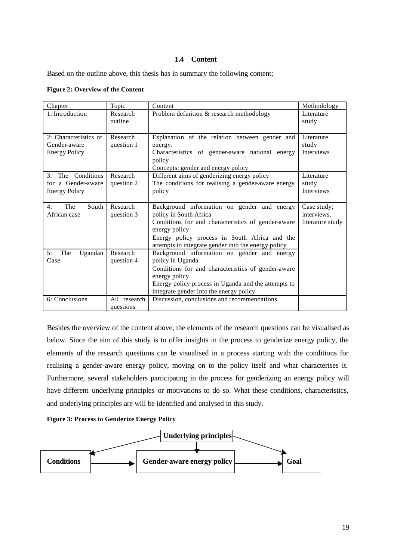#### **1.4 Content**

Based on the outline above, this thesis has in summary the following content;

#### **Figure 2: Overview of the Content**

| Chapter                                                            | Topic                     | Content                                                                                                                                                                                                                                              | Methodology                                    |
|--------------------------------------------------------------------|---------------------------|------------------------------------------------------------------------------------------------------------------------------------------------------------------------------------------------------------------------------------------------------|------------------------------------------------|
| 1: Introduction                                                    | Research<br>outline       | Problem definition & research methodology                                                                                                                                                                                                            | Literature                                     |
|                                                                    |                           |                                                                                                                                                                                                                                                      | study                                          |
| 2: Characteristics of<br>Gender-aware<br><b>Energy Policy</b>      | Research<br>question 1    | Explanation of the relation between gender and<br>energy.<br>Characteristics of gender-aware national energy<br>policy<br>Concepts; gender and energy policy                                                                                         | Literature<br>study<br>Interviews              |
| The Conditions<br>3:<br>for a Gender-aware<br><b>Energy Policy</b> | Research<br>question 2    | Different aims of genderizing energy policy<br>The conditions for realising a gender-aware energy<br>policy                                                                                                                                          | Literature<br>study<br>Interviews              |
| The<br>South<br>4:<br>African case                                 | Research<br>question 3    | Background information on gender and energy<br>policy in South Africa<br>Conditions for and characteristics of gender-aware<br>energy policy<br>Energy policy process in South Africa and the<br>attempts to integrate gender into the energy policy | Case study;<br>interviews.<br>literature study |
| 5:<br>The<br>Ugandan<br>Case                                       | Research<br>question 4    | Background information on gender and energy<br>policy in Uganda<br>Conditions for and characteristics of gender-aware<br>energy policy<br>Energy policy process in Uganda and the attempts to<br>integrate gender into the energy policy             |                                                |
| 6: Conclusions                                                     | All research<br>questions | Discussion, conclusions and recommendations                                                                                                                                                                                                          |                                                |

Besides the overview of the content above, the elements of the research questions can be visualised as below. Since the aim of this study is to offer insights in the process to genderize energy policy, the elements of the research questions can be visualised in a process starting with the conditions for realising a gender-aware energy policy, moving on to the policy itself and what characterises it. Furthermore, several stakeholders participating in the process for genderizing an energy policy will have different underlying principles or motivations to do so. What these conditions, characteristics, and underlying principles are will be identified and analysed in this study.

#### **Figure 3: Process to Genderize Energy Policy**

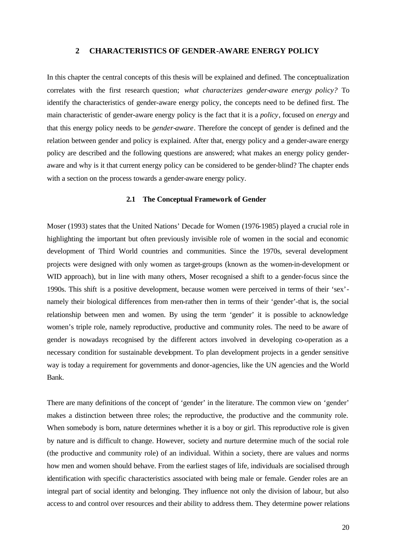#### **2 CHARACTERISTICS OF GENDER-AWARE ENERGY POLICY**

In this chapter the central concepts of this thesis will be explained and defined. The conceptualization correlates with the first research question; *what characterizes gender-aware energy policy?* To identify the characteristics of gender-aware energy policy, the concepts need to be defined first. The main characteristic of gender-aware energy policy is the fact that it is a *policy*, focused on *energy* and that this energy policy needs to be *gender-aware*. Therefore the concept of gender is defined and the relation between gender and policy is explained. After that, energy policy and a gender-aware energy policy are described and the following questions are answered; what makes an energy policy genderaware and why is it that current energy policy can be considered to be gender-blind? The chapter ends with a section on the process towards a gender-aware energy policy.

#### **2.1 The Conceptual Framework of Gender**

Moser (1993) states that the United Nations' Decade for Women (1976-1985) played a crucial role in highlighting the important but often previously invisible role of women in the social and economic development of Third World countries and communities. Since the 1970s, several development projects were designed with only women as target-groups (known as the women-in-development or WID approach), but in line with many others, Moser recognised a shift to a gender-focus since the 1990s. This shift is a positive development, because women were perceived in terms of their 'sex' namely their biological differences from men-rather then in terms of their 'gender'-that is, the social relationship between men and women. By using the term 'gender' it is possible to acknowledge women's triple role, namely reproductive, productive and community roles. The need to be aware of gender is nowadays recognised by the different actors involved in developing co-operation as a necessary condition for sustainable development. To plan development projects in a gender sensitive way is today a requirement for governments and donor-agencies, like the UN agencies and the World Bank.

There are many definitions of the concept of 'gender' in the literature. The common view on 'gender' makes a distinction between three roles; the reproductive, the productive and the community role. When somebody is born, nature determines whether it is a boy or girl. This reproductive role is given by nature and is difficult to change. However, society and nurture determine much of the social role (the productive and community role) of an individual. Within a society, there are values and norms how men and women should behave. From the earliest stages of life, individuals are socialised through identification with specific characteristics associated with being male or female. Gender roles are an integral part of social identity and belonging. They influence not only the division of labour, but also access to and control over resources and their ability to address them. They determine power relations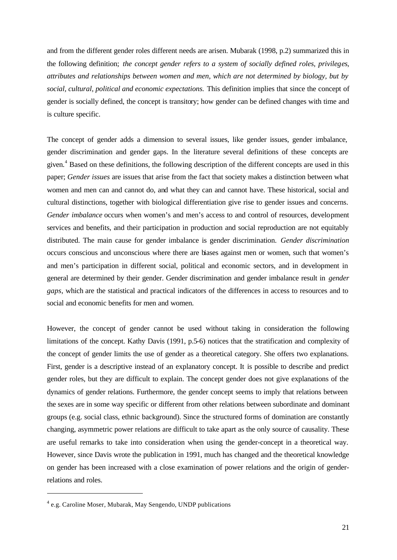and from the different gender roles different needs are arisen. Mubarak (1998, p.2) summarized this in the following definition; *the concept gender refers to a system of socially defined roles, privileges, attributes and relationships between women and men, which are not determined by biology, but by social, cultural, political and economic expectations.* This definition implies that since the concept of gender is socially defined, the concept is transitory; how gender can be defined changes with time and is culture specific.

The concept of gender adds a dimension to several issues, like gender issues, gender imbalance, gender discrimination and gender gaps. In the literature several definitions of these concepts are given.<sup>4</sup> Based on these definitions, the following description of the different concepts are used in this paper; *Gender issues* are issues that arise from the fact that society makes a distinction between what women and men can and cannot do, and what they can and cannot have. These historical, social and cultural distinctions, together with biological differentiation give rise to gender issues and concerns. *Gender imbalance* occurs when women's and men's access to and control of resources, development services and benefits, and their participation in production and social reproduction are not equitably distributed. The main cause for gender imbalance is gender discrimination. *Gender discrimination* occurs conscious and unconscious where there are biases against men or women, such that women's and men's participation in different social, political and economic sectors, and in development in general are determined by their gender. Gender discrimination and gender imbalance result in *gender gaps*, which are the statistical and practical indicators of the differences in access to resources and to social and economic benefits for men and women.

However, the concept of gender cannot be used without taking in consideration the following limitations of the concept. Kathy Davis (1991, p.5-6) notices that the stratification and complexity of the concept of gender limits the use of gender as a theoretical category. She offers two explanations. First, gender is a descriptive instead of an explanatory concept. It is possible to describe and predict gender roles, but they are difficult to explain. The concept gender does not give explanations of the dynamics of gender relations. Furthermore, the gender concept seems to imply that relations between the sexes are in some way specific or different from other relations between subordinate and dominant groups (e.g. social class, ethnic background). Since the structured forms of domination are constantly changing, asymmetric power relations are difficult to take apart as the only source of causality. These are useful remarks to take into consideration when using the gender-concept in a theoretical way. However, since Davis wrote the publication in 1991, much has changed and the theoretical knowledge on gender has been increased with a close examination of power relations and the origin of genderrelations and roles.

<sup>&</sup>lt;sup>4</sup> e.g. Caroline Moser, Mubarak, May Sengendo, UNDP publications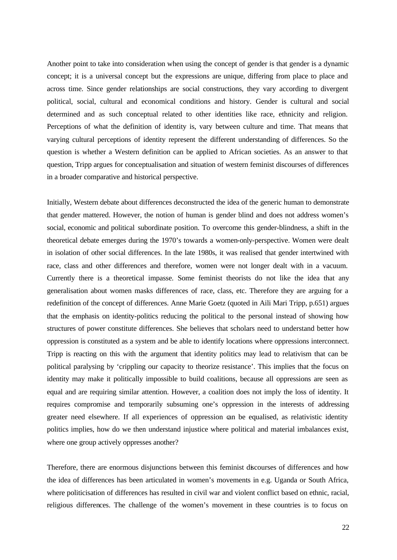Another point to take into consideration when using the concept of gender is that gender is a dynamic concept; it is a universal concept but the expressions are unique, differing from place to place and across time. Since gender relationships are social constructions, they vary according to divergent political, social, cultural and economical conditions and history. Gender is cultural and social determined and as such conceptual related to other identities like race, ethnicity and religion. Perceptions of what the definition of identity is, vary between culture and time. That means that varying cultural perceptions of identity represent the different understanding of differences. So the question is whether a Western definition can be applied to African societies. As an answer to that question, Tripp argues for conceptualisation and situation of western feminist discourses of differences in a broader comparative and historical perspective.

Initially, Western debate about differences deconstructed the idea of the generic human to demonstrate that gender mattered. However, the notion of human is gender blind and does not address women's social, economic and political subordinate position. To overcome this gender-blindness, a shift in the theoretical debate emerges during the 1970's towards a women-only-perspective. Women were dealt in isolation of other social differences. In the late 1980s, it was realised that gender intertwined with race, class and other differences and therefore, women were not longer dealt with in a vacuum. Currently there is a theoretical impasse. Some feminist theorists do not like the idea that any generalisation about women masks differences of race, class, etc. Therefore they are arguing for a redefinition of the concept of differences. Anne Marie Goetz (quoted in Aili Mari Tripp, p.651) argues that the emphasis on identity-politics reducing the political to the personal instead of showing how structures of power constitute differences. She believes that scholars need to understand better how oppression is constituted as a system and be able to identify locations where oppressions interconnect. Tripp is reacting on this with the argument that identity politics may lead to relativism that can be political paralysing by 'crippling our capacity to theorize resistance'. This implies that the focus on identity may make it politically impossible to build coalitions, because all oppressions are seen as equal and are requiring similar attention. However, a coalition does not imply the loss of identity. It requires compromise and temporarily subsuming one's oppression in the interests of addressing greater need elsewhere. If all experiences of oppression can be equalised, as relativistic identity politics implies, how do we then understand injustice where political and material imbalances exist, where one group actively oppresses another?

Therefore, there are enormous disjunctions between this feminist discourses of differences and how the idea of differences has been articulated in women's movements in e.g. Uganda or South Africa, where politicisation of differences has resulted in civil war and violent conflict based on ethnic, racial, religious differences. The challenge of the women's movement in these countries is to focus on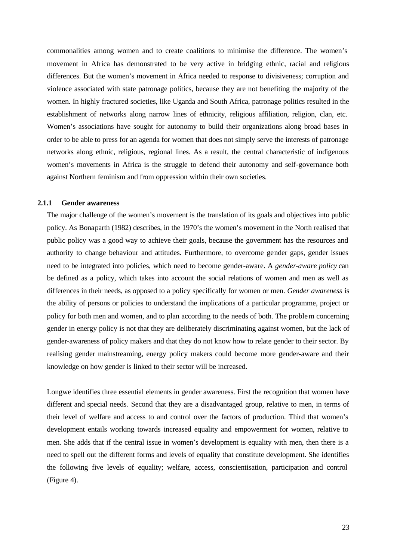commonalities among women and to create coalitions to minimise the difference. The women's movement in Africa has demonstrated to be very active in bridging ethnic, racial and religious differences. But the women's movement in Africa needed to response to divisiveness; corruption and violence associated with state patronage politics, because they are not benefiting the majority of the women. In highly fractured societies, like Uganda and South Africa, patronage politics resulted in the establishment of networks along narrow lines of ethnicity, religious affiliation, religion, clan, etc. Women's associations have sought for autonomy to build their organizations along broad bases in order to be able to press for an agenda for women that does not simply serve the interests of patronage networks along ethnic, religious, regional lines. As a result, the central characteristic of indigenous women's movements in Africa is the struggle to defend their autonomy and self-governance both against Northern feminism and from oppression within their own societies.

#### **2.1.1 Gender awareness**

The major challenge of the women's movement is the translation of its goals and objectives into public policy. As Bonaparth (1982) describes, in the 1970's the women's movement in the North realised that public policy was a good way to achieve their goals, because the government has the resources and authority to change behaviour and attitudes. Furthermore, to overcome gender gaps, gender issues need to be integrated into policies, which need to become gender-aware. A *gender-aware policy* can be defined as a policy, which takes into account the social relations of women and men as well as differences in their needs, as opposed to a policy specifically for women or men. *Gender awareness* is the ability of persons or policies to understand the implications of a particular programme, project or policy for both men and women, and to plan according to the needs of both. The problem concerning gender in energy policy is not that they are deliberately discriminating against women, but the lack of gender-awareness of policy makers and that they do not know how to relate gender to their sector. By realising gender mainstreaming, energy policy makers could become more gender-aware and their knowledge on how gender is linked to their sector will be increased.

Longwe identifies three essential elements in gender awareness. First the recognition that women have different and special needs. Second that they are a disadvantaged group, relative to men, in terms of their level of welfare and access to and control over the factors of production. Third that women's development entails working towards increased equality and empowerment for women, relative to men. She adds that if the central issue in women's development is equality with men, then there is a need to spell out the different forms and levels of equality that constitute development. She identifies the following five levels of equality; welfare, access, conscientisation, participation and control (Figure 4).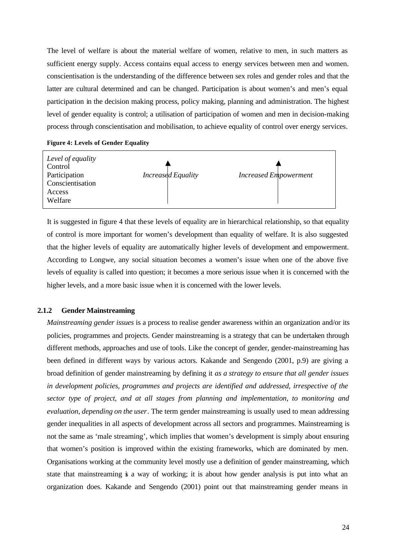The level of welfare is about the material welfare of women, relative to men, in such matters as sufficient energy supply. Access contains equal access to energy services between men and women. conscientisation is the understanding of the difference between sex roles and gender roles and that the latter are cultural determined and can be changed. Participation is about women's and men's equal participation in the decision making process, policy making, planning and administration. The highest level of gender equality is control; a utilisation of participation of women and men in decision-making process through conscientisation and mobilisation, to achieve equality of control over energy services.

#### **Figure 4: Levels of Gender Equality**



It is suggested in figure 4 that these levels of equality are in hierarchical relationship, so that equality of control is more important for women's development than equality of welfare. It is also suggested that the higher levels of equality are automatically higher levels of development and empowerment. According to Longwe, any social situation becomes a women's issue when one of the above five levels of equality is called into question; it becomes a more serious issue when it is concerned with the higher levels, and a more basic issue when it is concerned with the lower levels.

#### **2.1.2 Gender Mainstreaming**

*Mainstreaming gender issues* is a process to realise gender awareness within an organization and/or its policies, programmes and projects. Gender mainstreaming is a strategy that can be undertaken through different methods, approaches and use of tools. Like the concept of gender, gender-mainstreaming has been defined in different ways by various actors. Kakande and Sengendo (2001, p.9) are giving a broad definition of gender mainstreaming by defining it *as a strategy to ensure that all gender issues in development policies, programmes and projects are identified and addressed, irrespective of the sector type of project, and at all stages from planning and implementation, to monitoring and evaluation, depending on the user*. The term gender mainstreaming is usually used to mean addressing gender inequalities in all aspects of development across all sectors and programmes. Mainstreaming is not the same as 'male streaming', which implies that women's development is simply about ensuring that women's position is improved within the existing frameworks, which are dominated by men. Organisations working at the community level mostly use a definition of gender mainstreaming, which state that mainstreaming is a way of working; it is about how gender analysis is put into what an organization does. Kakande and Sengendo (2001) point out that mainstreaming gender means in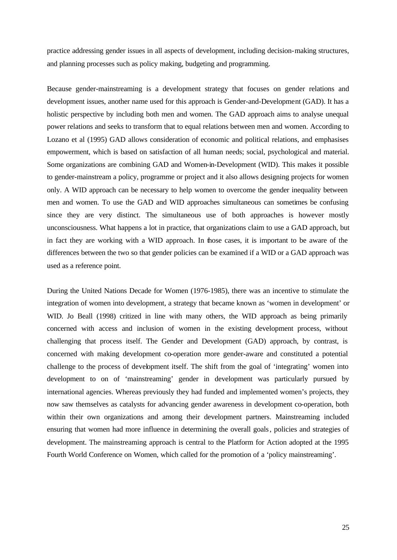practice addressing gender issues in all aspects of development, including decision-making structures, and planning processes such as policy making, budgeting and programming.

Because gender-mainstreaming is a development strategy that focuses on gender relations and development issues, another name used for this approach is Gender-and-Development (GAD). It has a holistic perspective by including both men and women. The GAD approach aims to analyse unequal power relations and seeks to transform that to equal relations between men and women. According to Lozano et al (1995) GAD allows consideration of economic and political relations, and emphasises empowerment, which is based on satisfaction of all human needs; social, psychological and material. Some organizations are combining GAD and Women-in-Development (WID). This makes it possible to gender-mainstream a policy, programme or project and it also allows designing projects for women only. A WID approach can be necessary to help women to overcome the gender inequality between men and women. To use the GAD and WID approaches simultaneous can sometimes be confusing since they are very distinct. The simultaneous use of both approaches is however mostly unconsciousness. What happens a lot in practice, that organizations claim to use a GAD approach, but in fact they are working with a WID approach. In those cases, it is important to be aware of the differences between the two so that gender policies can be examined if a WID or a GAD approach was used as a reference point.

During the United Nations Decade for Women (1976-1985), there was an incentive to stimulate the integration of women into development, a strategy that became known as 'women in development' or WID. Jo Beall (1998) critized in line with many others, the WID approach as being primarily concerned with access and inclusion of women in the existing development process, without challenging that process itself. The Gender and Development (GAD) approach, by contrast, is concerned with making development co-operation more gender-aware and constituted a potential challenge to the process of development itself. The shift from the goal of 'integrating' women into development to on of 'mainstreaming' gender in development was particularly pursued by international agencies. Whereas previously they had funded and implemented women's projects, they now saw themselves as catalysts for advancing gender awareness in development co-operation, both within their own organizations and among their development partners. Mainstreaming included ensuring that women had more influence in determining the overall goals, policies and strategies of development. The mainstreaming approach is central to the Platform for Action adopted at the 1995 Fourth World Conference on Women, which called for the promotion of a 'policy mainstreaming'.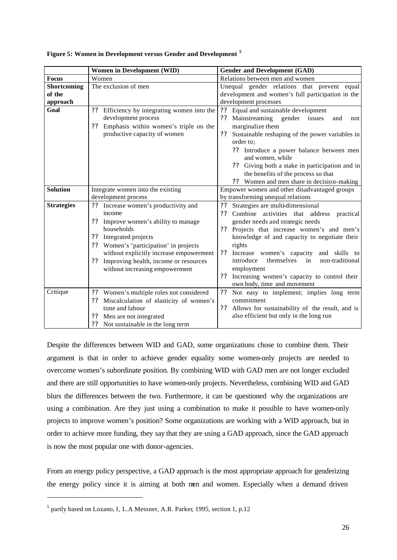|                                   | Women in Development (WID)                                                                                                                                                                                                                                                                                    | <b>Gender and Development (GAD)</b>                                                                                                                                                                                                                                                                                                                                                                                                                  |
|-----------------------------------|---------------------------------------------------------------------------------------------------------------------------------------------------------------------------------------------------------------------------------------------------------------------------------------------------------------|------------------------------------------------------------------------------------------------------------------------------------------------------------------------------------------------------------------------------------------------------------------------------------------------------------------------------------------------------------------------------------------------------------------------------------------------------|
| <b>Focus</b>                      | Women                                                                                                                                                                                                                                                                                                         | Relations between men and women                                                                                                                                                                                                                                                                                                                                                                                                                      |
| Shortcoming<br>of the<br>approach | The exclusion of men                                                                                                                                                                                                                                                                                          | Unequal gender relations that prevent equal<br>development and women's full participation in the<br>development processes                                                                                                                                                                                                                                                                                                                            |
| Goal                              | Efficiency by integrating women into the<br>??<br>development process<br>Emphasis within women's triple on the<br>??<br>productive capacity of women                                                                                                                                                          | ??<br>Equal and sustainable development<br>??<br>gender issues<br>Mainstreaming<br>and<br>not<br>marginalize them<br>??<br>Sustainable reshaping of the power variables in<br>order to:<br>?? Introduce a power balance between men<br>and women, while<br>?? Giving both a stake in participation and in<br>the benefits of the process so that<br>?? Women and men share in decision-making                                                        |
| <b>Solution</b>                   | Integrate women into the existing<br>development process                                                                                                                                                                                                                                                      | Empower women and other disadvantaged groups<br>by transforming unequal relations                                                                                                                                                                                                                                                                                                                                                                    |
| <b>Strategies</b>                 | ?? Increase women's productivity and<br>income<br>??<br>Improve women's ability to manage<br>households<br>Integrated projects<br>??<br>??<br>Women's 'participation' in projects<br>without explicitly increase empowerment<br>22<br>Improving health, income or resources<br>without increasing empowerment | ??<br>Strategies are multi-dimensional<br>??<br>Combine activities that address practical<br>gender needs and strategic needs<br>Projects that increase women's and men's<br>??<br>knowledge of and capacity to negotiate their<br>rights<br>??<br>Increase women's capacity<br>and skills to<br>themselves<br>introduce<br>non-traditional<br>in<br>employment<br>??<br>Increasing women's capacity to control their<br>own body, time and movement |
| Critique                          | Women's multiple roles not considered<br>??<br>Miscalculation of elasticity of women's<br>??<br>time and labour<br>??<br>Men are not integrated<br>??<br>Not sustainable in the long term                                                                                                                     | ??<br>Not easy to implement; implies long term<br>commitment<br>??<br>Allows for sustainability of the result, and is<br>also efficient but only in the long run                                                                                                                                                                                                                                                                                     |

**Figure 5: Women in Development versus Gender and Development <sup>5</sup>**

Despite the differences between WID and GAD, some organizations chose to combine them. Their argument is that in order to achieve gender equality some women-only projects are needed to overcome women's subordinate position. By combining WID with GAD men are not longer excluded and there are still opportunities to have women-only projects. Nevertheless, combining WID and GAD blurs the differences between the two. Furthermore, it can be questioned why the organizations are using a combination. Are they just using a combination to make it possible to have women-only projects to improve women's position? Some organizations are working with a WID approach, but in order to achieve more funding, they say that they are using a GAD approach, since the GAD approach is now the most popular one with donor-agencies.

From an energy policy perspective, a GAD approach is the most appropriate approach for genderizing the energy policy since it is aiming at both men and women. Especially when a demand driven

<sup>5</sup> partly based on Lozano, I, L.A Messner, A.R. Parker*,* 1995, section 1, p.12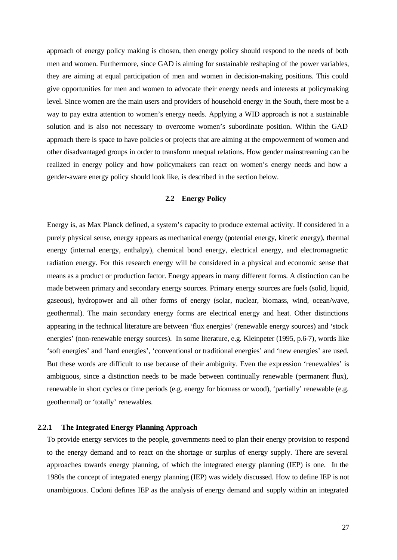approach of energy policy making is chosen, then energy policy should respond to the needs of both men and women. Furthermore, since GAD is aiming for sustainable reshaping of the power variables, they are aiming at equal participation of men and women in decision-making positions. This could give opportunities for men and women to advocate their energy needs and interests at policymaking level. Since women are the main users and providers of household energy in the South, there most be a way to pay extra attention to women's energy needs. Applying a WID approach is not a sustainable solution and is also not necessary to overcome women's subordinate position. Within the GAD approach there is space to have policie s or projects that are aiming at the empowerment of women and other disadvantaged groups in order to transform unequal relations. How gender mainstreaming can be realized in energy policy and how policymakers can react on women's energy needs and how a gender-aware energy policy should look like, is described in the section below.

### **2.2 Energy Policy**

Energy is, as Max Planck defined, a system's capacity to produce external activity. If considered in a purely physical sense, energy appears as mechanical energy (potential energy, kinetic energy), thermal energy (internal energy, enthalpy), chemical bond energy, electrical energy, and electromagnetic radiation energy. For this research energy will be considered in a physical and economic sense that means as a product or production factor. Energy appears in many different forms. A distinction can be made between primary and secondary energy sources. Primary energy sources are fuels (solid, liquid, gaseous), hydropower and all other forms of energy (solar, nuclear, biomass, wind, ocean/wave, geothermal). The main secondary energy forms are electrical energy and heat. Other distinctions appearing in the technical literature are between 'flux energies' (renewable energy sources) and 'stock energies' (non-renewable energy sources). In some literature, e.g. Kleinpeter (1995, p.6-7), words like 'soft energies' and 'hard energies', 'conventional or traditional energies' and 'new energies' are used. But these words are difficult to use because of their ambiguity. Even the expression 'renewables' is ambiguous, since a distinction needs to be made between continually renewable (permanent flux), renewable in short cycles or time periods (e.g. energy for biomass or wood), 'partially' renewable (e.g. geothermal) or 'totally' renewables.

#### **2.2.1 The Integrated Energy Planning Approach**

To provide energy services to the people, governments need to plan their energy provision to respond to the energy demand and to react on the shortage or surplus of energy supply. There are several approaches towards energy planning, of which the integrated energy planning (IEP) is one. In the 1980s the concept of integrated energy planning (IEP) was widely discussed. How to define IEP is not unambiguous. Codoni defines IEP as the analysis of energy demand and supply within an integrated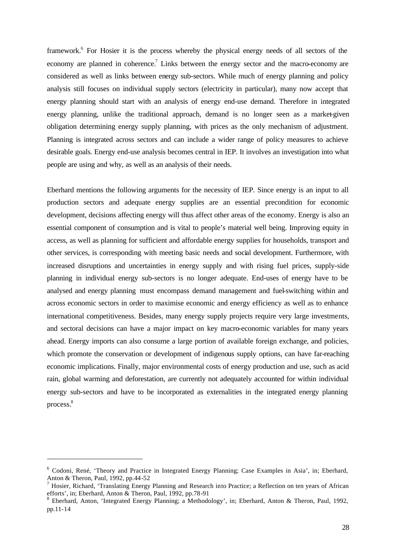framework.<sup>6</sup> For Hosier it is the process whereby the physical energy needs of all sectors of the economy are planned in coherence.<sup>7</sup> Links between the energy sector and the macro-economy are considered as well as links between energy sub-sectors. While much of energy planning and policy analysis still focuses on individual supply sectors (electricity in particular), many now accept that energy planning should start with an analysis of energy end-use demand. Therefore in integrated energy planning, unlike the traditional approach, demand is no longer seen as a market-given obligation determining energy supply planning, with prices as the only mechanism of adjustment. Planning is integrated across sectors and can include a wider range of policy measures to achieve desirable goals. Energy end-use analysis becomes central in IEP. It involves an investigation into what people are using and why, as well as an analysis of their needs.

Eberhard mentions the following arguments for the necessity of IEP. Since energy is an input to all production sectors and adequate energy supplies are an essential precondition for economic development, decisions affecting energy will thus affect other areas of the economy. Energy is also an essential component of consumption and is vital to people's material well being. Improving equity in access, as well as planning for sufficient and affordable energy supplies for households, transport and other services, is corresponding with meeting basic needs and social development. Furthermore, with increased disruptions and uncertainties in energy supply and with rising fuel prices, supply-side planning in individual energy sub-sectors is no longer adequate. End-uses of energy have to be analysed and energy planning must encompass demand management and fuel-switching within and across economic sectors in order to maximise economic and energy efficiency as well as to enhance international competitiveness. Besides, many energy supply projects require very large investments, and sectoral decisions can have a major impact on key macro-economic variables for many years ahead. Energy imports can also consume a large portion of available foreign exchange, and policies, which promote the conservation or development of indigenous supply options, can have far-reaching economic implications. Finally, major environmental costs of energy production and use, such as acid rain, global warming and deforestation, are currently not adequately accounted for within individual energy sub-sectors and have to be incorporated as externalities in the integrated energy planning process. 8

<sup>&</sup>lt;sup>6</sup> Codoni, René, 'Theory and Practice in Integrated Energy Planning; Case Examples in Asia', in; Eberhard, Anton & Theron, Paul, 1992, pp.44-52

<sup>&</sup>lt;sup>7</sup> Hosier, Richard, 'Translating Energy Planning and Research into Practice; a Reflection on ten years of African efforts', in; Eberhard, Anton & Theron, Paul, 1992, pp.78-91

<sup>&</sup>lt;sup>8</sup> Eberhard, Anton, 'Integrated Energy Planning; a Methodology', in; Eberhard, Anton & Theron, Paul, 1992, pp.11-14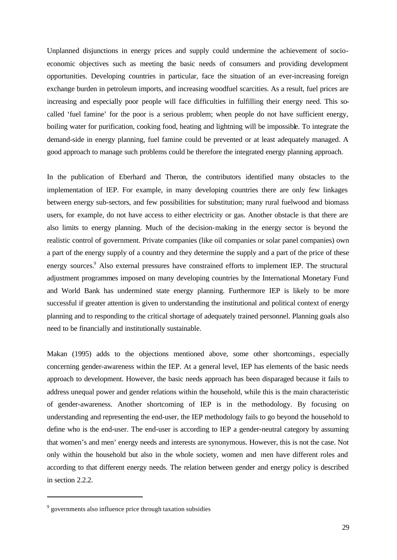Unplanned disjunctions in energy prices and supply could undermine the achievement of socioeconomic objectives such as meeting the basic needs of consumers and providing development opportunities. Developing countries in particular, face the situation of an ever-increasing foreign exchange burden in petroleum imports, and increasing woodfuel scarcities. As a result, fuel prices are increasing and especially poor people will face difficulties in fulfilling their energy need. This socalled 'fuel famine' for the poor is a serious problem; when people do not have sufficient energy, boiling water for purification, cooking food, heating and lightning will be impossible. To integrate the demand-side in energy planning, fuel famine could be prevented or at least adequately managed. A good approach to manage such problems could be therefore the integrated energy planning approach.

In the publication of Eberhard and Theron, the contributors identified many obstacles to the implementation of IEP. For example, in many developing countries there are only few linkages between energy sub-sectors, and few possibilities for substitution; many rural fuelwood and biomass users, for example, do not have access to either electricity or gas. Another obstacle is that there are also limits to energy planning. Much of the decision-making in the energy sector is beyond the realistic control of government. Private companies (like oil companies or solar panel companies) own a part of the energy supply of a country and they determine the supply and a part of the price of these energy sources.<sup>9</sup> Also external pressures have constrained efforts to implement IEP. The structural adjustment programmes imposed on many developing countries by the International Monetary Fund and World Bank has undermined state energy planning. Furthermore IEP is likely to be more successful if greater attention is given to understanding the institutional and political context of energy planning and to responding to the critical shortage of adequately trained personnel. Planning goals also need to be financially and institutionally sustainable.

Makan (1995) adds to the objections mentioned above, some other shortcomings, especially concerning gender-awareness within the IEP. At a general level, IEP has elements of the basic needs approach to development. However, the basic needs approach has been disparaged because it fails to address unequal power and gender relations within the household, while this is the main characteristic of gender-awareness. Another shortcoming of IEP is in the methodology. By focusing on understanding and representing the end-user, the IEP methodology fails to go beyond the household to define who is the end-user. The end-user is according to IEP a gender-neutral category by assuming that women's and men' energy needs and interests are synonymous. However, this is not the case. Not only within the household but also in the whole society, women and men have different roles and according to that different energy needs. The relation between gender and energy policy is described in section 2.2.2.

<sup>&</sup>lt;sup>9</sup> governments also influence price through taxation subsidies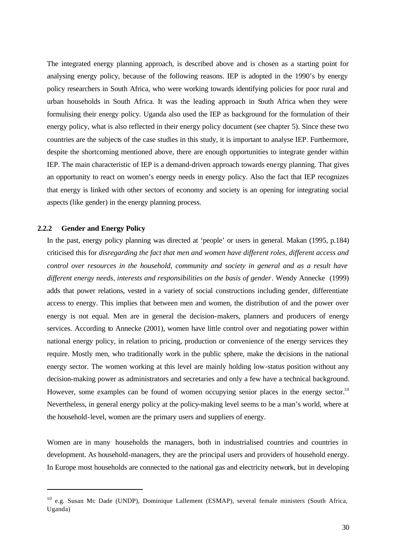The integrated energy planning approach, is described above and is chosen as a starting point for analysing energy policy, because of the following reasons. IEP is adopted in the 1990's by energy policy researchers in South Africa, who were working towards identifying policies for poor rural and urban households in South Africa. It was the leading approach in South Africa when they were formulising their energy policy. Uganda also used the IEP as background for the formulation of their energy policy, what is also reflected in their energy policy document (see chapter 5). Since these two countries are the subjects of the case studies in this study, it is important to analyse IEP. Furthermore, despite the shortcoming mentioned above, there are enough opportunities to integrate gender within IEP. The main characteristic of IEP is a demand-driven approach towards energy planning. That gives an opportunity to react on women's energy needs in energy policy. Also the fact that IEP recognizes that energy is linked with other sectors of economy and society is an opening for integrating social aspects (like gender) in the energy planning process.

## **2.2.2 Gender and Energy Policy**

l

In the past, energy policy planning was directed at 'people' or users in general. Makan (1995, p.184) criticised this for *disregarding the fact that men and women have different roles, different access and control over resources in the household, community and society in general and as a result have different energy needs, interests and responsibilities on the basis of gender*. Wendy Annecke (1999) adds that power relations, vested in a variety of social constructions including gender, differentiate access to energy. This implies that between men and women, the distribution of and the power over energy is not equal. Men are in general the decision-makers, planners and producers of energy services. According to Annecke (2001), women have little control over and negotiating power within national energy policy, in relation to pricing, production or convenience of the energy services they require. Mostly men, who traditionally work in the public sphere, make the decisions in the national energy sector. The women working at this level are mainly holding low-status position without any decision-making power as administrators and secretaries and only a few have a technical background. However, some examples can be found of women occupying senior places in the energy sector.<sup>10</sup> Nevertheless, in general energy policy at the policy-making level seems to be a man's world, where at the household-level, women are the primary users and suppliers of energy.

Women are in many households the managers, both in industrialised countries and countries in development. As household-managers, they are the principal users and providers of household energy. In Europe most households are connected to the national gas and electricity network, but in developing

 $10$  e.g. Susan Mc Dade (UNDP), Dominique Lallement (ESMAP), several female ministers (South Africa, Uganda)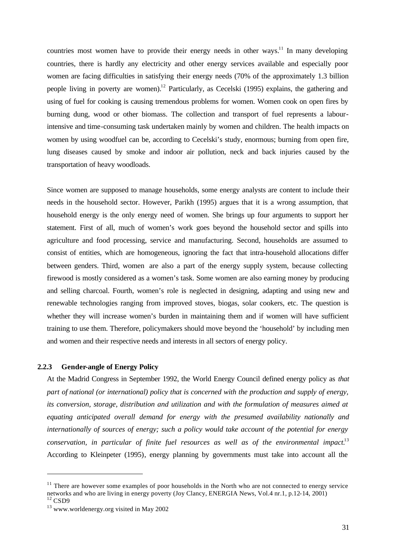countries most women have to provide their energy needs in other ways.<sup>11</sup> In many developing countries, there is hardly any electricity and other energy services available and especially poor women are facing difficulties in satisfying their energy needs (70% of the approximately 1.3 billion people living in poverty are women).<sup>12</sup> Particularly, as Cecelski (1995) explains, the gathering and using of fuel for cooking is causing tremendous problems for women. Women cook on open fires by burning dung, wood or other biomass. The collection and transport of fuel represents a labourintensive and time-consuming task undertaken mainly by women and children. The health impacts on women by using woodfuel can be, according to Cecelski's study, enormous; burning from open fire, lung diseases caused by smoke and indoor air pollution, neck and back injuries caused by the transportation of heavy woodloads.

Since women are supposed to manage households, some energy analysts are content to include their needs in the household sector. However, Parikh (1995) argues that it is a wrong assumption, that household energy is the only energy need of women. She brings up four arguments to support her statement. First of all, much of women's work goes beyond the household sector and spills into agriculture and food processing, service and manufacturing. Second, households are assumed to consist of entities, which are homogeneous, ignoring the fact that intra-household allocations differ between genders. Third, women are also a part of the energy supply system, because collecting firewood is mostly considered as a women's task. Some women are also earning money by producing and selling charcoal. Fourth, women's role is neglected in designing, adapting and using new and renewable technologies ranging from improved stoves, biogas, solar cookers, etc. The question is whether they will increase women's burden in maintaining them and if women will have sufficient training to use them. Therefore, policymakers should move beyond the 'household' by including men and women and their respective needs and interests in all sectors of energy policy.

#### **2.2.3 Gender-angle of Energy Policy**

At the Madrid Congress in September 1992, the World Energy Council defined energy policy as *that part of national (or international) policy that is concerned with the production and supply of energy, its conversion, storage, distribution and utilization and with the formulation of measures aimed at equating anticipated overall demand for energy with the presumed availability nationally and internationally of sources of energy; such a policy would take account of the potential for energy conservation, in particular of finite fuel resources as well as of the environmental impact.*<sup>13</sup> According to Kleinpeter (1995), energy planning by governments must take into account all the

 $11$  There are however some examples of poor households in the North who are not connected to energy service networks and who are living in energy poverty (Joy Clancy, ENERGIA News, Vol.4 nr.1, p.12-14, 2001)  $^{12}$  CSD9

<sup>13</sup> www.worldenergy.org visited in May 2002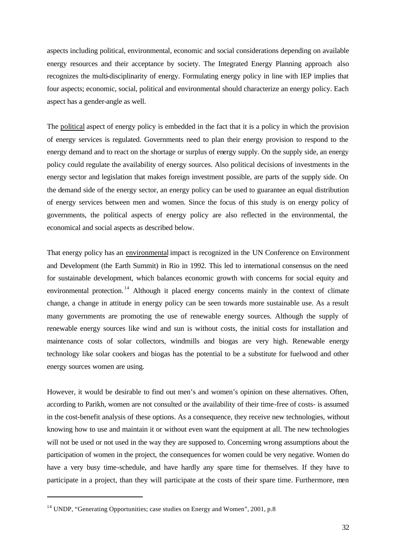aspects including political, environmental, economic and social considerations depending on available energy resources and their acceptance by society. The Integrated Energy Planning approach also recognizes the multi-disciplinarity of energy. Formulating energy policy in line with IEP implies that four aspects; economic, social, political and environmental should characterize an energy policy. Each aspect has a gender-angle as well.

The political aspect of energy policy is embedded in the fact that it is a policy in which the provision of energy services is regulated. Governments need to plan their energy provision to respond to the energy demand and to react on the shortage or surplus of energy supply. On the supply side, an energy policy could regulate the availability of energy sources. Also political decisions of investments in the energy sector and legislation that makes foreign investment possible, are parts of the supply side. On the demand side of the energy sector, an energy policy can be used to guarantee an equal distribution of energy services between men and women. Since the focus of this study is on energy policy of governments, the political aspects of energy policy are also reflected in the environmental, the economical and social aspects as described below.

That energy policy has an environmental impact is recognized in the UN Conference on Environment and Development (the Earth Summit) in Rio in 1992. This led to international consensus on the need for sustainable development, which balances economic growth with concerns for social equity and environmental protection.<sup>14</sup> Although it placed energy concerns mainly in the context of climate change, a change in attitude in energy policy can be seen towards more sustainable use. As a result many governments are promoting the use of renewable energy sources. Although the supply of renewable energy sources like wind and sun is without costs, the initial costs for installation and maintenance costs of solar collectors, windmills and biogas are very high. Renewable energy technology like solar cookers and biogas has the potential to be a substitute for fuelwood and other energy sources women are using.

However, it would be desirable to find out men's and women's opinion on these alternatives. Often, according to Parikh, women are not consulted or the availability of their time-free of costs- is assumed in the cost-benefit analysis of these options. As a consequence, they receive new technologies, without knowing how to use and maintain it or without even want the equipment at all. The new technologies will not be used or not used in the way they are supposed to. Concerning wrong assumptions about the participation of women in the project, the consequences for women could be very negative. Women do have a very busy time-schedule, and have hardly any spare time for themselves. If they have to participate in a project, than they will participate at the costs of their spare time. Furthermore, men

 $14$  UNDP, "Generating Opportunities; case studies on Energy and Women", 2001, p.8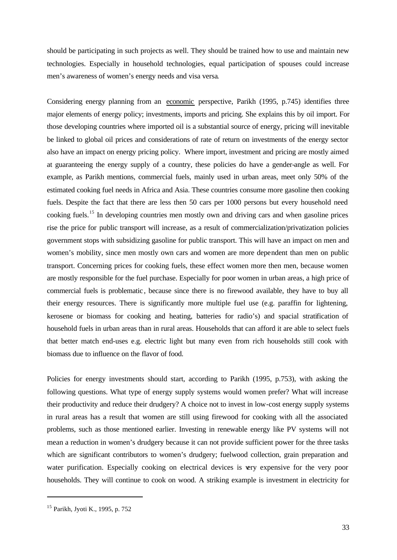should be participating in such projects as well. They should be trained how to use and maintain new technologies. Especially in household technologies, equal participation of spouses could increase men's awareness of women's energy needs and visa versa.

Considering energy planning from an economic perspective, Parikh (1995, p.745) identifies three major elements of energy policy; investments, imports and pricing. She explains this by oil import. For those developing countries where imported oil is a substantial source of energy, pricing will inevitable be linked to global oil prices and considerations of rate of return on investments of the energy sector also have an impact on energy pricing policy. Where import, investment and pricing are mostly aimed at guaranteeing the energy supply of a country, these policies do have a gender-angle as well. For example, as Parikh mentions, commercial fuels, mainly used in urban areas, meet only 50% of the estimated cooking fuel needs in Africa and Asia. These countries consume more gasoline then cooking fuels. Despite the fact that there are less then 50 cars per 1000 persons but every household need cooking fuels.<sup>15</sup> In developing countries men mostly own and driving cars and when gasoline prices rise the price for public transport will increase, as a result of commercialization/privatization policies government stops with subsidizing gasoline for public transport. This will have an impact on men and women's mobility, since men mostly own cars and women are more dependent than men on public transport. Concerning prices for cooking fuels, these effect women more then men, because women are mostly responsible for the fuel purchase. Especially for poor women in urban areas, a high price of commercial fuels is problematic , because since there is no firewood available, they have to buy all their energy resources. There is significantly more multiple fuel use (e.g. paraffin for lightening, kerosene or biomass for cooking and heating, batteries for radio's) and spacial stratification of household fuels in urban areas than in rural areas. Households that can afford it are able to select fuels that better match end-uses e.g. electric light but many even from rich households still cook with biomass due to influence on the flavor of food.

Policies for energy investments should start, according to Parikh (1995, p.753), with asking the following questions. What type of energy supply systems would women prefer? What will increase their productivity and reduce their drudgery? A choice not to invest in low-cost energy supply systems in rural areas has a result that women are still using firewood for cooking with all the associated problems, such as those mentioned earlier. Investing in renewable energy like PV systems will not mean a reduction in women's drudgery because it can not provide sufficient power for the three tasks which are significant contributors to women's drudgery; fuelwood collection, grain preparation and water purification. Especially cooking on electrical devices is very expensive for the very poor households. They will continue to cook on wood. A striking example is investment in electricity for

<sup>15</sup> Parikh, Jyoti K., 1995, p. 752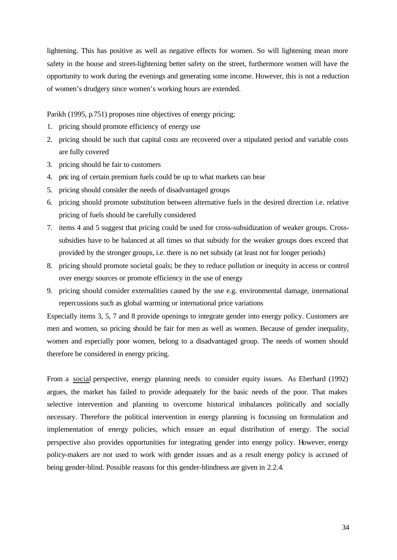lightening. This has positive as well as negative effects for women. So will lightening mean more safety in the house and street-lightening better safety on the street, furthermore women will have the opportunity to work during the evenings and generating some income. However, this is not a reduction of women's drudgery since women's working hours are extended.

Parikh (1995, p.751) proposes nine objectives of energy pricing;

- 1. pricing should promote efficiency of energy use
- 2. pricing should be such that capital costs are recovered over a stipulated period and variable costs are fully covered
- 3. pricing should be fair to customers
- 4. pric ing of certain premium fuels could be up to what markets can bear
- 5. pricing should consider the needs of disadvantaged groups
- 6. pricing should promote substitution between alternative fuels in the desired direction i.e. relative pricing of fuels should be carefully considered
- 7. items 4 and 5 suggest that pricing could be used for cross-subsidization of weaker groups. Crosssubsidies have to be balanced at all times so that subsidy for the weaker groups does exceed that provided by the stronger groups, i.e. there is no net subsidy (at least not for longer periods)
- 8. pricing should promote societal goals; be they to reduce pollution or inequity in access or control over energy sources or promote efficiency in the use of energy
- 9. pricing should consider externalities caused by the use e.g. environmental damage, international repercussions such as global warming or international price variations

Especially items 3, 5, 7 and 8 provide openings to integrate gender into energy policy. Customers are men and women, so pricing should be fair for men as well as women. Because of gender inequality, women and especially poor women, belong to a disadvantaged group. The needs of women should therefore be considered in energy pricing.

From a social perspective, energy planning needs to consider equity issues. As Eberhard (1992) argues, the market has failed to provide adequately for the basic needs of the poor. That makes selective intervention and planning to overcome historical imbalances politically and socially necessary. Therefore the political intervention in energy planning is focussing on formulation and implementation of energy policies, which ensure an equal distribution of energy. The social perspective also provides opportunities for integrating gender into energy policy. However, energy policy-makers are not used to work with gender issues and as a result energy policy is accused of being gender-blind. Possible reasons for this gender-blindness are given in 2.2.4.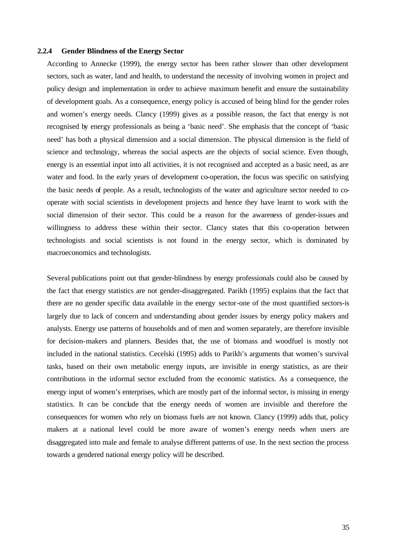#### **2.2.4 Gender Blindness of the Energy Sector**

According to Annecke (1999), the energy sector has been rather slower than other development sectors, such as water, land and health, to understand the necessity of involving women in project and policy design and implementation in order to achieve maximum benefit and ensure the sustainability of development goals. As a consequence, energy policy is accused of being blind for the gender roles and women's energy needs. Clancy (1999) gives as a possible reason, the fact that energy is not recognised by energy professionals as being a 'basic need'. She emphasis that the concept of 'basic need' has both a physical dimension and a social dimension. The physical dimension is the field of science and technology, whereas the social aspects are the objects of social science. Even though, energy is an essential input into all activities, it is not recognised and accepted as a basic need, as are water and food. In the early years of development co-operation, the focus was specific on satisfying the basic needs of people. As a result, technologists of the water and agriculture sector needed to cooperate with social scientists in development projects and hence they have learnt to work with the social dimension of their sector. This could be a reason for the awareness of gender-issues and willingness to address these within their sector. Clancy states that this co-operation between technologists and social scientists is not found in the energy sector, which is dominated by macroeconomics and technologists.

Several publications point out that gender-blindness by energy professionals could also be caused by the fact that energy statistics are not gender-disaggregated. Parikh (1995) explains that the fact that there are no gender specific data available in the energy sector-one of the most quantified sectors-is largely due to lack of concern and understanding about gender issues by energy policy makers and analysts. Energy use patterns of households and of men and women separately, are therefore invisible for decision-makers and planners. Besides that, the use of biomass and woodfuel is mostly not included in the national statistics. Cecelski (1995) adds to Parikh's arguments that women's survival tasks, based on their own metabolic energy inputs, are invisible in energy statistics, as are their contributions in the informal sector excluded from the economic statistics. As a consequence, the energy input of women's enterprises, which are mostly part of the informal sector, is missing in energy statistics. It can be conclude that the energy needs of women are invisible and therefore the consequences for women who rely on biomass fuels are not known. Clancy (1999) adds that, policy makers at a national level could be more aware of women's energy needs when users are disaggregated into male and female to analyse different patterns of use. In the next section the process towards a gendered national energy policy will be described.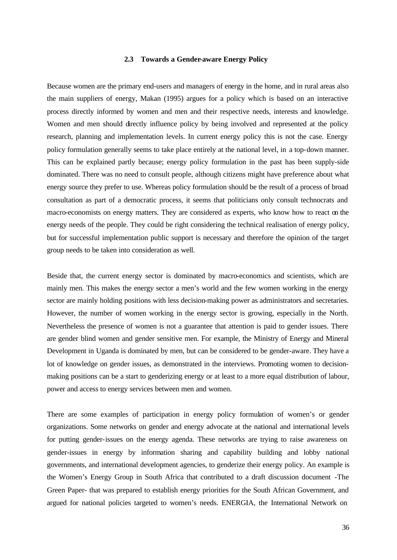#### **2.3 Towards a Gender-aware Energy Policy**

Because women are the primary end-users and managers of energy in the home, and in rural areas also the main suppliers of energy, Makan (1995) argues for a policy which is based on an interactive process directly informed by women and men and their respective needs, interests and knowledge. Women and men should directly influence policy by being involved and represented at the policy research, planning and implementation levels. In current energy policy this is not the case. Energy policy formulation generally seems to take place entirely at the national level, in a top-down manner. This can be explained partly because; energy policy formulation in the past has been supply-side dominated. There was no need to consult people, although citizens might have preference about what energy source they prefer to use. Whereas policy formulation should be the result of a process of broad consultation as part of a democratic process, it seems that politicians only consult technocrats and macro-economists on energy matters. They are considered as experts, who know how to react on the energy needs of the people. They could be right considering the technical realisation of energy policy, but for successful implementation public support is necessary and therefore the opinion of the target group needs to be taken into consideration as well.

Beside that, the current energy sector is dominated by macro-economics and scientists, which are mainly men. This makes the energy sector a men's world and the few women working in the energy sector are mainly holding positions with less decision-making power as administrators and secretaries. However, the number of women working in the energy sector is growing, especially in the North. Nevertheless the presence of women is not a guarantee that attention is paid to gender issues. There are gender blind women and gender sensitive men. For example, the Ministry of Energy and Mineral Development in Uganda is dominated by men, but can be considered to be gender-aware. They have a lot of knowledge on gender issues, as demonstrated in the interviews. Promoting women to decisionmaking positions can be a start to genderizing energy or at least to a more equal distribution of labour, power and access to energy services between men and women.

There are some examples of participation in energy policy formulation of women's or gender organizations. Some networks on gender and energy advocate at the national and international levels for putting gender-issues on the energy agenda. These networks are trying to raise awareness on gender-issues in energy by information sharing and capability building and lobby national governments, and international development agencies, to genderize their energy policy. An example is the Women's Energy Group in South Africa that contributed to a draft discussion document -The Green Paper- that was prepared to establish energy priorities for the South African Government, and argued for national policies targeted to women's needs. ENERGIA, the International Network on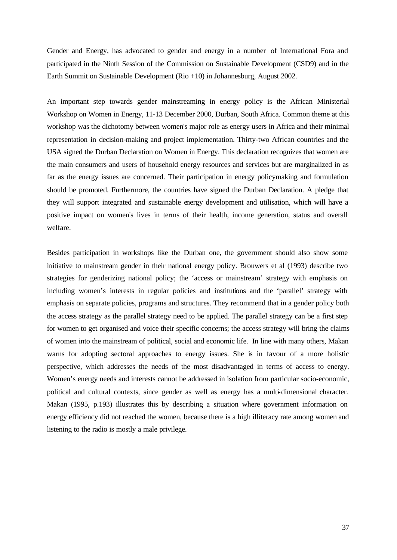Gender and Energy, has advocated to gender and energy in a number of International Fora and participated in the Ninth Session of the Commission on Sustainable Development (CSD9) and in the Earth Summit on Sustainable Development (Rio +10) in Johannesburg, August 2002.

An important step towards gender mainstreaming in energy policy is the African Ministerial Workshop on Women in Energy, 11-13 December 2000, Durban, South Africa. Common theme at this workshop was the dichotomy between women's major role as energy users in Africa and their minimal representation in decision-making and project implementation. Thirty-two African countries and the USA signed the Durban Declaration on Women in Energy. This declaration recognizes that women are the main consumers and users of household energy resources and services but are marginalized in as far as the energy issues are concerned. Their participation in energy policymaking and formulation should be promoted. Furthermore, the countries have signed the Durban Declaration. A pledge that they will support integrated and sustainable energy development and utilisation, which will have a positive impact on women's lives in terms of their health, income generation, status and overall welfare.

Besides participation in workshops like the Durban one, the government should also show some initiative to mainstream gender in their national energy policy. Brouwers et al (1993) describe two strategies for genderizing national policy; the 'access or mainstream' strategy with emphasis on including women's interests in regular policies and institutions and the 'parallel' strategy with emphasis on separate policies, programs and structures. They recommend that in a gender policy both the access strategy as the parallel strategy need to be applied. The parallel strategy can be a first step for women to get organised and voice their specific concerns; the access strategy will bring the claims of women into the mainstream of political, social and economic life. In line with many others, Makan warns for adopting sectoral approaches to energy issues. She is in favour of a more holistic perspective, which addresses the needs of the most disadvantaged in terms of access to energy. Women's energy needs and interests cannot be addressed in isolation from particular socio-economic, political and cultural contexts, since gender as well as energy has a multi-dimensional character. Makan (1995, p.193) illustrates this by describing a situation where government information on energy efficiency did not reached the women, because there is a high illiteracy rate among women and listening to the radio is mostly a male privilege.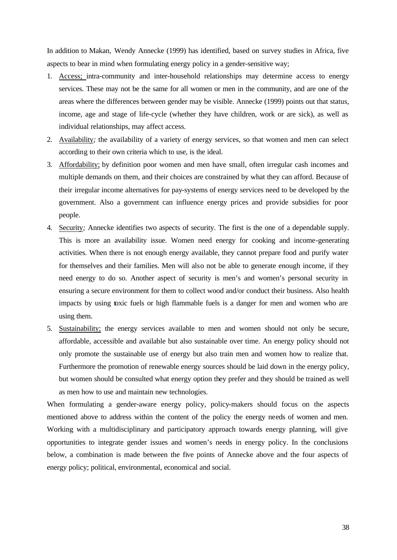In addition to Makan, Wendy Annecke (1999) has identified, based on survey studies in Africa, five aspects to bear in mind when formulating energy policy in a gender-sensitive way;

- 1. Access; intra-community and inter-household relationships may determine access to energy services. These may not be the same for all women or men in the community, and are one of the areas where the differences between gender may be visible. Annecke (1999) points out that status, income, age and stage of life-cycle (whether they have children, work or are sick), as well as individual relationships, may affect access.
- 2. Availability*;* the availability of a variety of energy services, so that women and men can select according to their own criteria which to use, is the ideal.
- 3. Affordability; by definition poor women and men have small, often irregular cash incomes and multiple demands on them, and their choices are constrained by what they can afford. Because of their irregular income alternatives for pay-systems of energy services need to be developed by the government. Also a government can influence energy prices and provide subsidies for poor people.
- 4. Security*;* Annecke identifies two aspects of security. The first is the one of a dependable supply. This is more an availability issue. Women need energy for cooking and income-generating activities. When there is not enough energy available, they cannot prepare food and purify water for themselves and their families. Men will also not be able to generate enough income, if they need energy to do so. Another aspect of security is men's and women's personal security in ensuring a secure environment for them to collect wood and/or conduct their business. Also health impacts by using toxic fuels or high flammable fuels is a danger for men and women who are using them.
- 5. Sustainability; the energy services available to men and women should not only be secure, affordable, accessible and available but also sustainable over time. An energy policy should not only promote the sustainable use of energy but also train men and women how to realize that. Furthermore the promotion of renewable energy sources should be laid down in the energy policy, but women should be consulted what energy option they prefer and they should be trained as well as men how to use and maintain new technologies.

When formulating a gender-aware energy policy, policy-makers should focus on the aspects mentioned above to address within the content of the policy the energy needs of women and men. Working with a multidisciplinary and participatory approach towards energy planning, will give opportunities to integrate gender issues and women's needs in energy policy. In the conclusions below, a combination is made between the five points of Annecke above and the four aspects of energy policy; political, environmental, economical and social.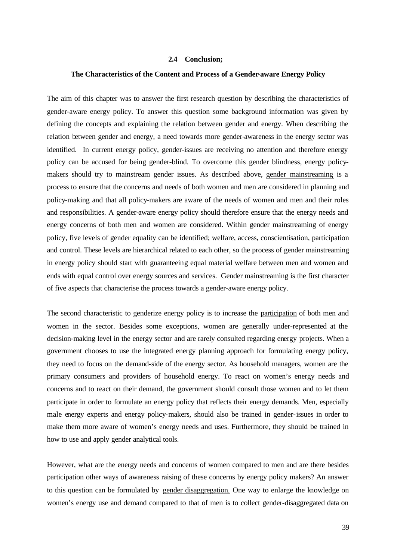#### **2.4 Conclusion;**

#### **The Characteristics of the Content and Process of a Gender-aware Energy Policy**

The aim of this chapter was to answer the first research question by describing the characteristics of gender-aware energy policy. To answer this question some background information was given by defining the concepts and explaining the relation between gender and energy. When describing the relation between gender and energy, a need towards more gender-awareness in the energy sector was identified. In current energy policy, gender-issues are receiving no attention and therefore energy policy can be accused for being gender-blind. To overcome this gender blindness, energy policymakers should try to mainstream gender issues. As described above, gender mainstreaming is a process to ensure that the concerns and needs of both women and men are considered in planning and policy-making and that all policy-makers are aware of the needs of women and men and their roles and responsibilities. A gender-aware energy policy should therefore ensure that the energy needs and energy concerns of both men and women are considered. Within gender mainstreaming of energy policy, five levels of gender equality can be identified; welfare, access, conscientisation, participation and control. These levels are hierarchical related to each other, so the process of gender mainstreaming in energy policy should start with guaranteeing equal material welfare between men and women and ends with equal control over energy sources and services. Gender mainstreaming is the first character of five aspects that characterise the process towards a gender-aware energy policy.

The second characteristic to genderize energy policy is to increase the participation of both men and women in the sector. Besides some exceptions, women are generally under-represented at the decision-making level in the energy sector and are rarely consulted regarding energy projects. When a government chooses to use the integrated energy planning approach for formulating energy policy, they need to focus on the demand-side of the energy sector. As household managers, women are the primary consumers and providers of household energy. To react on women's energy needs and concerns and to react on their demand, the government should consult those women and to let them participate in order to formulate an energy policy that reflects their energy demands. Men, especially male energy experts and energy policy-makers, should also be trained in gender-issues in order to make them more aware of women's energy needs and uses. Furthermore, they should be trained in how to use and apply gender analytical tools.

However, what are the energy needs and concerns of women compared to men and are there besides participation other ways of awareness raising of these concerns by energy policy makers? An answer to this question can be formulated by gender disaggregation. One way to enlarge the knowledge on women's energy use and demand compared to that of men is to collect gender-disaggregated data on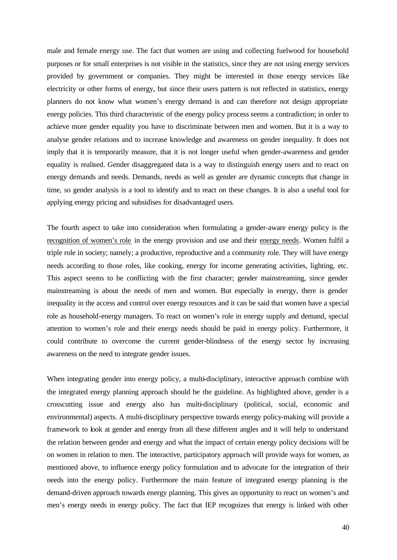male and female energy use. The fact that women are using and collecting fuelwood for household purposes or for small enterprises is not visible in the statistics, since they are not using energy services provided by government or companies. They might be interested in those energy services like electricity or other forms of energy, but since their users pattern is not reflected in statistics, energy planners do not know what women's energy demand is and can therefore not design appropriate energy policies. This third characteristic of the energy policy process seems a contradiction; in order to achieve more gender equality you have to discriminate between men and women. But it is a way to analyse gender relations and to increase knowledge and awareness on gender inequality. It does not imply that it is temporarily measure, that it is not longer useful when gender-awareness and gender equality is realised. Gender disaggregated data is a way to distinguish energy users and to react on energy demands and needs. Demands, needs as well as gender are dynamic concepts that change in time, so gender analysis is a tool to identify and to react on these changes. It is also a useful tool for applying energy pricing and subsidises for disadvantaged users.

The fourth aspect to take into consideration when formulating a gender-aware energy policy is the recognition of women's role in the energy provision and use and their energy needs. Women fulfil a triple role in society; namely; a productive, reproductive and a community role. They will have energy needs according to those roles, like cooking, energy for income generating activities, lighting, etc. This aspect seems to be conflicting with the first character; gender mainstreaming, since gender mainstreaming is about the needs of men and women. But especially in energy, there is gender inequality in the access and control over energy resources and it can be said that women have a special role as household-energy managers. To react on women's role in energy supply and demand, special attention to women's role and their energy needs should be paid in energy policy. Furthermore, it could contribute to overcome the current gender-blindness of the energy sector by increasing awareness on the need to integrate gender issues.

When integrating gender into energy policy, a multi-disciplinary, interactive approach combine with the integrated energy planning approach should be the guideline. As highlighted above, gender is a crosscutting issue and energy also has multi-disciplinary (political, social, economic and environmental) aspects. A multi-disciplinary perspective towards energy policy-making will provide a framework to look at gender and energy from all these different angles and it will help to understand the relation between gender and energy and what the impact of certain energy policy decisions will be on women in relation to men. The interactive, participatory approach will provide ways for women, as mentioned above, to influence energy policy formulation and to advocate for the integration of their needs into the energy policy. Furthermore the main feature of integrated energy planning is the demand-driven approach towards energy planning. This gives an opportunity to react on women's and men's energy needs in energy policy. The fact that IEP recognizes that energy is linked with other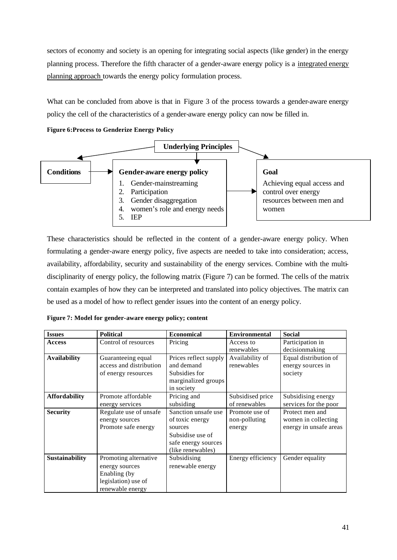sectors of economy and society is an opening for integrating social aspects (like gender) in the energy planning process. Therefore the fifth character of a gender-aware energy policy is a integrated energy planning approach towards the energy policy formulation process.

What can be concluded from above is that in Figure 3 of the process towards a gender-aware energy policy the cell of the characteristics of a gender-aware energy policy can now be filled in.

## **Figure 6:Process to Genderize Energy Policy**



These characteristics should be reflected in the content of a gender-aware energy policy. When formulating a gender-aware energy policy, five aspects are needed to take into consideration; access, availability, affordability, security and sustainability of the energy services. Combine with the multidisciplinarity of energy policy, the following matrix (Figure 7) can be formed. The cells of the matrix contain examples of how they can be interpreted and translated into policy objectives. The matrix can be used as a model of how to reflect gender issues into the content of an energy policy.

| <b>Issues</b>         | <b>Political</b>        | <b>Economical</b>     | <b>Environmental</b> | <b>Social</b>          |
|-----------------------|-------------------------|-----------------------|----------------------|------------------------|
| Access                | Control of resources    | Pricing               | Access to            | Participation in       |
|                       |                         |                       | renewables           | decisionmaking         |
| <b>Availability</b>   | Guaranteeing equal      | Prices reflect supply | Availability of      | Equal distribution of  |
|                       | access and distribution | and demand            | renewables           | energy sources in      |
|                       | of energy resources     | Subsidies for         |                      | society                |
|                       |                         | marginalized groups   |                      |                        |
|                       |                         | in society            |                      |                        |
| <b>Affordability</b>  | Promote affordable      | Pricing and           | Subsidised price     | Subsidising energy     |
|                       | energy services         | subsiding             | of renewables        | services for the poor  |
| <b>Security</b>       | Regulate use of unsafe  | Sanction unsafe use   | Promote use of       | Protect men and        |
|                       | energy sources          | of toxic energy       | non-polluting        | women in collecting    |
|                       | Promote safe energy     | sources               | energy               | energy in unsafe areas |
|                       |                         | Subsidise use of      |                      |                        |
|                       |                         | safe energy sources   |                      |                        |
|                       |                         | (like renewables)     |                      |                        |
| <b>Sustainability</b> | Promoting alternative   | Subsidising           | Energy efficiency    | Gender equality        |
|                       | energy sources          | renewable energy      |                      |                        |
|                       | Enabling (by            |                       |                      |                        |
|                       | legislation) use of     |                       |                      |                        |
|                       | renewable energy        |                       |                      |                        |

**Figure 7: Model for gender-aware energy policy; content**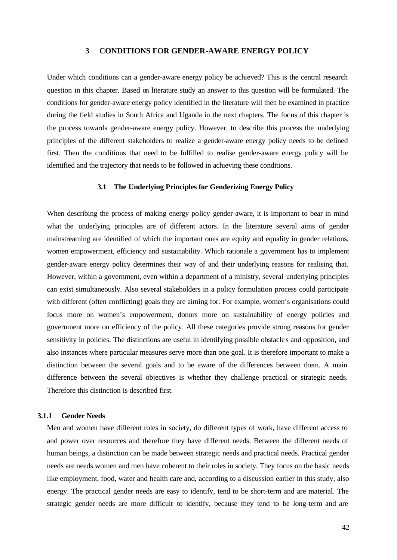## **3 CONDITIONS FOR GENDER-AWARE ENERGY POLICY**

Under which conditions can a gender-aware energy policy be achieved? This is the central research question in this chapter. Based on literature study an answer to this question will be formulated. The conditions for gender-aware energy policy identified in the literature will then be examined in practice during the field studies in South Africa and Uganda in the next chapters. The focus of this chapter is the process towards gender-aware energy policy. However, to describe this process the underlying principles of the different stakeholders to realize a gender-aware energy policy needs to be defined first. Then the conditions that need to be fulfilled to realise gender-aware energy policy will be identified and the trajectory that needs to be followed in achieving these conditions.

### **3.1 The Underlying Principles for Genderizing Energy Policy**

When describing the process of making energy policy gender-aware, it is important to bear in mind what the underlying principles are of different actors. In the literature several aims of gender mainstreaming are identified of which the important ones are equity and equality in gender relations, women empowerment, efficiency and sustainability. Which rationale a government has to implement gender-aware energy policy determines their way of and their underlying reasons for realising that. However, within a government, even within a department of a ministry, several underlying principles can exist simultaneously. Also several stakeholders in a policy formulation process could participate with different (often conflicting) goals they are aiming for. For example, women's organisations could focus more on women's empowerment, donors more on sustainability of energy policies and government more on efficiency of the policy. All these categories provide strong reasons for gender sensitivity in policies. The distinctions are useful in identifying possible obstacle s and opposition, and also instances where particular measures serve more than one goal. It is therefore important to make a distinction between the several goals and to be aware of the differences between them. A main difference between the several objectives is whether they challenge practical or strategic needs. Therefore this distinction is described first.

#### **3.1.1 Gender Needs**

Men and women have different roles in society, do different types of work, have different access to and power over resources and therefore they have different needs. Between the different needs of human beings, a distinction can be made between strategic needs and practical needs. Practical gender needs are needs women and men have coherent to their roles in society. They focus on the basic needs like employment, food, water and health care and, according to a discussion earlier in this study, also energy. The practical gender needs are easy to identify, tend to be short-term and are material. The strategic gender needs are more difficult to identify, because they tend to be long-term and are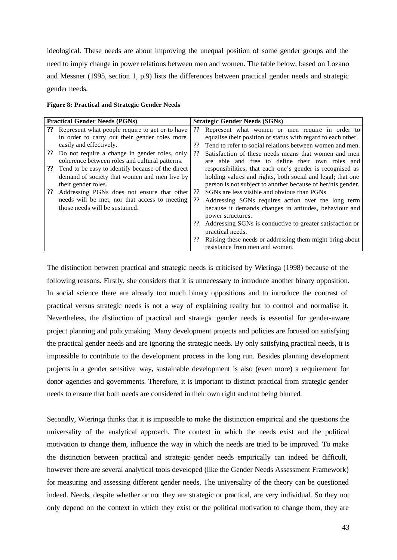ideological. These needs are about improving the unequal position of some gender groups and the need to imply change in power relations between men and women. The table below, based on Lozano and Messner (1995, section 1, p.9) lists the differences between practical gender needs and strategic gender needs.

**Figure 8: Practical and Strategic Gender Needs**

| <b>Practical Gender Needs (PGNs)</b> |                                                   |    | <b>Strategic Gender Needs (SGNs)</b>                         |
|--------------------------------------|---------------------------------------------------|----|--------------------------------------------------------------|
| ??                                   | Represent what people require to get or to have   | ?? | Represent what women or men require in order to              |
|                                      | in order to carry out their gender roles more     |    | equalise their position or status with regard to each other. |
|                                      | easily and effectively.                           | ?? | Tend to refer to social relations between women and men.     |
| ??                                   | Do not require a change in gender roles, only     | ?? | Satisfaction of these needs means that women and men         |
|                                      | coherence between roles and cultural patterns.    |    | are able and free to define their own roles and              |
| ??                                   | Tend to be easy to identify because of the direct |    | responsibilities; that each one's gender is recognised as    |
|                                      | demand of society that women and men live by      |    | holding values and rights, both social and legal; that one   |
|                                      | their gender roles.                               |    | person is not subject to another because of her/his gender.  |
| ??                                   | Addressing PGNs does not ensure that other        | ?? | SGNs are less visible and obvious than PGNs                  |
|                                      | needs will be met, nor that access to meeting     | ?? | Addressing SGNs requires action over the long term           |
|                                      | those needs will be sustained.                    |    | because it demands changes in attitudes, behaviour and       |
|                                      |                                                   |    | power structures.                                            |
|                                      |                                                   | ?? | Addressing SGNs is conductive to greater satisfaction or     |
|                                      |                                                   |    | practical needs.                                             |
|                                      |                                                   |    | Raising these needs or addressing them might bring about     |
|                                      |                                                   |    | resistance from men and women.                               |

The distinction between practical and strategic needs is criticised by Wieringa (1998) because of the following reasons. Firstly, she considers that it is unnecessary to introduce another binary opposition. In social science there are already too much binary oppositions and to introduce the contrast of practical versus strategic needs is not a way of explaining reality but to control and normalise it. Nevertheless, the distinction of practical and strategic gender needs is essential for gender-aware project planning and policymaking. Many development projects and policies are focused on satisfying the practical gender needs and are ignoring the strategic needs. By only satisfying practical needs, it is impossible to contribute to the development process in the long run. Besides planning development projects in a gender sensitive way, sustainable development is also (even more) a requirement for donor-agencies and governments. Therefore, it is important to distinct practical from strategic gender needs to ensure that both needs are considered in their own right and not being blurred.

Secondly, Wieringa thinks that it is impossible to make the distinction empirical and she questions the universality of the analytical approach. The context in which the needs exist and the political motivation to change them, influence the way in which the needs are tried to be improved. To make the distinction between practical and strategic gender needs empirically can indeed be difficult, however there are several analytical tools developed (like the Gender Needs Assessment Framework) for measuring and assessing different gender needs. The universality of the theory can be questioned indeed. Needs, despite whether or not they are strategic or practical, are very individual. So they not only depend on the context in which they exist or the political motivation to change them, they are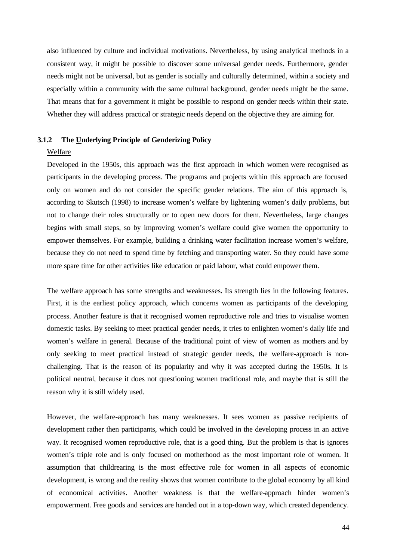also influenced by culture and individual motivations. Nevertheless, by using analytical methods in a consistent way, it might be possible to discover some universal gender needs. Furthermore, gender needs might not be universal, but as gender is socially and culturally determined, within a society and especially within a community with the same cultural background, gender needs might be the same. That means that for a government it might be possible to respond on gender needs within their state. Whether they will address practical or strategic needs depend on the objective they are aiming for.

#### **3.1.2 The Underlying Principle of Genderizing Policy**

## Welfare

Developed in the 1950s, this approach was the first approach in which women were recognised as participants in the developing process. The programs and projects within this approach are focused only on women and do not consider the specific gender relations. The aim of this approach is, according to Skutsch (1998) to increase women's welfare by lightening women's daily problems, but not to change their roles structurally or to open new doors for them. Nevertheless, large changes begins with small steps, so by improving women's welfare could give women the opportunity to empower themselves. For example, building a drinking water facilitation increase women's welfare, because they do not need to spend time by fetching and transporting water. So they could have some more spare time for other activities like education or paid labour, what could empower them.

The welfare approach has some strengths and weaknesses. Its strength lies in the following features. First, it is the earliest policy approach, which concerns women as participants of the developing process. Another feature is that it recognised women reproductive role and tries to visualise women domestic tasks. By seeking to meet practical gender needs, it tries to enlighten women's daily life and women's welfare in general. Because of the traditional point of view of women as mothers and by only seeking to meet practical instead of strategic gender needs, the welfare-approach is nonchallenging. That is the reason of its popularity and why it was accepted during the 1950s. It is political neutral, because it does not questioning women traditional role, and maybe that is still the reason why it is still widely used.

However, the welfare-approach has many weaknesses. It sees women as passive recipients of development rather then participants, which could be involved in the developing process in an active way. It recognised women reproductive role, that is a good thing. But the problem is that is ignores women's triple role and is only focused on motherhood as the most important role of women. It assumption that childrearing is the most effective role for women in all aspects of economic development, is wrong and the reality shows that women contribute to the global economy by all kind of economical activities. Another weakness is that the welfare-approach hinder women's empowerment. Free goods and services are handed out in a top-down way, which created dependency.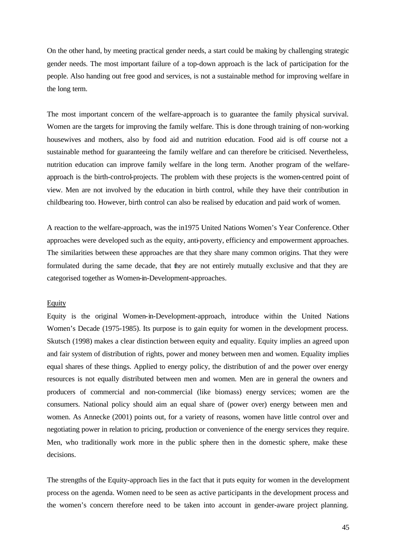On the other hand, by meeting practical gender needs, a start could be making by challenging strategic gender needs. The most important failure of a top-down approach is the lack of participation for the people. Also handing out free good and services, is not a sustainable method for improving welfare in the long term.

The most important concern of the welfare-approach is to guarantee the family physical survival. Women are the targets for improving the family welfare. This is done through training of non-working housewives and mothers, also by food aid and nutrition education. Food aid is off course not a sustainable method for guaranteeing the family welfare and can therefore be criticised. Nevertheless, nutrition education can improve family welfare in the long term. Another program of the welfareapproach is the birth-control-projects. The problem with these projects is the women-centred point of view. Men are not involved by the education in birth control, while they have their contribution in childbearing too. However, birth control can also be realised by education and paid work of women.

A reaction to the welfare-approach, was the in1975 United Nations Women's Year Conference. Other approaches were developed such as the equity, anti-poverty, efficiency and empowerment approaches. The similarities between these approaches are that they share many common origins. That they were formulated during the same decade, that they are not entirely mutually exclusive and that they are categorised together as Women-in-Development-approaches.

### Equity

Equity is the original Women-in-Development-approach, introduce within the United Nations Women's Decade (1975-1985). Its purpose is to gain equity for women in the development process. Skutsch (1998) makes a clear distinction between equity and equality. Equity implies an agreed upon and fair system of distribution of rights, power and money between men and women. Equality implies equal shares of these things. Applied to energy policy, the distribution of and the power over energy resources is not equally distributed between men and women. Men are in general the owners and producers of commercial and non-commercial (like biomass) energy services; women are the consumers. National policy should aim an equal share of (power over) energy between men and women. As Annecke (2001) points out, for a variety of reasons, women have little control over and negotiating power in relation to pricing, production or convenience of the energy services they require. Men, who traditionally work more in the public sphere then in the domestic sphere, make these decisions.

The strengths of the Equity-approach lies in the fact that it puts equity for women in the development process on the agenda. Women need to be seen as active participants in the development process and the women's concern therefore need to be taken into account in gender-aware project planning.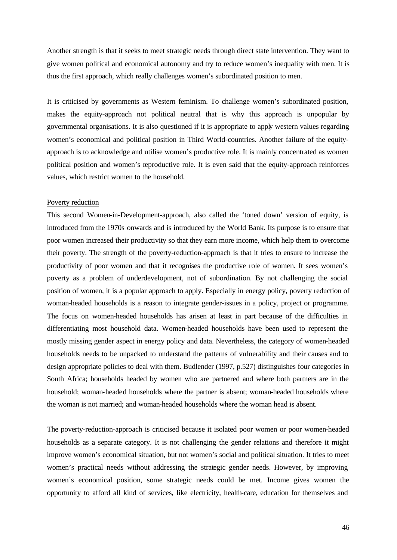Another strength is that it seeks to meet strategic needs through direct state intervention. They want to give women political and economical autonomy and try to reduce women's inequality with men. It is thus the first approach, which really challenges women's subordinated position to men.

It is criticised by governments as Western feminism. To challenge women's subordinated position, makes the equity-approach not political neutral that is why this approach is unpopular by governmental organisations. It is also questioned if it is appropriate to apply western values regarding women's economical and political position in Third World-countries. Another failure of the equityapproach is to acknowledge and utilise women's productive role. It is mainly concentrated as women political position and women's reproductive role. It is even said that the equity-approach reinforces values, which restrict women to the household.

## Poverty reduction

This second Women-in-Development-approach, also called the 'toned down' version of equity, is introduced from the 1970s onwards and is introduced by the World Bank. Its purpose is to ensure that poor women increased their productivity so that they earn more income, which help them to overcome their poverty. The strength of the poverty-reduction-approach is that it tries to ensure to increase the productivity of poor women and that it recognises the productive role of women. It sees women's poverty as a problem of underdevelopment, not of subordination. By not challenging the social position of women, it is a popular approach to apply. Especially in energy policy, poverty reduction of woman-headed households is a reason to integrate gender-issues in a policy, project or programme. The focus on women-headed households has arisen at least in part because of the difficulties in differentiating most household data. Women-headed households have been used to represent the mostly missing gender aspect in energy policy and data. Nevertheless, the category of women-headed households needs to be unpacked to understand the patterns of vulnerability and their causes and to design appropriate policies to deal with them. Budlender (1997, p.527) distinguishes four categories in South Africa; households headed by women who are partnered and where both partners are in the household; woman-headed households where the partner is absent; woman-headed households where the woman is not married; and woman-headed households where the woman head is absent.

The poverty-reduction-approach is criticised because it isolated poor women or poor women-headed households as a separate category. It is not challenging the gender relations and therefore it might improve women's economical situation, but not women's social and political situation. It tries to meet women's practical needs without addressing the strategic gender needs. However, by improving women's economical position, some strategic needs could be met. Income gives women the opportunity to afford all kind of services, like electricity, health-care, education for themselves and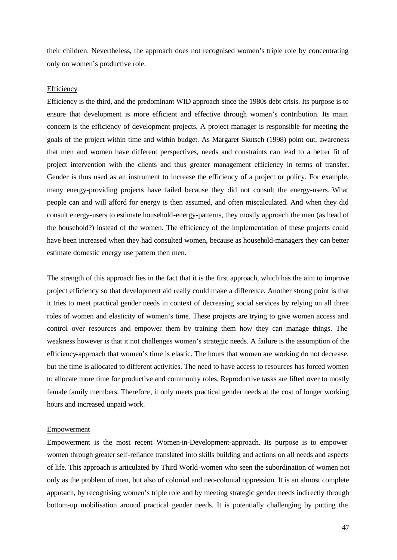their children. Nevertheless, the approach does not recognised women's triple role by concentrating only on women's productive role.

#### **Efficiency**

Efficiency is the third, and the predominant WID approach since the 1980s debt crisis. Its purpose is to ensure that development is more efficient and effective through women's contribution. Its main concern is the efficiency of development projects. A project manager is responsible for meeting the goals of the project within time and within budget. As Margaret Skutsch (1998) point out, awareness that men and women have different perspectives, needs and constraints can lead to a better fit of project intervention with the clients and thus greater management efficiency in terms of transfer. Gender is thus used as an instrument to increase the efficiency of a project or policy. For example, many energy-providing projects have failed because they did not consult the energy-users. What people can and will afford for energy is then assumed, and often miscalculated. And when they did consult energy-users to estimate household-energy-patterns, they mostly approach the men (as head of the household?) instead of the women. The efficiency of the implementation of these projects could have been increased when they had consulted women, because as household-managers they can better estimate domestic energy use pattern then men.

The strength of this approach lies in the fact that it is the first approach, which has the aim to improve project efficiency so that development aid really could make a difference. Another strong point is that it tries to meet practical gender needs in context of decreasing social services by relying on all three roles of women and elasticity of women's time. These projects are trying to give women access and control over resources and empower them by training them how they can manage things. The weakness however is that it not challenges women's strategic needs. A failure is the assumption of the efficiency-approach that women's time is elastic. The hours that women are working do not decrease, but the time is allocated to different activities. The need to have access to resources has forced women to allocate more time for productive and community roles. Reproductive tasks are lifted over to mostly female family members. Therefore, it only meets practical gender needs at the cost of longer working hours and increased unpaid work.

#### Empowerment

Empowerment is the most recent Women-in-Development-approach. Its purpose is to empower women through greater self-reliance translated into skills building and actions on all needs and aspects of life. This approach is articulated by Third World-women who seen the subordination of women not only as the problem of men, but also of colonial and neo-colonial oppression. It is an almost complete approach, by recognising women's triple role and by meeting strategic gender needs indirectly through bottom-up mobilisation around practical gender needs. It is potentially challenging by putting the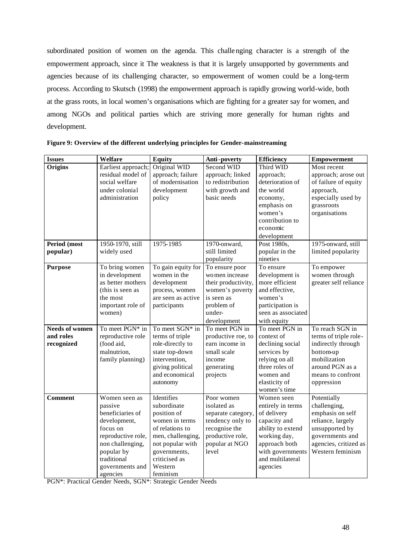subordinated position of women on the agenda. This challenging character is a strength of the empowerment approach, since it The weakness is that it is largely unsupported by governments and agencies because of its challenging character, so empowerment of women could be a long-term process. According to Skutsch (1998) the empowerment approach is rapidly growing world-wide, both at the grass roots, in local women's organisations which are fighting for a greater say for women, and among NGOs and political parties which are striving more generally for human rights and development.

| <b>Issues</b>         | Welfare            | <b>Equity</b>      | Anti-poverty                  | <b>Efficiency</b>             | <b>Empowerment</b>    |
|-----------------------|--------------------|--------------------|-------------------------------|-------------------------------|-----------------------|
| <b>Origins</b>        | Earliest approach; | Original WID       | Second WID                    | Third WID                     | Most recent           |
|                       | residual model of  | approach; failure  | approach; linked              | approach;                     | approach; arose out   |
|                       | social welfare     | of modernisation   | to redistribution             | deterioration of              | of failure of equity  |
|                       | under colonial     | development        | with growth and               | the world                     | approach,             |
|                       | administration     | policy             | basic needs                   | economy,                      | especially used by    |
|                       |                    |                    |                               | emphasis on                   | grassroots            |
|                       |                    |                    |                               | women's                       | organisations         |
|                       |                    |                    |                               | contribution to               |                       |
|                       |                    |                    |                               | economic                      |                       |
|                       |                    |                    |                               | development                   |                       |
| Period (most          | 1950-1970, still   | 1975-1985          | 1970-onward,                  | Post 1980s,                   | 1975-onward, still    |
| popular)              | widely used        |                    | still limited                 | popular in the                | limited popularity    |
|                       |                    |                    | popularity                    | nineties                      |                       |
| <b>Purpose</b>        | To bring women     | To gain equity for | To ensure poor                | To ensure                     | To empower            |
|                       | in development     | women in the       | wo men increase               | development is                | women through         |
|                       | as better mothers  | development        | their productivity,           | more efficient                | greater self reliance |
|                       | (this is seen as   | process, women     | women's poverty               | and effective,                |                       |
|                       | the most           | are seen as active | is seen as                    | women's                       |                       |
|                       | important role of  | participants       | problem of                    | participation is              |                       |
|                       | women)             |                    | under-                        | seen as associated            |                       |
| <b>Needs of women</b> | To meet PGN* in    | To meet SGN* in    | development<br>To meet PGN in | with equity<br>To meet PGN in | To reach SGN in       |
| and roles             | reproductive role  | terms of triple    | productive roe, to            | context of                    | terms of triple role- |
| recognized            | (food aid,         | role-directly to   | earn income in                | declining social              | indirectly through    |
|                       | malnutrion,        | state top-down     | small scale                   | services by                   | bottom-up             |
|                       | family planning)   | intervention,      | income                        | relying on all                | mobilization          |
|                       |                    | giving political   | generating                    | three roles of                | around PGN as a       |
|                       |                    | and economical     | projects                      | women and                     | means to confront     |
|                       |                    | autonomy           |                               | elasticity of                 | oppression            |
|                       |                    |                    |                               | women's time                  |                       |
| <b>Comment</b>        | Women seen as      | Identifies         | Poor women                    | Women seen                    | Potentially           |
|                       | passive            | subordinate        | isolated as                   | entirely in terms             | challenging,          |
|                       | beneficiaries of   | position of        | separate category,            | of delivery                   | emphasis on self      |
|                       | development,       | women in terms     | tendency only to              | capacity and                  | reliance, largely     |
|                       | focus on           | of relations to    | recognise the                 | ability to extend             | unsupported by        |
|                       | reproductive role, | men, challenging,  | productive role,              | working day,                  | governments and       |
|                       | non challenging,   | not popular with   | popular at NGO                | approach both                 | agencies, critized as |
|                       | popular by         | governments,       | level                         | with governments              | Western feminism      |
|                       | traditional        | criticised as      |                               | and multilateral              |                       |
|                       | governments and    | Western            |                               | agencies                      |                       |
|                       | agencies           | feminism           |                               |                               |                       |

|  |  |  | Figure 9: Overview of the different underlying principles for Gender-mainstreaming |
|--|--|--|------------------------------------------------------------------------------------|
|  |  |  |                                                                                    |

PGN\*: Practical Gender Needs, SGN\*: Strategic Gender Needs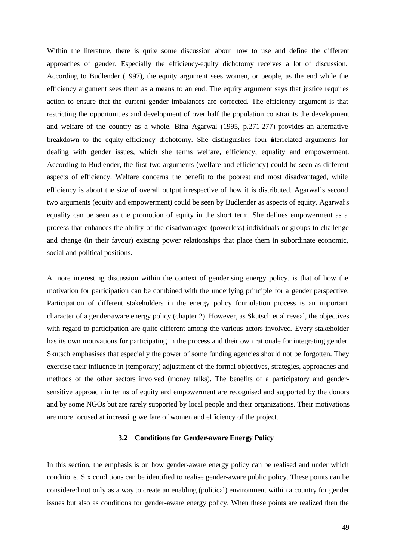Within the literature, there is quite some discussion about how to use and define the different approaches of gender. Especially the efficiency-equity dichotomy receives a lot of discussion. According to Budlender (1997), the equity argument sees women, or people, as the end while the efficiency argument sees them as a means to an end. The equity argument says that justice requires action to ensure that the current gender imbalances are corrected. The efficiency argument is that restricting the opportunities and development of over half the population constraints the development and welfare of the country as a whole. Bina Agarwal (1995, p.271-277) provides an alternative breakdown to the equity-efficiency dichotomy. She distinguishes four interrelated arguments for dealing with gender issues, which she terms welfare, efficiency, equality and empowerment. According to Budlender, the first two arguments (welfare and efficiency) could be seen as different aspects of efficiency. Welfare concerns the benefit to the poorest and most disadvantaged, while efficiency is about the size of overall output irrespective of how it is distributed. Agarwal's second two arguments (equity and empowerment) could be seen by Budlender as aspects of equity. Agarwal's equality can be seen as the promotion of equity in the short term. She defines empowerment as a process that enhances the ability of the disadvantaged (powerless) individuals or groups to challenge and change (in their favour) existing power relationships that place them in subordinate economic, social and political positions.

A more interesting discussion within the context of genderising energy policy, is that of how the motivation for participation can be combined with the underlying principle for a gender perspective. Participation of different stakeholders in the energy policy formulation process is an important character of a gender-aware energy policy (chapter 2). However, as Skutsch et al reveal, the objectives with regard to participation are quite different among the various actors involved. Every stakeholder has its own motivations for participating in the process and their own rationale for integrating gender. Skutsch emphasises that especially the power of some funding agencies should not be forgotten. They exercise their influence in (temporary) adjustment of the formal objectives, strategies, approaches and methods of the other sectors involved (money talks). The benefits of a participatory and gendersensitive approach in terms of equity and empowerment are recognised and supported by the donors and by some NGOs but are rarely supported by local people and their organizations. Their motivations are more focused at increasing welfare of women and efficiency of the project.

## **3.2 Conditions for Gender-aware Energy Policy**

In this section, the emphasis is on how gender-aware energy policy can be realised and under which conditions. Six conditions can be identified to realise gender-aware public policy. These points can be considered not only as a way to create an enabling (political) environment within a country for gender issues but also as conditions for gender-aware energy policy. When these points are realized then the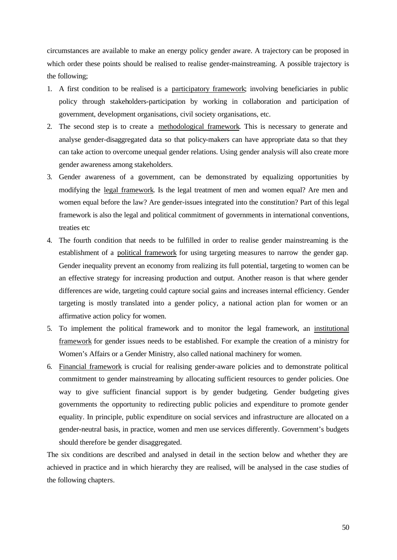circumstances are available to make an energy policy gender aware. A trajectory can be proposed in which order these points should be realised to realise gender-mainstreaming. A possible trajectory is the following;

- 1. A first condition to be realised is a participatory framework; involving beneficiaries in public policy through stakeholders-participation by working in collaboration and participation of government, development organisations, civil society organisations, etc.
- 2. The second step is to create a methodological framework. This is necessary to generate and analyse gender-disaggregated data so that policy-makers can have appropriate data so that they can take action to overcome unequal gender relations. Using gender analysis will also create more gender awareness among stakeholders.
- 3. Gender awareness of a government, can be demonstrated by equalizing opportunities by modifying the legal framework. Is the legal treatment of men and women equal? Are men and women equal before the law? Are gender-issues integrated into the constitution? Part of this legal framework is also the legal and political commitment of governments in international conventions, treaties etc
- 4. The fourth condition that needs to be fulfilled in order to realise gender mainstreaming is the establishment of a political framework for using targeting measures to narrow the gender gap. Gender inequality prevent an economy from realizing its full potential, targeting to women can be an effective strategy for increasing production and output. Another reason is that where gender differences are wide, targeting could capture social gains and increases internal efficiency. Gender targeting is mostly translated into a gender policy, a national action plan for women or an affirmative action policy for women.
- 5. To implement the political framework and to monitor the legal framework, an institutional framework for gender issues needs to be established. For example the creation of a ministry for Women's Affairs or a Gender Ministry, also called national machinery for women.
- 6. Financial framework is crucial for realising gender-aware policies and to demonstrate political commitment to gender mainstreaming by allocating sufficient resources to gender policies. One way to give sufficient financial support is by gender budgeting*.* Gender budgeting gives governments the opportunity to redirecting public policies and expenditure to promote gender equality. In principle, public expenditure on social services and infrastructure are allocated on a gender-neutral basis, in practice, women and men use services differently. Government's budgets should therefore be gender disaggregated.

The six conditions are described and analysed in detail in the section below and whether they are achieved in practice and in which hierarchy they are realised, will be analysed in the case studies of the following chapters.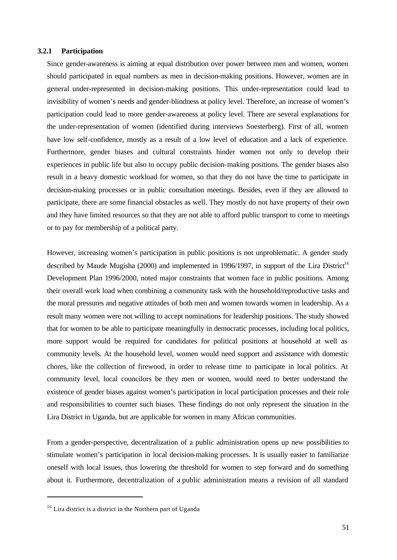## **3.2.1 Participation**

Since gender-awareness is aiming at equal distribution over power between men and women, women should participated in equal numbers as men in decision-making positions. However, women are in general under-represented in decision-making positions. This under-representation could lead to invisibility of women's needs and gender-blindness at policy level. Therefore, an increase of women's participation could lead to more gender-awareness at policy level. There are several explanations for the under-representation of women (identified during interviews Soesterberg). First of all, women have low self-confidence, mostly as a result of a low level of education and a lack of experience. Furthermore, gender biases and cultural constraints hinder women not only to develop their experiences in public life but also to occupy public decision-making positions. The gender biases also result in a heavy domestic workload for women, so that they do not have the time to participate in decision-making processes or in public consultation meetings. Besides, even if they are allowed to participate, there are some financial obstacles as well. They mostly do not have property of their own and they have limited resources so that they are not able to afford public transport to come to meetings or to pay for membership of a political party.

However, increasing women's participation in public positions is not unproblematic. A gender study described by Maude Mugisha (2000) and implemented in 1996/1997, in support of the Lira District<sup>16</sup> Development Plan 1996/2000, noted major constraints that women face in public positions. Among their overall work load when combining a community task with the household/reproductive tasks and the moral pressures and negative attitudes of both men and women towards women in leadership. As a result many women were not willing to accept nominations for leadership positions. The study showed that for women to be able to participate meaningfully in democratic processes, including local politics, more support would be required for candidates for political positions at household at well as community levels. At the household level, women would need support and assistance with domestic chores, like the collection of firewood, in order to release time to participate in local politics. At community level, local councilors be they men or women, would need to better understand the existence of gender biases against women's participation in local participation processes and their role and responsibilities to counter such biases. These findings do not only represent the situation in the Lira District in Uganda, but are applicable for women in many African communities.

From a gender-perspective, decentralization of a public administration opens up new possibilities to stimulate women's participation in local decision-making processes. It is usually easier to familiarize oneself with local issues, thus lowering the threshold for women to step forward and do something about it. Furthermore, decentralization of a public administration means a revision of all standard

l

 $16$  Lira district is a district in the Northern part of Uganda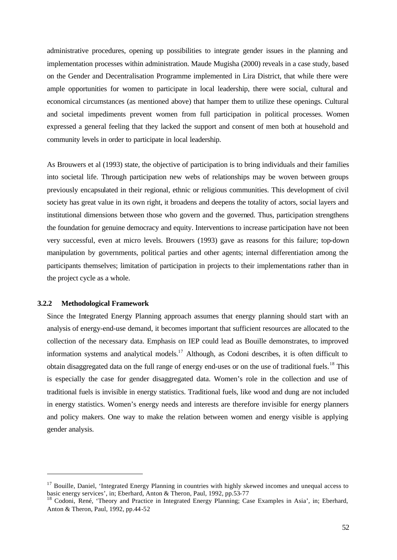administrative procedures, opening up possibilities to integrate gender issues in the planning and implementation processes within administration. Maude Mugisha (2000) reveals in a case study, based on the Gender and Decentralisation Programme implemented in Lira District, that while there were ample opportunities for women to participate in local leadership, there were social, cultural and economical circumstances (as mentioned above) that hamper them to utilize these openings. Cultural and societal impediments prevent women from full participation in political processes. Women expressed a general feeling that they lacked the support and consent of men both at household and community levels in order to participate in local leadership.

As Brouwers et al (1993) state, the objective of participation is to bring individuals and their families into societal life. Through participation new webs of relationships may be woven between groups previously encapsulated in their regional, ethnic or religious communities. This development of civil society has great value in its own right, it broadens and deepens the totality of actors, social layers and institutional dimensions between those who govern and the governed. Thus, participation strengthens the foundation for genuine democracy and equity. Interventions to increase participation have not been very successful, even at micro levels. Brouwers (1993) gave as reasons for this failure; top-down manipulation by governments, political parties and other agents; internal differentiation among the participants themselves; limitation of participation in projects to their implementations rather than in the project cycle as a whole.

### **3.2.2 Methodological Framework**

l

Since the Integrated Energy Planning approach assumes that energy planning should start with an analysis of energy-end-use demand, it becomes important that sufficient resources are allocated to the collection of the necessary data. Emphasis on IEP could lead as Bouille demonstrates, to improved information systems and analytical models.<sup>17</sup> Although, as Codoni describes, it is often difficult to obtain disaggregated data on the full range of energy end-uses or on the use of traditional fuels.<sup>18</sup> This is especially the case for gender disaggregated data. Women's role in the collection and use of traditional fuels is invisible in energy statistics. Traditional fuels, like wood and dung are not included in energy statistics. Women's energy needs and interests are therefore invisible for energy planners and policy makers. One way to make the relation between women and energy visible is applying gender analysis.

<sup>&</sup>lt;sup>17</sup> Bouille, Daniel, 'Integrated Energy Planning in countries with highly skewed incomes and unequal access to basic energy services', in; Eberhard, Anton & Theron, Paul, 1992, pp.53-77

<sup>&</sup>lt;sup>18</sup> Codoni, René, 'Theory and Practice in Integrated Energy Planning; Case Examples in Asia', in; Eberhard, Anton & Theron, Paul, 1992, pp.44-52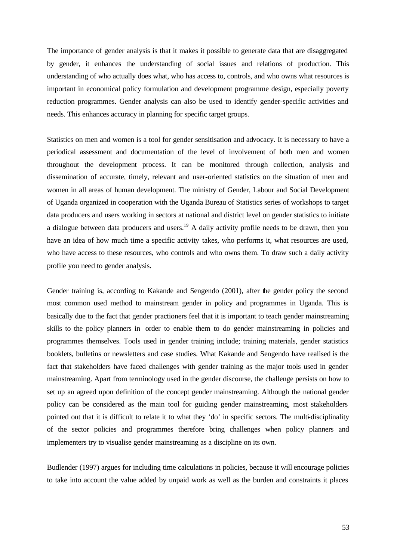The importance of gender analysis is that it makes it possible to generate data that are disaggregated by gender, it enhances the understanding of social issues and relations of production. This understanding of who actually does what, who has access to, controls, and who owns what resources is important in economical policy formulation and development programme design, especially poverty reduction programmes. Gender analysis can also be used to identify gender-specific activities and needs. This enhances accuracy in planning for specific target groups.

Statistics on men and women is a tool for gender sensitisation and advocacy. It is necessary to have a periodical assessment and documentation of the level of involvement of both men and women throughout the development process. It can be monitored through collection, analysis and dissemination of accurate, timely, relevant and user-oriented statistics on the situation of men and women in all areas of human development. The ministry of Gender, Labour and Social Development of Uganda organized in cooperation with the Uganda Bureau of Statistics series of workshops to target data producers and users working in sectors at national and district level on gender statistics to initiate a dialogue between data producers and users.<sup>19</sup> A daily activity profile needs to be drawn, then you have an idea of how much time a specific activity takes, who performs it, what resources are used, who have access to these resources, who controls and who owns them. To draw such a daily activity profile you need to gender analysis.

Gender training is, according to Kakande and Sengendo (2001), after the gender policy the second most common used method to mainstream gender in policy and programmes in Uganda. This is basically due to the fact that gender practioners feel that it is important to teach gender mainstreaming skills to the policy planners in order to enable them to do gender mainstreaming in policies and programmes themselves. Tools used in gender training include; training materials, gender statistics booklets, bulletins or newsletters and case studies. What Kakande and Sengendo have realised is the fact that stakeholders have faced challenges with gender training as the major tools used in gender mainstreaming. Apart from terminology used in the gender discourse, the challenge persists on how to set up an agreed upon definition of the concept gender mainstreaming. Although the national gender policy can be considered as the main tool for guiding gender mainstreaming, most stakeholders pointed out that it is difficult to relate it to what they 'do' in specific sectors. The multi-disciplinality of the sector policies and programmes therefore bring challenges when policy planners and implementers try to visualise gender mainstreaming as a discipline on its own.

Budlender (1997) argues for including time calculations in policies, because it will encourage policies to take into account the value added by unpaid work as well as the burden and constraints it places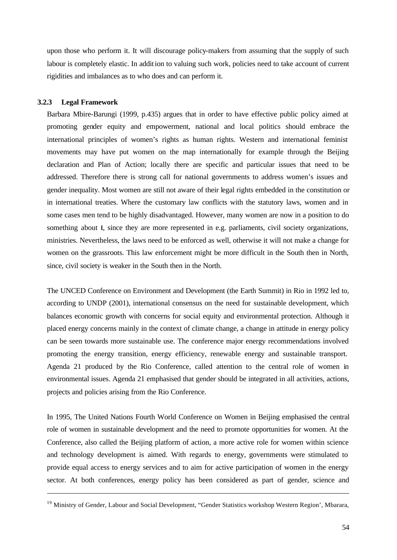upon those who perform it. It will discourage policy-makers from assuming that the supply of such labour is completely elastic. In addition to valuing such work, policies need to take account of current rigidities and imbalances as to who does and can perform it.

#### **3.2.3 Legal Framework**

l

Barbara Mbire-Barungi (1999, p.435) argues that in order to have effective public policy aimed at promoting gender equity and empowerment, national and local politics should embrace the international principles of women's rights as human rights. Western and international feminist movements may have put women on the map internationally for example through the Beijing declaration and Plan of Action; locally there are specific and particular issues that need to be addressed. Therefore there is strong call for national governments to address women's issues and gender inequality. Most women are still not aware of their legal rights embedded in the constitution or in international treaties. Where the customary law conflicts with the statutory laws, women and in some cases men tend to be highly disadvantaged. However, many women are now in a position to do something about  $\dot{\mathbf{t}}$ , since they are more represented in e.g. parliaments, civil society organizations, ministries. Nevertheless, the laws need to be enforced as well, otherwise it will not make a change for women on the grassroots. This law enforcement might be more difficult in the South then in North, since, civil society is weaker in the South then in the North.

The UNCED Conference on Environment and Development (the Earth Summit) in Rio in 1992 led to, according to UNDP (2001), international consensus on the need for sustainable development, which balances economic growth with concerns for social equity and environmental protection. Although it placed energy concerns mainly in the context of climate change, a change in attitude in energy policy can be seen towards more sustainable use. The conference major energy recommendations involved promoting the energy transition, energy efficiency, renewable energy and sustainable transport. Agenda 21 produced by the Rio Conference, called attention to the central role of women in environmental issues. Agenda 21 emphasised that gender should be integrated in all activities, actions, projects and policies arising from the Rio Conference.

In 1995, The United Nations Fourth World Conference on Women in Beijing emphasised the central role of women in sustainable development and the need to promote opportunities for women. At the Conference, also called the Beijing platform of action, a more active role for women within science and technology development is aimed. With regards to energy, governments were stimulated to provide equal access to energy services and to aim for active participation of women in the energy sector. At both conferences, energy policy has been considered as part of gender, science and

<sup>&</sup>lt;sup>19</sup> Ministry of Gender, Labour and Social Development, "Gender Statistics workshop Western Region', Mbarara,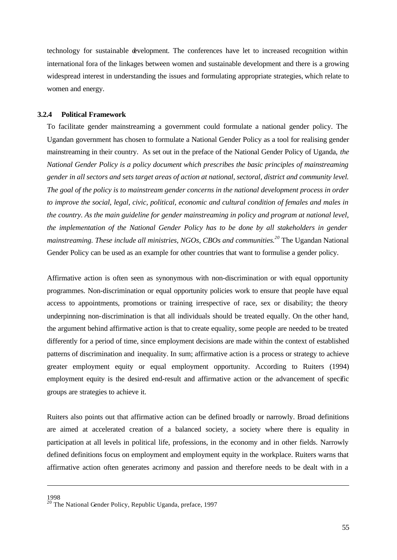technology for sustainable development. The conferences have let to increased recognition within international fora of the linkages between women and sustainable development and there is a growing widespread interest in understanding the issues and formulating appropriate strategies, which relate to women and energy.

### **3.2.4 Political Framework**

To facilitate gender mainstreaming a government could formulate a national gender policy. The Ugandan government has chosen to formulate a National Gender Policy as a tool for realising gender mainstreaming in their country. As set out in the preface of the National Gender Policy of Uganda, *the National Gender Policy is a policy document which prescribes the basic principles of mainstreaming gender in all sectors and sets target areas of action at national, sectoral, district and community level. The goal of the policy is to mainstream gender concerns in the national development process in order to improve the social, legal, civic, political, economic and cultural condition of females and males in the country. As the main guideline for gender mainstreaming in policy and program at national level, the implementation of the National Gender Policy has to be done by all stakeholders in gender mainstreaming. These include all ministries, NGOs, CBOs and communities.<sup>20</sup>* The Ugandan National Gender Policy can be used as an example for other countries that want to formulise a gender policy.

Affirmative action is often seen as synonymous with non-discrimination or with equal opportunity programmes. Non-discrimination or equal opportunity policies work to ensure that people have equal access to appointments, promotions or training irrespective of race, sex or disability; the theory underpinning non-discrimination is that all individuals should be treated equally. On the other hand, the argument behind affirmative action is that to create equality, some people are needed to be treated differently for a period of time, since employment decisions are made within the context of established patterns of discrimination and inequality. In sum; affirmative action is a process or strategy to achieve greater employment equity or equal employment opportunity. According to Ruiters (1994) employment equity is the desired end-result and affirmative action or the advancement of specific groups are strategies to achieve it.

Ruiters also points out that affirmative action can be defined broadly or narrowly. Broad definitions are aimed at accelerated creation of a balanced society, a society where there is equality in participation at all levels in political life, professions, in the economy and in other fields. Narrowly defined definitions focus on employment and employment equity in the workplace. Ruiters warns that affirmative action often generates acrimony and passion and therefore needs to be dealt with in a

1998

l

<sup>&</sup>lt;sup>20</sup> The National Gender Policy, Republic Uganda, preface, 1997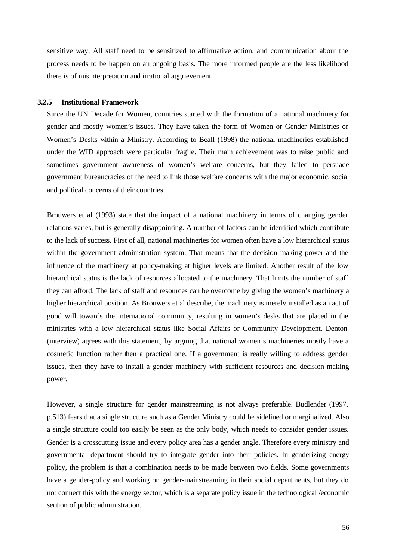sensitive way. All staff need to be sensitized to affirmative action, and communication about the process needs to be happen on an ongoing basis. The more informed people are the less likelihood there is of misinterpretation and irrational aggrievement.

#### **3.2.5 Institutional Framework**

Since the UN Decade for Women, countries started with the formation of a national machinery for gender and mostly women's issues. They have taken the form of Women or Gender Ministries or Women's Desks within a Ministry. According to Beall (1998) the national machineries established under the WID approach were particular fragile. Their main achievement was to raise public and sometimes government awareness of women's welfare concerns, but they failed to persuade government bureaucracies of the need to link those welfare concerns with the major economic, social and political concerns of their countries.

Brouwers et al (1993) state that the impact of a national machinery in terms of changing gender relations varies, but is generally disappointing. A number of factors can be identified which contribute to the lack of success. First of all, national machineries for women often have a low hierarchical status within the government administration system. That means that the decision-making power and the influence of the machinery at policy-making at higher levels are limited. Another result of the low hierarchical status is the lack of resources allocated to the machinery. That limits the number of staff they can afford. The lack of staff and resources can be overcome by giving the women's machinery a higher hierarchical position. As Brouwers et al describe, the machinery is merely installed as an act of good will towards the international community, resulting in women's desks that are placed in the ministries with a low hierarchical status like Social Affairs or Community Development. Denton (interview) agrees with this statement, by arguing that national women's machineries mostly have a cosmetic function rather then a practical one. If a government is really willing to address gender issues, then they have to install a gender machinery with sufficient resources and decision-making power.

However, a single structure for gender mainstreaming is not always preferable. Budlender (1997, p.513) fears that a single structure such as a Gender Ministry could be sidelined or marginalized. Also a single structure could too easily be seen as the only body, which needs to consider gender issues. Gender is a crosscutting issue and every policy area has a gender angle. Therefore every ministry and governmental department should try to integrate gender into their policies. In genderizing energy policy, the problem is that a combination needs to be made between two fields. Some governments have a gender-policy and working on gender-mainstreaming in their social departments, but they do not connect this with the energy sector, which is a separate policy issue in the technological /economic section of public administration.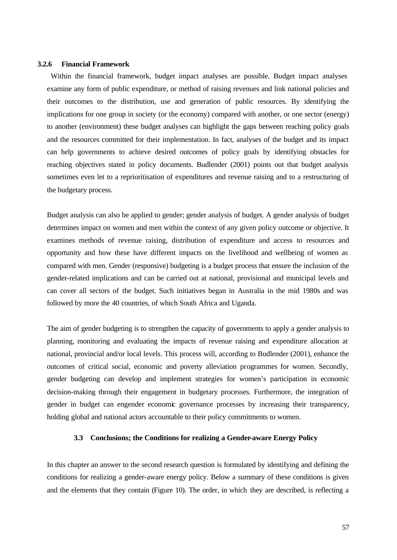#### **3.2.6 Financial Framework**

 Within the financial framework, budget impact analyses are possible. Budget impact analyses examine any form of public expenditure, or method of raising revenues and link national policies and their outcomes to the distribution, use and generation of public resources. By identifying the implications for one group in society (or the economy) compared with another, or one sector (energy) to another (environment) these budget analyses can highlight the gaps between reaching policy goals and the resources committed for their implementation. In fact, analyses of the budget and its impact can help governments to achieve desired outcomes of policy goals by identifying obstacles for reaching objectives stated in policy documents. Budlender (2001) points out that budget analysis sometimes even let to a reprioritisation of expenditures and revenue raising and to a restructuring of the budgetary process.

Budget analysis can also be applied to gender; gender analysis of budget. A gender analysis of budget determines impact on women and men within the context of any given policy outcome or objective. It examines methods of revenue raising, distribution of expenditure and access to resources and opportunity and how these have different impacts on the livelihood and wellbeing of women as compared with men. Gender (responsive) budgeting is a budget process that ensure the inclusion of the gender-related implications and can be carried out at national, provisional and municipal levels and can cover all sectors of the budget. Such initiatives began in Australia in the mid 1980s and was followed by more the 40 countries, of which South Africa and Uganda.

The aim of gender budgeting is to strengthen the capacity of governments to apply a gender analysis to planning, monitoring and evaluating the impacts of revenue raising and expenditure allocation at national, provincial and/or local levels. This process will, according to Budlender (2001), enhance the outcomes of critical social, economic and poverty alleviation programmes for women. Secondly, gender budgeting can develop and implement strategies for women's participation in economic decision-making through their engagement in budgetary processes. Furthermore, the integration of gender in budget can engender economic governance processes by increasing their transparency, holding global and national actors accountable to their policy commitments to women.

### **3.3 Conclusions; the Conditions for realizing a Gender-aware Energy Policy**

In this chapter an answer to the second research question is formulated by identifying and defining the conditions for realizing a gender-aware energy policy. Below a summary of these conditions is given and the elements that they contain (Figure 10). The order, in which they are described, is reflecting a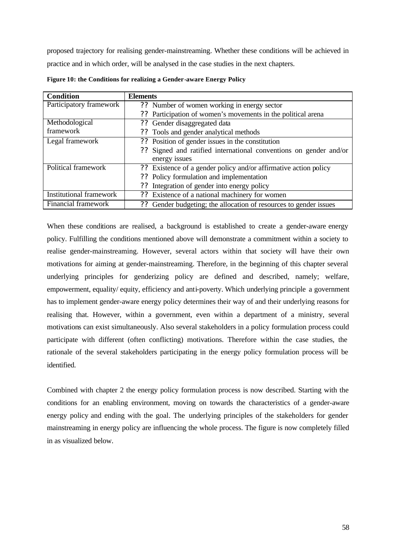proposed trajectory for realising gender-mainstreaming. Whether these conditions will be achieved in practice and in which order, will be analysed in the case studies in the next chapters.

| <b>Condition</b>               | <b>Elements</b>                                                   |
|--------------------------------|-------------------------------------------------------------------|
| Participatory framework        | ?? Number of women working in energy sector                       |
|                                | ?? Participation of women's movements in the political arena      |
| Methodological                 | ?? Gender disaggregated data                                      |
| framework                      | ?? Tools and gender analytical methods                            |
| Legal framework                | ?? Position of gender issues in the constitution                  |
|                                | ?? Signed and ratified international conventions on gender and/or |
|                                | energy issues                                                     |
| Political framework            | ?? Existence of a gender policy and/or affirmative action policy  |
|                                | ?? Policy formulation and implementation                          |
|                                | Integration of gender into energy policy<br>??                    |
| <b>Institutional framework</b> | Existence of a national machinery for women<br>??                 |
| Financial framework            | ?? Gender budgeting; the allocation of resources to gender issues |

**Figure 10: the Conditions for realizing a Gender-aware Energy Policy**

When these conditions are realised, a background is established to create a gender-aware energy policy. Fulfilling the conditions mentioned above will demonstrate a commitment within a society to realise gender-mainstreaming. However, several actors within that society will have their own motivations for aiming at gender-mainstreaming. Therefore, in the beginning of this chapter several underlying principles for genderizing policy are defined and described, namely; welfare, empowerment, equality/ equity, efficiency and anti-poverty. Which underlying principle a government has to implement gender-aware energy policy determines their way of and their underlying reasons for realising that. However, within a government, even within a department of a ministry, several motivations can exist simultaneously. Also several stakeholders in a policy formulation process could participate with different (often conflicting) motivations. Therefore within the case studies, the rationale of the several stakeholders participating in the energy policy formulation process will be identified.

Combined with chapter 2 the energy policy formulation process is now described. Starting with the conditions for an enabling environment, moving on towards the characteristics of a gender-aware energy policy and ending with the goal. The underlying principles of the stakeholders for gender mainstreaming in energy policy are influencing the whole process. The figure is now completely filled in as visualized below.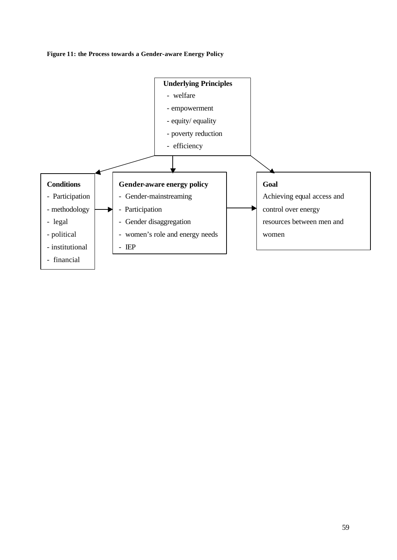

**Figure 11: the Process towards a Gender-aware Energy Policy**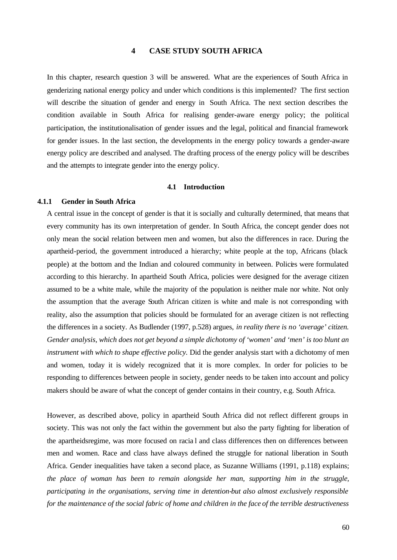## **4 CASE STUDY SOUTH AFRICA**

In this chapter, research question 3 will be answered. What are the experiences of South Africa in genderizing national energy policy and under which conditions is this implemented? The first section will describe the situation of gender and energy in South Africa. The next section describes the condition available in South Africa for realising gender-aware energy policy; the political participation, the institutionalisation of gender issues and the legal, political and financial framework for gender issues. In the last section, the developments in the energy policy towards a gender-aware energy policy are described and analysed. The drafting process of the energy policy will be describes and the attempts to integrate gender into the energy policy.

### **4.1 Introduction**

# **4.1.1 Gender in South Africa**

A central issue in the concept of gender is that it is socially and culturally determined, that means that every community has its own interpretation of gender. In South Africa, the concept gender does not only mean the social relation between men and women, but also the differences in race. During the apartheid-period, the government introduced a hierarchy; white people at the top, Africans (black people) at the bottom and the Indian and coloured community in between. Policies were formulated according to this hierarchy. In apartheid South Africa, policies were designed for the average citizen assumed to be a white male, while the majority of the population is neither male nor white. Not only the assumption that the average South African citizen is white and male is not corresponding with reality, also the assumption that policies should be formulated for an average citizen is not reflecting the differences in a society. As Budlender (1997, p.528) argues, *in reality there is no 'average' citizen. Gender analysis, which does not get beyond a simple dichotomy of 'women' and 'men' is too blunt an instrument with which to shape effective policy.* Did the gender analysis start with a dichotomy of men and women, today it is widely recognized that it is more complex. In order for policies to be responding to differences between people in society, gender needs to be taken into account and policy makers should be aware of what the concept of gender contains in their country, e.g. South Africa.

However, as described above, policy in apartheid South Africa did not reflect different groups in society. This was not only the fact within the government but also the party fighting for liberation of the apartheidsregime, was more focused on racia l and class differences then on differences between men and women. Race and class have always defined the struggle for national liberation in South Africa. Gender inequalities have taken a second place, as Suzanne Williams (1991, p.118) explains; *the place of woman has been to remain alongside her man, supporting him in the struggle, participating in the organisations, serving time in detention-but also almost exclusively responsible for the maintenance of the social fabric of home and children in the face of the terrible destructiveness*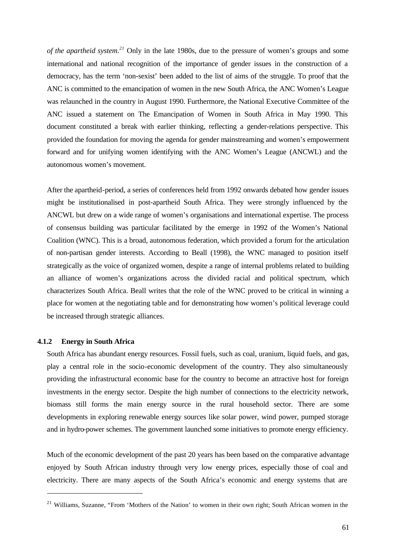*of the apartheid system.<sup>21</sup>* Only in the late 1980s, due to the pressure of women's groups and some international and national recognition of the importance of gender issues in the construction of a democracy, has the term 'non-sexist' been added to the list of aims of the struggle. To proof that the ANC is committed to the emancipation of women in the new South Africa, the ANC Women's League was relaunched in the country in August 1990. Furthermore, the National Executive Committee of the ANC issued a statement on The Emancipation of Women in South Africa in May 1990. This document constituted a break with earlier thinking, reflecting a gender-relations perspective. This provided the foundation for moving the agenda for gender mainstreaming and women's empowerment forward and for unifying women identifying with the ANC Women's League (ANCWL) and the autonomous women's movement.

After the apartheid-period, a series of conferences held from 1992 onwards debated how gender issues might be institutionalised in post-apartheid South Africa. They were strongly influenced by the ANCWL but drew on a wide range of women's organisations and international expertise. The process of consensus building was particular facilitated by the emerge in 1992 of the Women's National Coalition (WNC). This is a broad, autonomous federation, which provided a forum for the articulation of non-partisan gender interests. According to Beall (1998), the WNC managed to position itself strategically as the voice of organized women, despite a range of internal problems related to building an alliance of women's organizations across the divided racial and political spectrum, which characterizes South Africa. Beall writes that the role of the WNC proved to be critical in winning a place for women at the negotiating table and for demonstrating how women's political leverage could be increased through strategic alliances.

#### **4.1.2 Energy in South Africa**

l

South Africa has abundant energy resources. Fossil fuels, such as coal, uranium, liquid fuels, and gas, play a central role in the socio-economic development of the country. They also simultaneously providing the infrastructural economic base for the country to become an attractive host for foreign investments in the energy sector. Despite the high number of connections to the electricity network, biomass still forms the main energy source in the rural household sector. There are some developments in exploring renewable energy sources like solar power, wind power, pumped storage and in hydro-power schemes. The government launched some initiatives to promote energy efficiency.

Much of the economic development of the past 20 years has been based on the comparative advantage enjoyed by South African industry through very low energy prices, especially those of coal and electricity. There are many aspects of the South Africa's economic and energy systems that are

<sup>&</sup>lt;sup>21</sup> Williams, Suzanne, "From 'Mothers of the Nation' to women in their own right; South African women in the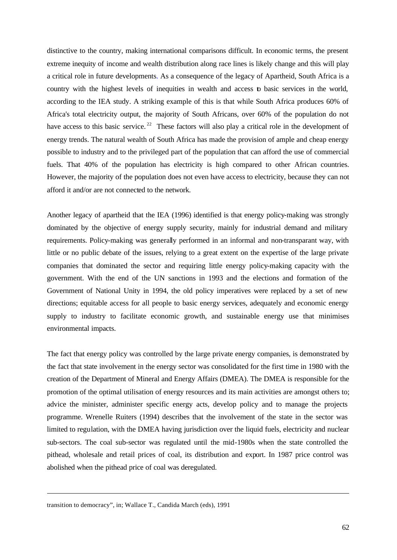distinctive to the country, making international comparisons difficult. In economic terms, the present extreme inequity of income and wealth distribution along race lines is likely change and this will play a critical role in future developments. As a consequence of the legacy of Apartheid, South Africa is a country with the highest levels of inequities in wealth and access to basic services in the world, according to the IEA study. A striking example of this is that while South Africa produces 60% of Africa's total electricity output, the majority of South Africans, over 60% of the population do not have access to this basic service.<sup>22</sup> These factors will also play a critical role in the development of energy trends. The natural wealth of South Africa has made the provision of ample and cheap energy possible to industry and to the privileged part of the population that can afford the use of commercial fuels. That 40% of the population has electricity is high compared to other African countries. However, the majority of the population does not even have access to electricity, because they can not afford it and/or are not connected to the network.

Another legacy of apartheid that the IEA (1996) identified is that energy policy-making was strongly dominated by the objective of energy supply security, mainly for industrial demand and military requirements. Policy-making was generally performed in an informal and non-transparant way, with little or no public debate of the issues, relying to a great extent on the expertise of the large private companies that dominated the sector and requiring little energy policy-making capacity with the government. With the end of the UN sanctions in 1993 and the elections and formation of the Government of National Unity in 1994, the old policy imperatives were replaced by a set of new directions; equitable access for all people to basic energy services, adequately and economic energy supply to industry to facilitate economic growth, and sustainable energy use that minimises environmental impacts.

The fact that energy policy was controlled by the large private energy companies, is demonstrated by the fact that state involvement in the energy sector was consolidated for the first time in 1980 with the creation of the Department of Mineral and Energy Affairs (DMEA). The DMEA is responsible for the promotion of the optimal utilisation of energy resources and its main activities are amongst others to; advice the minister, administer specific energy acts, develop policy and to manage the projects programme. Wrenelle Ruiters (1994) describes that the involvement of the state in the sector was limited to regulation, with the DMEA having jurisdiction over the liquid fuels, electricity and nuclear sub-sectors. The coal sub-sector was regulated until the mid-1980s when the state controlled the pithead, wholesale and retail prices of coal, its distribution and export. In 1987 price control was abolished when the pithead price of coal was deregulated.

l

transition to democracy", in; Wallace T., Candida March (eds), 1991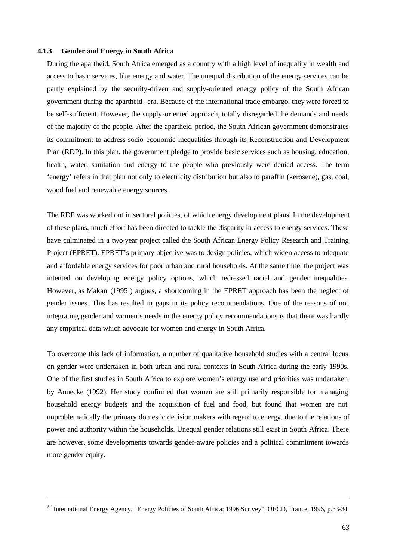### **4.1.3 Gender and Energy in South Africa**

l

During the apartheid, South Africa emerged as a country with a high level of inequality in wealth and access to basic services, like energy and water. The unequal distribution of the energy services can be partly explained by the security-driven and supply-oriented energy policy of the South African government during the apartheid -era. Because of the international trade embargo, they were forced to be self-sufficient. However, the supply-oriented approach, totally disregarded the demands and needs of the majority of the people. After the apartheid-period, the South African government demonstrates its commitment to address socio-economic inequalities through its Reconstruction and Development Plan (RDP). In this plan, the government pledge to provide basic services such as housing, education, health, water, sanitation and energy to the people who previously were denied access. The term 'energy' refers in that plan not only to electricity distribution but also to paraffin (kerosene), gas, coal, wood fuel and renewable energy sources.

The RDP was worked out in sectoral policies, of which energy development plans. In the development of these plans, much effort has been directed to tackle the disparity in access to energy services. These have culminated in a two-year project called the South African Energy Policy Research and Training Project (EPRET). EPRET's primary objective was to design policies, which widen access to adequate and affordable energy services for poor urban and rural households. At the same time, the project was intented on developing energy policy options, which redressed racial and gender inequalities. However, as Makan (1995 ) argues, a shortcoming in the EPRET approach has been the neglect of gender issues. This has resulted in gaps in its policy recommendations. One of the reasons of not integrating gender and women's needs in the energy policy recommendations is that there was hardly any empirical data which advocate for women and energy in South Africa.

To overcome this lack of information, a number of qualitative household studies with a central focus on gender were undertaken in both urban and rural contexts in South Africa during the early 1990s. One of the first studies in South Africa to explore women's energy use and priorities was undertaken by Annecke (1992). Her study confirmed that women are still primarily responsible for managing household energy budgets and the acquisition of fuel and food, but found that women are not unproblematically the primary domestic decision makers with regard to energy, due to the relations of power and authority within the households. Unequal gender relations still exist in South Africa. There are however, some developments towards gender-aware policies and a political commitment towards more gender equity.

<sup>&</sup>lt;sup>22</sup> International Energy Agency, "Energy Policies of South Africa; 1996 Sur vey", OECD, France, 1996, p.33-34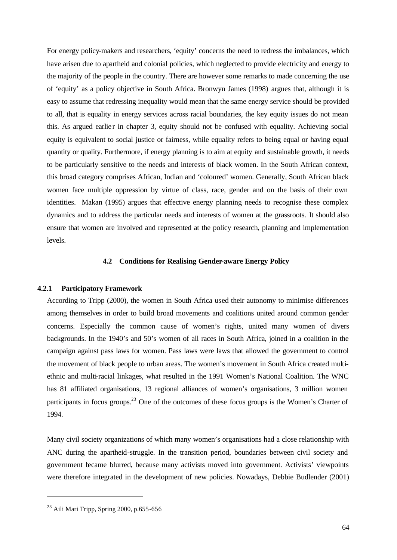For energy policy-makers and researchers, 'equity' concerns the need to redress the imbalances, which have arisen due to apartheid and colonial policies, which neglected to provide electricity and energy to the majority of the people in the country. There are however some remarks to made concerning the use of 'equity' as a policy objective in South Africa. Bronwyn James (1998) argues that, although it is easy to assume that redressing inequality would mean that the same energy service should be provided to all, that is equality in energy services across racial boundaries, the key equity issues do not mean this. As argued earlier in chapter 3, equity should not be confused with equality. Achieving social equity is equivalent to social justice or fairness, while equality refers to being equal or having equal quantity or quality. Furthermore, if energy planning is to aim at equity and sustainable growth, it needs to be particularly sensitive to the needs and interests of black women. In the South African context, this broad category comprises African, Indian and 'coloured' women. Generally, South African black women face multiple oppression by virtue of class, race, gender and on the basis of their own identities. Makan (1995) argues that effective energy planning needs to recognise these complex dynamics and to address the particular needs and interests of women at the grassroots. It should also ensure that women are involved and represented at the policy research, planning and implementation levels.

#### **4.2 Conditions for Realising Gender-aware Energy Policy**

### **4.2.1 Participatory Framework**

According to Tripp (2000), the women in South Africa used their autonomy to minimise differences among themselves in order to build broad movements and coalitions united around common gender concerns. Especially the common cause of women's rights, united many women of divers backgrounds. In the 1940's and 50's women of all races in South Africa, joined in a coalition in the campaign against pass laws for women. Pass laws were laws that allowed the government to control the movement of black people to urban areas. The women's movement in South Africa created multiethnic and multi-racial linkages, what resulted in the 1991 Women's National Coalition. The WNC has 81 affiliated organisations, 13 regional alliances of women's organisations, 3 million women participants in focus groups.<sup>23</sup> One of the outcomes of these focus groups is the Women's Charter of 1994.

Many civil society organizations of which many women's organisations had a close relationship with ANC during the apartheid-struggle. In the transition period, boundaries between civil society and government became blurred, because many activists moved into government. Activists' viewpoints were therefore integrated in the development of new policies. Nowadays, Debbie Budlender (2001)

l

 $23$  Aili Mari Tripp, Spring 2000, p.655-656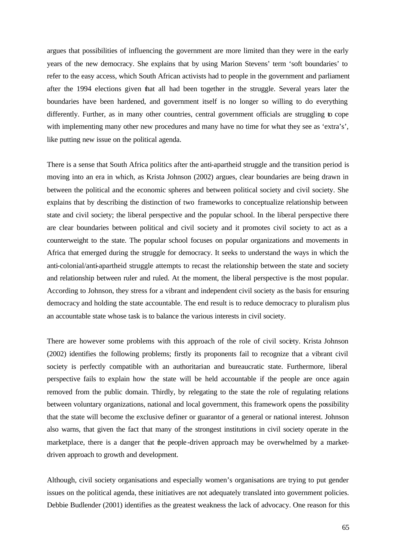argues that possibilities of influencing the government are more limited than they were in the early years of the new democracy. She explains that by using Marion Stevens' term 'soft boundaries' to refer to the easy access, which South African activists had to people in the government and parliament after the 1994 elections given that all had been together in the struggle. Several years later the boundaries have been hardened, and government itself is no longer so willing to do everything differently. Further, as in many other countries, central government officials are struggling to cope with implementing many other new procedures and many have no time for what they see as 'extra's', like putting new issue on the political agenda.

There is a sense that South Africa politics after the anti-apartheid struggle and the transition period is moving into an era in which, as Krista Johnson (2002) argues, clear boundaries are being drawn in between the political and the economic spheres and between political society and civil society. She explains that by describing the distinction of two frameworks to conceptualize relationship between state and civil society; the liberal perspective and the popular school. In the liberal perspective there are clear boundaries between political and civil society and it promotes civil society to act as a counterweight to the state. The popular school focuses on popular organizations and movements in Africa that emerged during the struggle for democracy. It seeks to understand the ways in which the anti-colonial/anti-apartheid struggle attempts to recast the relationship between the state and society and relationship between ruler and ruled. At the moment, the liberal perspective is the most popular. According to Johnson, they stress for a vibrant and independent civil society as the basis for ensuring democracy and holding the state accountable. The end result is to reduce democracy to pluralism plus an accountable state whose task is to balance the various interests in civil society.

There are however some problems with this approach of the role of civil society. Krista Johnson (2002) identifies the following problems; firstly its proponents fail to recognize that a vibrant civil society is perfectly compatible with an authoritarian and bureaucratic state. Furthermore, liberal perspective fails to explain how the state will be held accountable if the people are once again removed from the public domain. Thirdly, by relegating to the state the role of regulating relations between voluntary organizations, national and local government, this framework opens the possibility that the state will become the exclusive definer or guarantor of a general or national interest. Johnson also warns, that given the fact that many of the strongest institutions in civil society operate in the marketplace, there is a danger that the people-driven approach may be overwhelmed by a marketdriven approach to growth and development.

Although, civil society organisations and especially women's organisations are trying to put gender issues on the political agenda, these initiatives are not adequately translated into government policies. Debbie Budlender (2001) identifies as the greatest weakness the lack of advocacy. One reason for this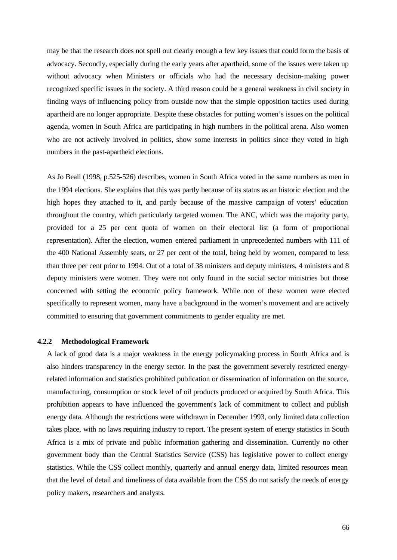may be that the research does not spell out clearly enough a few key issues that could form the basis of advocacy. Secondly, especially during the early years after apartheid, some of the issues were taken up without advocacy when Ministers or officials who had the necessary decision-making power recognized specific issues in the society. A third reason could be a general weakness in civil society in finding ways of influencing policy from outside now that the simple opposition tactics used during apartheid are no longer appropriate. Despite these obstacles for putting women's issues on the political agenda, women in South Africa are participating in high numbers in the political arena. Also women who are not actively involved in politics, show some interests in politics since they voted in high numbers in the past-apartheid elections.

As Jo Beall (1998, p.525-526) describes, women in South Africa voted in the same numbers as men in the 1994 elections. She explains that this was partly because of its status as an historic election and the high hopes they attached to it, and partly because of the massive campaign of voters' education throughout the country, which particularly targeted women. The ANC, which was the majority party, provided for a 25 per cent quota of women on their electoral list (a form of proportional representation). After the election, women entered parliament in unprecedented numbers with 111 of the 400 National Assembly seats, or 27 per cent of the total, being held by women, compared to less than three per cent prior to 1994. Out of a total of 38 ministers and deputy ministers, 4 ministers and 8 deputy ministers were women. They were not only found in the social sector ministries but those concerned with setting the economic policy framework. While non of these women were elected specifically to represent women, many have a background in the women's movement and are actively committed to ensuring that government commitments to gender equality are met.

### **4.2.2 Methodological Framework**

A lack of good data is a major weakness in the energy policymaking process in South Africa and is also hinders transparency in the energy sector. In the past the government severely restricted energyrelated information and statistics prohibited publication or dissemination of information on the source, manufacturing, consumption or stock level of oil products produced or acquired by South Africa. This prohibition appears to have influenced the government's lack of commitment to collect and publish energy data. Although the restrictions were withdrawn in December 1993, only limited data collection takes place, with no laws requiring industry to report. The present system of energy statistics in South Africa is a mix of private and public information gathering and dissemination. Currently no other government body than the Central Statistics Service (CSS) has legislative power to collect energy statistics. While the CSS collect monthly, quarterly and annual energy data, limited resources mean that the level of detail and timeliness of data available from the CSS do not satisfy the needs of energy policy makers, researchers and analysts.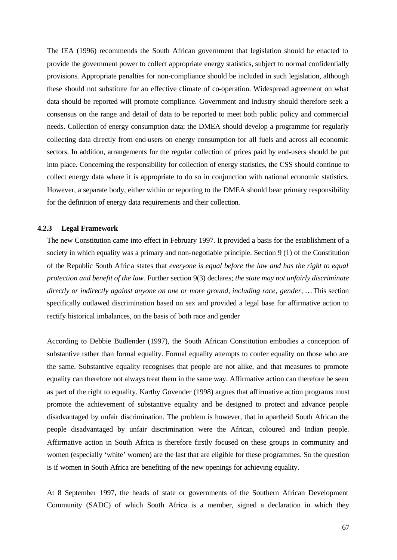The IEA (1996) recommends the South African government that legislation should be enacted to provide the government power to collect appropriate energy statistics, subject to normal confidentially provisions. Appropriate penalties for non-compliance should be included in such legislation, although these should not substitute for an effective climate of co-operation. Widespread agreement on what data should be reported will promote compliance. Government and industry should therefore seek a consensus on the range and detail of data to be reported to meet both public policy and commercial needs. Collection of energy consumption data; the DMEA should develop a programme for regularly collecting data directly from end-users on energy consumption for all fuels and across all economic sectors. In addition, arrangements for the regular collection of prices paid by end-users should be put into place. Concerning the responsibility for collection of energy statistics, the CSS should continue to collect energy data where it is appropriate to do so in conjunction with national economic statistics. However, a separate body, either within or reporting to the DMEA should bear primary responsibility for the definition of energy data requirements and their collection.

# **4.2.3 Legal Framework**

The new Constitution came into effect in February 1997. It provided a basis for the establishment of a society in which equality was a primary and non-negotiable principle. Section 9 (1) of the Constitution of the Republic South Afric a states that *everyone is equal before the law and has the right to equal protection and benefit of the law.* Further section 9(3) declares; *the state may not unfairly discriminate directly or indirectly against anyone on one or more ground, including race, gender, …* This section specifically outlawed discrimination based on sex and provided a legal base for affirmative action to rectify historical imbalances, on the basis of both race and gender

According to Debbie Budlender (1997), the South African Constitution embodies a conception of substantive rather than formal equality. Formal equality attempts to confer equality on those who are the same. Substantive equality recognises that people are not alike, and that measures to promote equality can therefore not always treat them in the same way. Affirmative action can therefore be seen as part of the right to equality. Karthy Govender (1998) argues that affirmative action programs must promote the achievement of substantive equality and be designed to protect and advance people disadvantaged by unfair discrimination. The problem is however, that in apartheid South African the people disadvantaged by unfair discrimination were the African, coloured and Indian people. Affirmative action in South Africa is therefore firstly focused on these groups in community and women (especially 'white' women) are the last that are eligible for these programmes. So the question is if women in South Africa are benefiting of the new openings for achieving equality.

At 8 September 1997, the heads of state or governments of the Southern African Development Community (SADC) of which South Africa is a member, signed a declaration in which they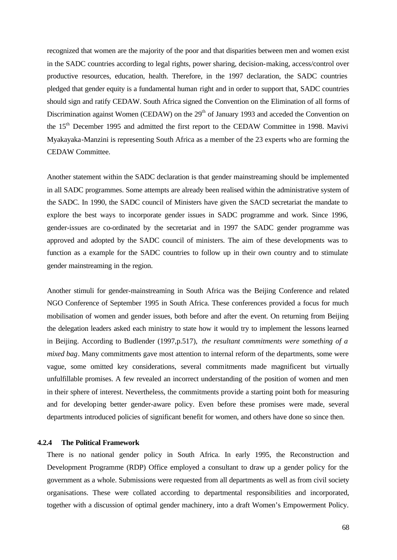recognized that women are the majority of the poor and that disparities between men and women exist in the SADC countries according to legal rights, power sharing, decision-making, access/control over productive resources, education, health. Therefore, in the 1997 declaration, the SADC countries pledged that gender equity is a fundamental human right and in order to support that, SADC countries should sign and ratify CEDAW. South Africa signed the Convention on the Elimination of all forms of Discrimination against Women (CEDAW) on the 29<sup>th</sup> of January 1993 and acceded the Convention on the 15<sup>th</sup> December 1995 and admitted the first report to the CEDAW Committee in 1998. Mavivi Myakayaka-Manzini is representing South Africa as a member of the 23 experts who are forming the CEDAW Committee.

Another statement within the SADC declaration is that gender mainstreaming should be implemented in all SADC programmes. Some attempts are already been realised within the administrative system of the SADC. In 1990, the SADC council of Ministers have given the SACD secretariat the mandate to explore the best ways to incorporate gender issues in SADC programme and work. Since 1996, gender-issues are co-ordinated by the secretariat and in 1997 the SADC gender programme was approved and adopted by the SADC council of ministers. The aim of these developments was to function as a example for the SADC countries to follow up in their own country and to stimulate gender mainstreaming in the region.

Another stimuli for gender-mainstreaming in South Africa was the Beijing Conference and related NGO Conference of September 1995 in South Africa. These conferences provided a focus for much mobilisation of women and gender issues, both before and after the event. On returning from Beijing the delegation leaders asked each ministry to state how it would try to implement the lessons learned in Beijing. According to Budlender (1997,p.517), *the resultant commitments were something of a mixed bag*. Many commitments gave most attention to internal reform of the departments, some were vague, some omitted key considerations, several commitments made magnificent but virtually unfulfillable promises. A few revealed an incorrect understanding of the position of women and men in their sphere of interest. Nevertheless, the commitments provide a starting point both for measuring and for developing better gender-aware policy. Even before these promises were made, several departments introduced policies of significant benefit for women, and others have done so since then.

### **4.2.4 The Political Framework**

There is no national gender policy in South Africa. In early 1995, the Reconstruction and Development Programme (RDP) Office employed a consultant to draw up a gender policy for the government as a whole. Submissions were requested from all departments as well as from civil society organisations. These were collated according to departmental responsibilities and incorporated, together with a discussion of optimal gender machinery, into a draft Women's Empowerment Policy.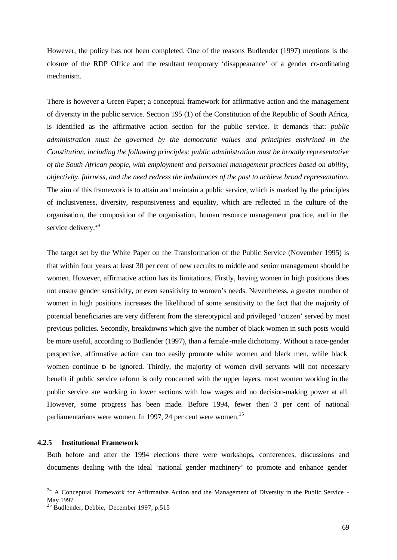However, the policy has not been completed. One of the reasons Budlender (1997) mentions is the closure of the RDP Office and the resultant temporary 'disappearance' of a gender co-ordinating mechanism.

There is however a Green Paper; a conceptual framework for affirmative action and the management of diversity in the public service. Section 195 (1) of the Constitution of the Republic of South Africa, is identified as the affirmative action section for the public service. It demands that: *public administration must be governed by the democratic values and principles enshrined in the Constitution, including the following principles: public administration must be broadly representative of the South African people, with employment and personnel management practices based on ability, objectivity, fairness, and the need redress the imbalances of the past to achieve broad representation.*  The aim of this framework is to attain and maintain a public service, which is marked by the principles of inclusiveness, diversity, responsiveness and equality, which are reflected in the culture of the organisation, the composition of the organisation, human resource management practice, and in the service delivery.<sup>24</sup>

The target set by the White Paper on the Transformation of the Public Service (November 1995) is that within four years at least 30 per cent of new recruits to middle and senior management should be women. However, affirmative action has its limitations. Firstly, having women in high positions does not ensure gender sensitivity, or even sensitivity to women's needs. Nevertheless, a greater number of women in high positions increases the likelihood of some sensitivity to the fact that the majority of potential beneficiaries are very different from the stereotypical and privileged 'citizen' served by most previous policies. Secondly, breakdowns which give the number of black women in such posts would be more useful, according to Budlender (1997), than a female -male dichotomy. Without a race-gender perspective, affirmative action can too easily promote white women and black men, while black women continue to be ignored. Thirdly, the majority of women civil servants will not necessary benefit if public service reform is only concerned with the upper layers, most women working in the public service are working in lower sections with low wages and no decision-making power at all. However, some progress has been made. Before 1994, fewer then 3 per cent of national parliamentarians were women. In 1997, 24 per cent were women.<sup>25</sup>

### **4.2.5 Institutional Framework**

l

Both before and after the 1994 elections there were workshops, conferences, discussions and documents dealing with the ideal 'national gender machinery' to promote and enhance gender

<sup>&</sup>lt;sup>24</sup> A Conceptual Framework for Affirmative Action and the Management of Diversity in the Public Service -May 1997

 $^{25}$  Budlender, Debbie, December 1997, p.515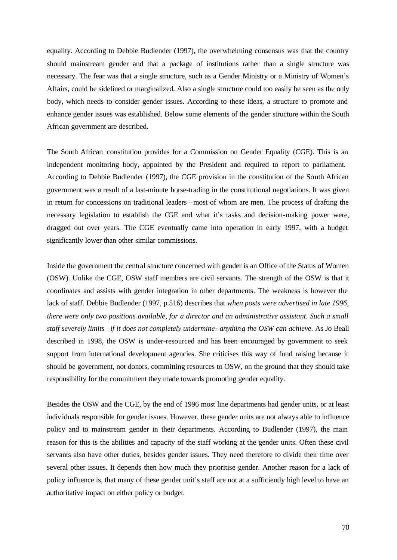equality. According to Debbie Budlender (1997), the overwhelming consensus was that the country should mainstream gender and that a package of institutions rather than a single structure was necessary. The fear was that a single structure, such as a Gender Ministry or a Ministry of Women's Affairs, could be sidelined or marginalized. Also a single structure could too easily be seen as the only body, which needs to consider gender issues. According to these ideas, a structure to promote and enhance gender issues was established. Below some elements of the gender structure within the South African government are described.

The South African constitution provides for a Commission on Gender Equality (CGE). This is an independent monitoring body, appointed by the President and required to report to parliament. According to Debbie Budlender (1997), the CGE provision in the constitution of the South African government was a result of a last-minute horse-trading in the constitutional negotiations. It was given in return for concessions on traditional leaders –most of whom are men. The process of drafting the necessary legislation to establish the CGE and what it's tasks and decision-making power were, dragged out over years. The CGE eventually came into operation in early 1997, with a budget significantly lower than other similar commissions.

Inside the government the central structure concerned with gender is an Office of the Status of Women (OSW). Unlike the CGE, OSW staff members are civil servants. The strength of the OSW is that it coordinates and assists with gender integration in other departments. The weakness is however the lack of staff. Debbie Budlender (1997, p.516) describes that *when posts were advertised in late 1996, there were only two positions available, for a director and an administrative assistant. Such a small staff severely limits –if it does not completely undermine- anything the OSW can achieve.* As Jo Beall described in 1998, the OSW is under-resourced and has been encouraged by government to seek support from international development agencies. She criticises this way of fund raising because it should be government, not donors, committing resources to OSW, on the ground that they should take responsibility for the commitment they made towards promoting gender equality.

Besides the OSW and the CGE, by the end of 1996 most line departments had gender units, or at least individuals responsible for gender issues. However, these gender units are not always able to influence policy and to mainstream gender in their departments. According to Budlender (1997), the main reason for this is the abilities and capacity of the staff working at the gender units. Often these civil servants also have other duties, besides gender issues. They need therefore to divide their time over several other issues. It depends then how much they prioritise gender. Another reason for a lack of policy influence is, that many of these gender unit's staff are not at a sufficiently high level to have an authoritative impact on either policy or budget.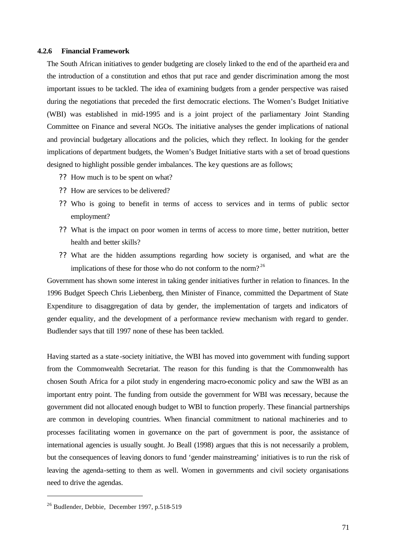### **4.2.6 Financial Framework**

The South African initiatives to gender budgeting are closely linked to the end of the apartheid era and the introduction of a constitution and ethos that put race and gender discrimination among the most important issues to be tackled. The idea of examining budgets from a gender perspective was raised during the negotiations that preceded the first democratic elections. The Women's Budget Initiative (WBI) was established in mid-1995 and is a joint project of the parliamentary Joint Standing Committee on Finance and several NGOs. The initiative analyses the gender implications of national and provincial budgetary allocations and the policies, which they reflect. In looking for the gender implications of department budgets, the Women's Budget Initiative starts with a set of broad questions designed to highlight possible gender imbalances. The key questions are as follows;

- ?? How much is to be spent on what?
- ?? How are services to be delivered?
- ?? Who is going to benefit in terms of access to services and in terms of public sector employment?
- ?? What is the impact on poor women in terms of access to more time, better nutrition, better health and better skills?
- ?? What are the hidden assumptions regarding how society is organised, and what are the implications of these for those who do not conform to the norm?<sup>26</sup>

Government has shown some interest in taking gender initiatives further in relation to finances. In the 1996 Budget Speech Chris Liebenberg, then Minister of Finance, committed the Department of State Expenditure to disaggregation of data by gender, the implementation of targets and indicators of gender equality, and the development of a performance review mechanism with regard to gender. Budlender says that till 1997 none of these has been tackled.

Having started as a state -society initiative, the WBI has moved into government with funding support from the Commonwealth Secretariat. The reason for this funding is that the Commonwealth has chosen South Africa for a pilot study in engendering macro-economic policy and saw the WBI as an important entry point. The funding from outside the government for WBI was necessary, because the government did not allocated enough budget to WBI to function properly. These financial partnerships are common in developing countries. When financial commitment to national machineries and to processes facilitating women in governance on the part of government is poor, the assistance of international agencies is usually sought. Jo Beall (1998) argues that this is not necessarily a problem, but the consequences of leaving donors to fund 'gender mainstreaming' initiatives is to run the risk of leaving the agenda-setting to them as well. Women in governments and civil society organisations need to drive the agendas.

l

<sup>26</sup> Budlender, Debbie, December 1997, p.518-519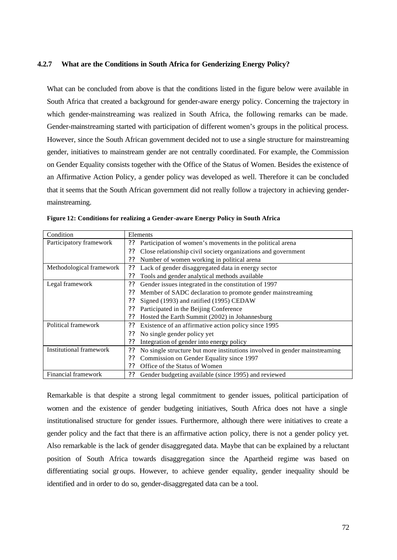#### **4.2.7 What are the Conditions in South Africa for Genderizing Energy Policy?**

What can be concluded from above is that the conditions listed in the figure below were available in South Africa that created a background for gender-aware energy policy. Concerning the trajectory in which gender-mainstreaming was realized in South Africa, the following remarks can be made. Gender-mainstreaming started with participation of different women's groups in the political process. However, since the South African government decided not to use a single structure for mainstreaming gender, initiatives to mainstream gender are not centrally coordinated. For example, the Commission on Gender Equality consists together with the Office of the Status of Women. Besides the existence of an Affirmative Action Policy, a gender policy was developed as well. Therefore it can be concluded that it seems that the South African government did not really follow a trajectory in achieving gendermainstreaming.

| Condition                      | Elements                                                                         |  |  |
|--------------------------------|----------------------------------------------------------------------------------|--|--|
| Participatory framework        | Participation of women's movements in the political arena<br>??                  |  |  |
|                                | Close relationship civil society organizations and government<br>??              |  |  |
|                                | Number of women working in political arena<br>??                                 |  |  |
| Methodological framework       | Lack of gender disaggregated data in energy sector<br>??                         |  |  |
|                                | Tools and gender analytical methods available<br>??                              |  |  |
| Legal framework                | Gender issues integrated in the constitution of 1997<br>??                       |  |  |
|                                | Member of SADC declaration to promote gender mainstreaming<br>??                 |  |  |
|                                | Signed (1993) and ratified (1995) CEDAW<br>??                                    |  |  |
|                                | Participated in the Beijing Conference<br>??                                     |  |  |
|                                | Hosted the Earth Summit (2002) in Johannesburg<br>??                             |  |  |
| Political framework            | Existence of an affirmative action policy since 1995<br>??                       |  |  |
|                                | ??<br>No single gender policy yet                                                |  |  |
|                                | ??<br>Integration of gender into energy policy                                   |  |  |
| <b>Institutional framework</b> | No single structure but more institutions involved in gender mainstreaming<br>?? |  |  |
|                                | Commission on Gender Equality since 1997<br>??                                   |  |  |
|                                | Office of the Status of Women                                                    |  |  |
| <b>Financial framework</b>     | ??<br>Gender budgeting available (since 1995) and reviewed                       |  |  |

**Figure 12: Conditions for realizing a Gender-aware Energy Policy in South Africa**

Remarkable is that despite a strong legal commitment to gender issues, political participation of women and the existence of gender budgeting initiatives, South Africa does not have a single institutionalised structure for gender issues. Furthermore, although there were initiatives to create a gender policy and the fact that there is an affirmative action policy, there is not a gender policy yet. Also remarkable is the lack of gender disaggregated data. Maybe that can be explained by a reluctant position of South Africa towards disaggregation since the Apartheid regime was based on differentiating social groups. However, to achieve gender equality, gender inequality should be identified and in order to do so, gender-disaggregated data can be a tool.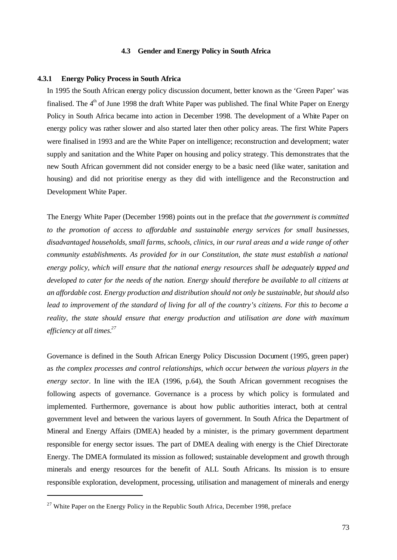# **4.3 Gender and Energy Policy in South Africa**

### **4.3.1 Energy Policy Process in South Africa**

In 1995 the South African energy policy discussion document, better known as the 'Green Paper' was finalised. The 4<sup>th</sup> of June 1998 the draft White Paper was published. The final White Paper on Energy Policy in South Africa became into action in December 1998. The development of a White Paper on energy policy was rather slower and also started later then other policy areas. The first White Papers were finalised in 1993 and are the White Paper on intelligence; reconstruction and development; water supply and sanitation and the White Paper on housing and policy strategy. This demonstrates that the new South African government did not consider energy to be a basic need (like water, sanitation and housing) and did not prioritise energy as they did with intelligence and the Reconstruction and Development White Paper.

The Energy White Paper (December 1998) points out in the preface that *the government is committed to the promotion of access to affordable and sustainable energy services for small businesses, disadvantaged households, small farms, schools, clinics, in our rural areas and a wide range of other community establishments. As provided for in our Constitution, the state must establish a national energy policy, which will ensure that the national energy resources shall be adequately tapped and developed to cater for the needs of the nation. Energy should therefore be available to all citizens at an affordable cost. Energy production and distribution should not only be sustainable, but should also lead to improvement of the standard of living for all of the country's citizens. For this to become a reality, the state should ensure that energy production and utilisation are done with maximum efficiency at all times.<sup>27</sup>*

Governance is defined in the South African Energy Policy Discussion Document (1995, green paper) as *the complex processes and control relationships, which occur between the various players in the energy sector*. In line with the IEA (1996, p.64), the South African government recognises the following aspects of governance. Governance is a process by which policy is formulated and implemented. Furthermore, governance is about how public authorities interact, both at central government level and between the various layers of government. In South Africa the Department of Mineral and Energy Affairs (DMEA) headed by a minister, is the primary government department responsible for energy sector issues. The part of DMEA dealing with energy is the Chief Directorate Energy. The DMEA formulated its mission as followed; sustainable development and growth through minerals and energy resources for the benefit of ALL South Africans. Its mission is to ensure responsible exploration, development, processing, utilisation and management of minerals and energy

l

 $27$  White Paper on the Energy Policy in the Republic South Africa, December 1998, preface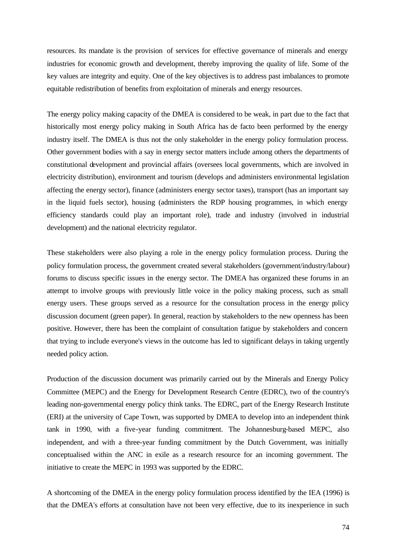resources. Its mandate is the provision of services for effective governance of minerals and energy industries for economic growth and development, thereby improving the quality of life. Some of the key values are integrity and equity. One of the key objectives is to address past imbalances to promote equitable redistribution of benefits from exploitation of minerals and energy resources.

The energy policy making capacity of the DMEA is considered to be weak, in part due to the fact that historically most energy policy making in South Africa has de facto been performed by the energy industry itself. The DMEA is thus not the only stakeholder in the energy policy formulation process. Other government bodies with a say in energy sector matters include among others the departments of constitutional development and provincial affairs (oversees local governments, which are involved in electricity distribution), environment and tourism (develops and administers environmental legislation affecting the energy sector), finance (administers energy sector taxes), transport (has an important say in the liquid fuels sector), housing (administers the RDP housing programmes, in which energy efficiency standards could play an important role), trade and industry (involved in industrial development) and the national electricity regulator.

These stakeholders were also playing a role in the energy policy formulation process. During the policy formulation process, the government created several stakeholders (government/industry/labour) forums to discuss specific issues in the energy sector. The DMEA has organized these forums in an attempt to involve groups with previously little voice in the policy making process, such as small energy users. These groups served as a resource for the consultation process in the energy policy discussion document (green paper). In general, reaction by stakeholders to the new openness has been positive. However, there has been the complaint of consultation fatigue by stakeholders and concern that trying to include everyone's views in the outcome has led to significant delays in taking urgently needed policy action.

Production of the discussion document was primarily carried out by the Minerals and Energy Policy Committee (MEPC) and the Energy for Development Research Centre (EDRC), two of the country's leading non-governmental energy policy think tanks. The EDRC, part of the Energy Research Institute (ERI) at the university of Cape Town, was supported by DMEA to develop into an independent think tank in 1990, with a five-year funding commitment. The Johannesburg-based MEPC, also independent, and with a three-year funding commitment by the Dutch Government, was initially conceptualised within the ANC in exile as a research resource for an incoming government. The initiative to create the MEPC in 1993 was supported by the EDRC.

A shortcoming of the DMEA in the energy policy formulation process identified by the IEA (1996) is that the DMEA's efforts at consultation have not been very effective, due to its inexperience in such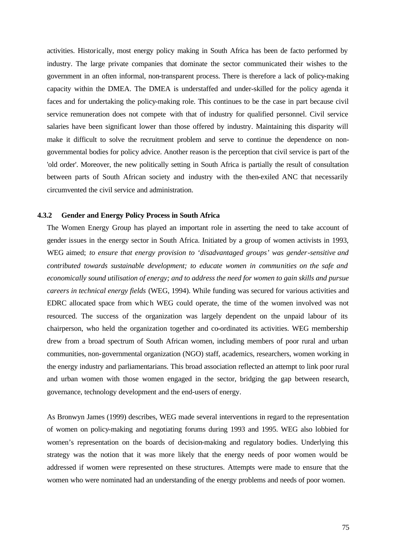activities. Historically, most energy policy making in South Africa has been de facto performed by industry. The large private companies that dominate the sector communicated their wishes to the government in an often informal, non-transparent process. There is therefore a lack of policy-making capacity within the DMEA. The DMEA is understaffed and under-skilled for the policy agenda it faces and for undertaking the policy-making role. This continues to be the case in part because civil service remuneration does not compete with that of industry for qualified personnel. Civil service salaries have been significant lower than those offered by industry. Maintaining this disparity will make it difficult to solve the recruitment problem and serve to continue the dependence on nongovernmental bodies for policy advice. Another reason is the perception that civil service is part of the 'old order'. Moreover, the new politically setting in South Africa is partially the result of consultation between parts of South African society and industry with the then-exiled ANC that necessarily circumvented the civil service and administration.

## **4.3.2 Gender and Energy Policy Process in South Africa**

The Women Energy Group has played an important role in asserting the need to take account of gender issues in the energy sector in South Africa. Initiated by a group of women activists in 1993, WEG aimed; *to ensure that energy provision to 'disadvantaged groups' was gender-sensitive and contributed towards sustainable development; to educate women in communities on the safe and economically sound utilisation of energy; and to address the need for women to gain skills and pursue careers in technical energy fields* (WEG, 1994). While funding was secured for various activities and EDRC allocated space from which WEG could operate, the time of the women involved was not resourced. The success of the organization was largely dependent on the unpaid labour of its chairperson, who held the organization together and co-ordinated its activities. WEG membership drew from a broad spectrum of South African women, including members of poor rural and urban communities, non-governmental organization (NGO) staff, academics, researchers, women working in the energy industry and parliamentarians. This broad association reflected an attempt to link poor rural and urban women with those women engaged in the sector, bridging the gap between research, governance, technology development and the end-users of energy.

As Bronwyn James (1999) describes, WEG made several interventions in regard to the representation of women on policy-making and negotiating forums during 1993 and 1995. WEG also lobbied for women's representation on the boards of decision-making and regulatory bodies. Underlying this strategy was the notion that it was more likely that the energy needs of poor women would be addressed if women were represented on these structures. Attempts were made to ensure that the women who were nominated had an understanding of the energy problems and needs of poor women.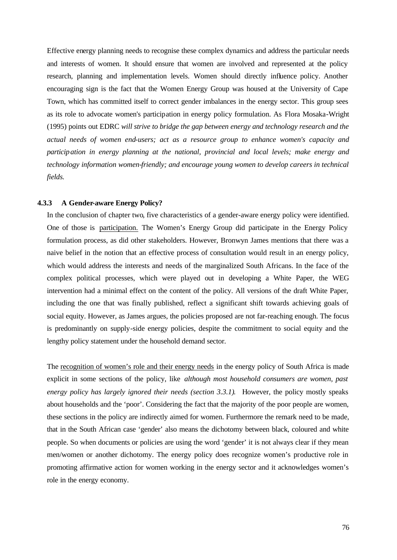Effective energy planning needs to recognise these complex dynamics and address the particular needs and interests of women. It should ensure that women are involved and represented at the policy research, planning and implementation levels. Women should directly influence policy. Another encouraging sign is the fact that the Women Energy Group was housed at the University of Cape Town, which has committed itself to correct gender imbalances in the energy sector. This group sees as its role to advocate women's participation in energy policy formulation. As Flora Mosaka-Wright (1995) points out EDRC *will strive to bridge the gap between energy and technology research and the actual needs of women end-users; act as a resource group to enhance women's capacity and participation in energy planning at the national, provincial and local levels; make energy and technology information women-friendly; and encourage young women to develop careers in technical fields.*

## **4.3.3 A Gender-aware Energy Policy?**

In the conclusion of chapter two, five characteristics of a gender-aware energy policy were identified. One of those is participation. The Women's Energy Group did participate in the Energy Policy formulation process, as did other stakeholders. However, Bronwyn James mentions that there was a naive belief in the notion that an effective process of consultation would result in an energy policy, which would address the interests and needs of the marginalized South Africans. In the face of the complex political processes, which were played out in developing a White Paper, the WEG intervention had a minimal effect on the content of the policy. All versions of the draft White Paper, including the one that was finally published, reflect a significant shift towards achieving goals of social equity. However, as James argues, the policies proposed are not far-reaching enough. The focus is predominantly on supply-side energy policies, despite the commitment to social equity and the lengthy policy statement under the household demand sector.

The recognition of women's role and their energy needs in the energy policy of South Africa is made explicit in some sections of the policy, like *although most household consumers are women, past energy policy has largely ignored their needs (section 3.3.1)*. However, the policy mostly speaks about households and the 'poor'. Considering the fact that the majority of the poor people are women, these sections in the policy are indirectly aimed for women. Furthermore the remark need to be made, that in the South African case 'gender' also means the dichotomy between black, coloured and white people. So when documents or policies are using the word 'gender' it is not always clear if they mean men/women or another dichotomy. The energy policy does recognize women's productive role in promoting affirmative action for women working in the energy sector and it acknowledges women's role in the energy economy.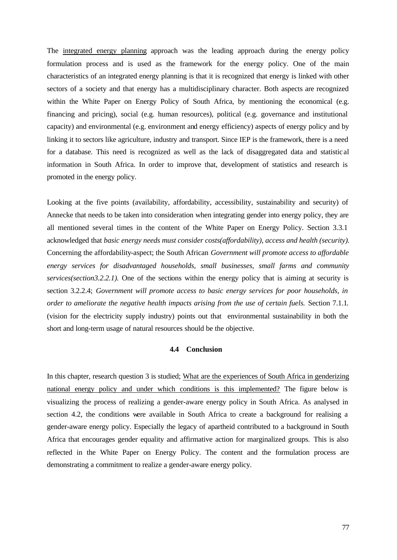The integrated energy planning approach was the leading approach during the energy policy formulation process and is used as the framework for the energy policy. One of the main characteristics of an integrated energy planning is that it is recognized that energy is linked with other sectors of a society and that energy has a multidisciplinary character. Both aspects are recognized within the White Paper on Energy Policy of South Africa, by mentioning the economical (e.g. financing and pricing), social (e.g. human resources), political (e.g. governance and institutional capacity) and environmental (e.g. environment and energy efficiency) aspects of energy policy and by linking it to sectors like agriculture, industry and transport. Since IEP is the framework, there is a need for a database. This need is recognized as well as the lack of disaggregated data and statistic al information in South Africa. In order to improve that, development of statistics and research is promoted in the energy policy.

Looking at the five points (availability, affordability, accessibility, sustainability and security) of Annecke that needs to be taken into consideration when integrating gender into energy policy, they are all mentioned several times in the content of the White Paper on Energy Policy. Section 3.3.1 acknowledged that *basic energy needs must consider costs(affordability), access and health (security).* Concerning the affordability-aspect; the South African *Government will promote access to affordable energy services for disadvantaged households, small businesses, small farms and community services(section3.2.2.1).* One of the sections within the energy policy that is aiming at security is section 3.2.2.4; *Government will promote access to basic energy services for poor households, in order to ameliorate the negative health impacts arising from the use of certain fuels.* Section 7.1.1. (vision for the electricity supply industry) points out that environmental sustainability in both the short and long-term usage of natural resources should be the objective.

# **4.4 Conclusion**

In this chapter, research question 3 is studied; What are the experiences of South Africa in genderizing national energy policy and under which conditions is this implemented? The figure below is visualizing the process of realizing a gender-aware energy policy in South Africa. As analysed in section 4.2, the conditions were available in South Africa to create a background for realising a gender-aware energy policy. Especially the legacy of apartheid contributed to a background in South Africa that encourages gender equality and affirmative action for marginalized groups. This is also reflected in the White Paper on Energy Policy. The content and the formulation process are demonstrating a commitment to realize a gender-aware energy policy.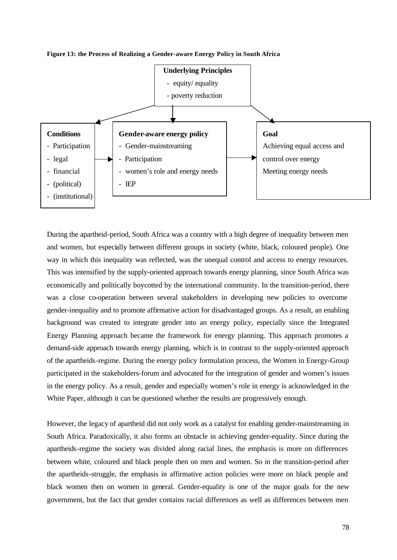



During the apartheid-period, South Africa was a country with a high degree of inequality between men and women, but especially between different groups in society (white, black, coloured people). One way in which this inequality was reflected, was the unequal control and access to energy resources. This was intensified by the supply-oriented approach towards energy planning, since South Africa was economically and politically boycotted by the international community. In the transition-period, there was a close co-operation between several stakeholders in developing new policies to overcome gender-inequality and to promote affirmative action for disadvantaged groups. As a result, an enabling background was created to integrate gender into an energy policy, especially since the Integrated Energy Planning approach became the framework for energy planning. This approach promotes a demand-side approach towards energy planning, which is in contrast to the supply-oriented approach of the apartheids-regime. During the energy policy formulation process, the Women in Energy-Group participated in the stakeholders-forum and advocated for the integration of gender and women's issues in the energy policy. As a result, gender and especially women's role in energy is acknowledged in the White Paper, although it can be questioned whether the results are progressively enough.

However, the legacy of apartheid did not only work as a catalyst for enabling gender-mainstreaming in South Africa. Paradoxically, it also forms an obstacle in achieving gender-equality. Since during the apartheids-regime the society was divided along racial lines, the emphasis is more on differences between white, coloured and black people then on men and women. So in the transition-period after the apartheids-struggle, the emphasis in affirmative action policies were more on black people and black women then on women in general. Gender-equality is one of the major goals for the new government, but the fact that gender contains racial differences as well as differences between men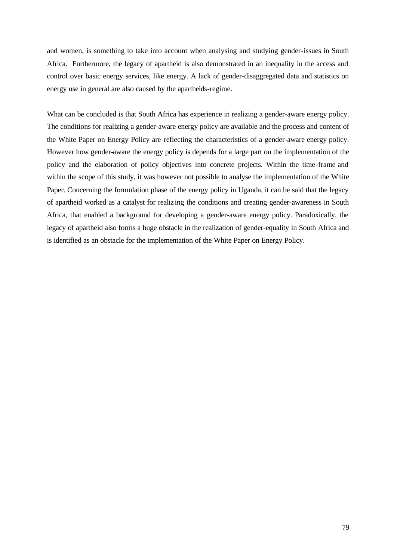and women, is something to take into account when analysing and studying gender-issues in South Africa. Furthermore, the legacy of apartheid is also demonstrated in an inequality in the access and control over basic energy services, like energy. A lack of gender-disaggregated data and statistics on energy use in general are also caused by the apartheids-regime.

What can be concluded is that South Africa has experience in realizing a gender-aware energy policy. The conditions for realizing a gender-aware energy policy are available and the process and content of the White Paper on Energy Policy are reflecting the characteristics of a gender-aware energy policy. However how gender-aware the energy policy is depends for a large part on the implementation of the policy and the elaboration of policy objectives into concrete projects. Within the time-frame and within the scope of this study, it was however not possible to analyse the implementation of the White Paper. Concerning the formulation phase of the energy policy in Uganda, it can be said that the legacy of apartheid worked as a catalyst for realiz ing the conditions and creating gender-awareness in South Africa, that enabled a background for developing a gender-aware energy policy. Paradoxically, the legacy of apartheid also forms a huge obstacle in the realization of gender-equality in South Africa and is identified as an obstacle for the implementation of the White Paper on Energy Policy.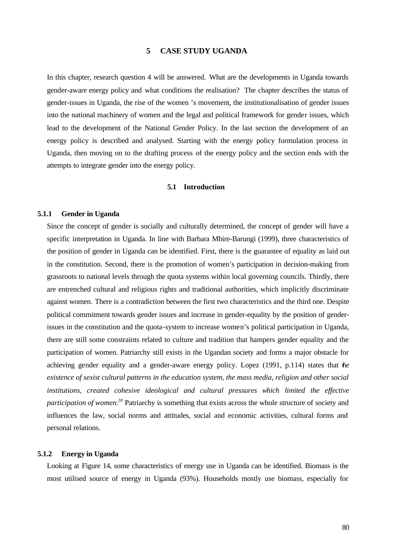## **5 CASE STUDY UGANDA**

In this chapter, research question 4 will be answered. What are the developments in Uganda towards gender-aware energy policy and what conditions the realisation? The chapter describes the status of gender-issues in Uganda, the rise of the women 's movement, the institutionalisation of gender issues into the national machinery of women and the legal and political framework for gender issues, which lead to the development of the National Gender Policy. In the last section the development of an energy policy is described and analysed. Starting with the energy policy formulation process in Uganda, then moving on to the drafting process of the energy policy and the section ends with the attempts to integrate gender into the energy policy.

## **5.1 Introduction**

## **5.1.1 Gender in Uganda**

Since the concept of gender is socially and culturally determined, the concept of gender will have a specific interpretation in Uganda. In line with Barbara Mbire-Barungi (1999), three characteristics of the position of gender in Uganda can be identified. First, there is the guarantee of equality as laid out in the constitution. Second, there is the promotion of women's participation in decision-making from grassroots to national levels through the quota systems within local governing councils. Thirdly, there are entrenched cultural and religious rights and traditional authorities, which implicitly discriminate against women. There is a contradiction between the first two characteristics and the third one. Despite political commitment towards gender issues and increase in gender-equality by the position of genderissues in the constitution and the quota-system to increase women's political participation in Uganda, there are still some constraints related to culture and tradition that hampers gender equality and the participation of women. Patriarchy still exists in the Ugandan society and forms a major obstacle for achieving gender equality and a gender-aware energy policy. Lopez (1991, p.114) states that t*he existence of sexist cultural patterns in the education system, the mass media, religion and other social institutions, created cohesive ideological and cultural pressures which limited the effective participation of women.<sup>28</sup>* Patriarchy is something that exists across the whole structure of society and influences the law, social norms and attitudes, social and economic activities, cultural forms and personal relations.

### **5.1.2 Energy in Uganda**

Looking at Figure 14, some characteristics of energy use in Uganda can be identified. Biomass is the most utilised source of energy in Uganda (93%). Households mostly use biomass, especially for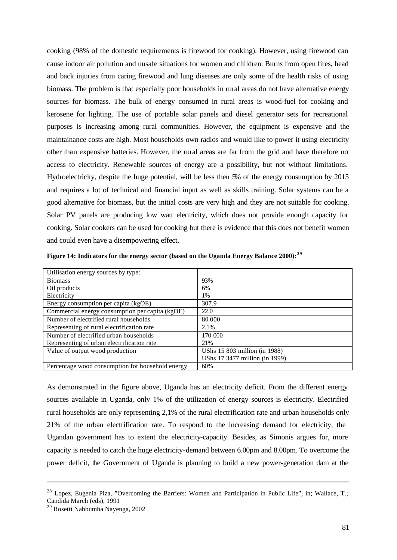cooking (98% of the domestic requirements is firewood for cooking). However, using firewood can cause indoor air pollution and unsafe situations for women and children. Burns from open fires, head and back injuries from caring firewood and lung diseases are only some of the health risks of using biomass. The problem is that especially poor households in rural areas do not have alternative energy sources for biomass. The bulk of energy consumed in rural areas is wood-fuel for cooking and kerosene for lighting. The use of portable solar panels and diesel generator sets for recreational purposes is increasing among rural communities. However, the equipment is expensive and the maintainance costs are high. Most households own radios and would like to power it using electricity other than expensive batteries. However, the rural areas are far from the grid and have therefore no access to electricity. Renewable sources of energy are a possibility, but not without limitations. Hydroelectricity, despite the huge potential, will be less then 5% of the energy consumption by 2015 and requires a lot of technical and financial input as well as skills training. Solar systems can be a good alternative for biomass, but the initial costs are very high and they are not suitable for cooking. Solar PV panels are producing low watt electricity, which does not provide enough capacity for cooking. Solar cookers can be used for cooking but there is evidence that this does not benefit women and could even have a disempowering effect.

| Utilisation energy sources by type:              |                                |
|--------------------------------------------------|--------------------------------|
| <b>Biomass</b>                                   | 93%                            |
| Oil products                                     | 6%                             |
| Electricity                                      | 1%                             |
| Energy consumption per capita (kgOE)             | 307.9                          |
| Commercial energy consumption per capita (kgOE)  | 22.0                           |
| Number of electrified rural households           | 80 000                         |
| Representing of rural electrification rate       | 2.1%                           |
| Number of electrified urban households           | 170 000                        |
| Representing of urban electrification rate       | 21%                            |
| Value of output wood production                  | UShs 15 803 million (in 1988)  |
|                                                  | UShs 17 3477 million (in 1999) |
| Percentage wood consumption for household energy | 60%                            |

**Figure 14: Indicators for the energy sector (based on the Uganda Energy Balance 2000): <sup>29</sup>**

As demonstrated in the figure above, Uganda has an electricity deficit. From the different energy sources available in Uganda, only 1% of the utilization of energy sources is electricity. Electrified rural households are only representing 2,1% of the rural electrification rate and urban households only 21% of the urban electrification rate. To respond to the increasing demand for electricity, the Ugandan government has to extent the electricity-capacity. Besides, as Simonis argues for, more capacity is needed to catch the huge electricity-demand between 6.00pm and 8.00pm. To overcome the power deficit, the Government of Uganda is planning to build a new power-generation dam at the

l

<sup>&</sup>lt;sup>28</sup> Lopez, Eugenia Piza, "Overcoming the Barriers: Women and Participation in Public Life", in; Wallace, T.; Candida March (eds), 1991

<sup>29</sup> Rosetti Nabbumba Nayenga, 2002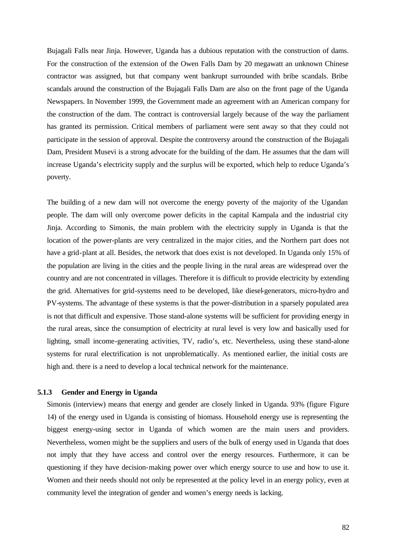Bujagali Falls near Jinja. However, Uganda has a dubious reputation with the construction of dams. For the construction of the extension of the Owen Falls Dam by 20 megawatt an unknown Chinese contractor was assigned, but that company went bankrupt surrounded with bribe scandals. Bribe scandals around the construction of the Bujagali Falls Dam are also on the front page of the Uganda Newspapers. In November 1999, the Government made an agreement with an American company for the construction of the dam. The contract is controversial largely because of the way the parliament has granted its permission. Critical members of parliament were sent away so that they could not participate in the session of approval. Despite the controversy around the construction of the Bujagali Dam, President Musevi is a strong advocate for the building of the dam. He assumes that the dam will increase Uganda's electricity supply and the surplus will be exported, which help to reduce Uganda's poverty.

The building of a new dam will not overcome the energy poverty of the majority of the Ugandan people. The dam will only overcome power deficits in the capital Kampala and the industrial city Jinja. According to Simonis, the main problem with the electricity supply in Uganda is that the location of the power-plants are very centralized in the major cities, and the Northern part does not have a grid-plant at all. Besides, the network that does exist is not developed. In Uganda only 15% of the population are living in the cities and the people living in the rural areas are widespread over the country and are not concentrated in villages. Therefore it is difficult to provide electricity by extending the grid. Alternatives for grid-systems need to be developed, like diesel-generators, micro-hydro and PV-systems. The advantage of these systems is that the power-distribution in a sparsely populated area is not that difficult and expensive. Those stand-alone systems will be sufficient for providing energy in the rural areas, since the consumption of electricity at rural level is very low and basically used for lighting, small income-generating activities, TV, radio's, etc. Nevertheless, using these stand-alone systems for rural electrification is not unproblematically. As mentioned earlier, the initial costs are high and. there is a need to develop a local technical network for the maintenance.

## **5.1.3 Gender and Energy in Uganda**

Simonis (interview) means that energy and gender are closely linked in Uganda. 93% (figure Figure 14) of the energy used in Uganda is consisting of biomass. Household energy use is representing the biggest energy-using sector in Uganda of which women are the main users and providers. Nevertheless, women might be the suppliers and users of the bulk of energy used in Uganda that does not imply that they have access and control over the energy resources. Furthermore, it can be questioning if they have decision-making power over which energy source to use and how to use it. Women and their needs should not only be represented at the policy level in an energy policy, even at community level the integration of gender and women's energy needs is lacking.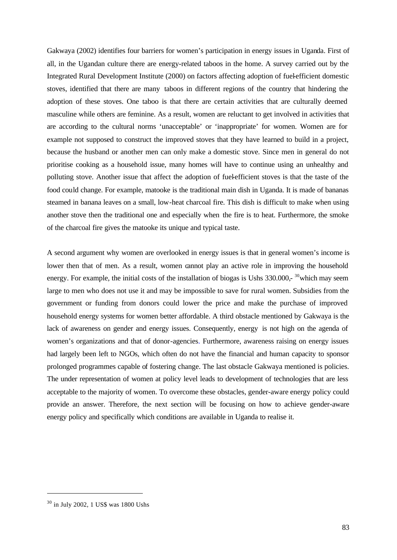Gakwaya (2002) identifies four barriers for women's participation in energy issues in Uganda. First of all, in the Ugandan culture there are energy-related taboos in the home. A survey carried out by the Integrated Rural Development Institute (2000) on factors affecting adoption of fuel-efficient domestic stoves, identified that there are many taboos in different regions of the country that hindering the adoption of these stoves. One taboo is that there are certain activities that are culturally deemed masculine while others are feminine. As a result, women are reluctant to get involved in activities that are according to the cultural norms 'unacceptable' or 'inappropriate' for women. Women are for example not supposed to construct the improved stoves that they have learned to build in a project, because the husband or another men can only make a domestic stove. Since men in general do not prioritise cooking as a household issue, many homes will have to continue using an unhealthy and polluting stove. Another issue that affect the adoption of fuel-efficient stoves is that the taste of the food could change. For example, matooke is the traditional main dish in Uganda. It is made of bananas steamed in banana leaves on a small, low-heat charcoal fire. This dish is difficult to make when using another stove then the traditional one and especially when the fire is to heat. Furthermore, the smoke of the charcoal fire gives the matooke its unique and typical taste.

A second argument why women are overlooked in energy issues is that in general women's income is lower then that of men. As a result, women cannot play an active role in improving the household energy. For example, the initial costs of the installation of biogas is Ushs  $330.000$ ,  $30\%$  which may seem large to men who does not use it and may be impossible to save for rural women. Subsidies from the government or funding from donors could lower the price and make the purchase of improved household energy systems for women better affordable. A third obstacle mentioned by Gakwaya is the lack of awareness on gender and energy issues. Consequently, energy is not high on the agenda of women's organizations and that of donor-agencies. Furthermore, awareness raising on energy issues had largely been left to NGOs, which often do not have the financial and human capacity to sponsor prolonged programmes capable of fostering change. The last obstacle Gakwaya mentioned is policies. The under representation of women at policy level leads to development of technologies that are less acceptable to the majority of women. To overcome these obstacles, gender-aware energy policy could provide an answer. Therefore, the next section will be focusing on how to achieve gender-aware energy policy and specifically which conditions are available in Uganda to realise it.

l

<sup>30</sup> in July 2002, 1 US\$ was 1800 Ushs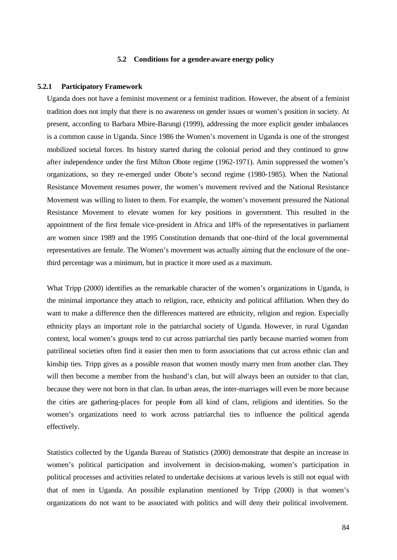### **5.2 Conditions for a gender-aware energy policy**

### **5.2.1 Participatory Framework**

Uganda does not have a feminist movement or a feminist tradition. However, the absent of a feminist tradition does not imply that there is no awareness on gender issues or women's position in society. At present, according to Barbara Mbire-Barungi (1999), addressing the more explicit gender imbalances is a common cause in Uganda. Since 1986 the Women's movement in Uganda is one of the strongest mobilized societal forces. Its history started during the colonial period and they continued to grow after independence under the first Milton Obote regime (1962-1971). Amin suppressed the women's organizations, so they re-emerged under Obote's second regime (1980-1985). When the National Resistance Movement resumes power, the women's movement revived and the National Resistance Movement was willing to listen to them. For example, the women's movement pressured the National Resistance Movement to elevate women for key positions in government. This resulted in the appointment of the first female vice-president in Africa and 18% of the representatives in parliament are women since 1989 and the 1995 Constitution demands that one-third of the local governmental representatives are female. The Women's movement was actually aiming that the enclosure of the onethird percentage was a minimum, but in practice it more used as a maximum.

What Tripp (2000) identifies as the remarkable character of the women's organizations in Uganda, is the minimal importance they attach to religion, race, ethnicity and political affiliation. When they do want to make a difference then the differences mattered are ethnicity, religion and region. Especially ethnicity plays an important role in the patriarchal society of Uganda. However, in rural Ugandan context, local women's groups tend to cut across patriarchal ties partly because married women from patrilineal societies often find it easier then men to form associations that cut across ethnic clan and kinship ties. Tripp gives as a possible reason that women mostly marry men from another clan. They will then become a member from the husband's clan, but will always been an outsider to that clan, because they were not born in that clan. In urban areas, the inter-marriages will even be more because the cities are gathering-places for people from all kind of clans, religions and identities. So the women's organizations need to work across patriarchal ties to influence the political agenda effectively.

Statistics collected by the Uganda Bureau of Statistics (2000) demonstrate that despite an increase in women's political participation and involvement in decision-making, women's participation in political processes and activities related to undertake decisions at various levels is still not equal with that of men in Uganda. An possible explanation mentioned by Tripp (2000) is that women's organizations do not want to be associated with politics and will deny their political involvement.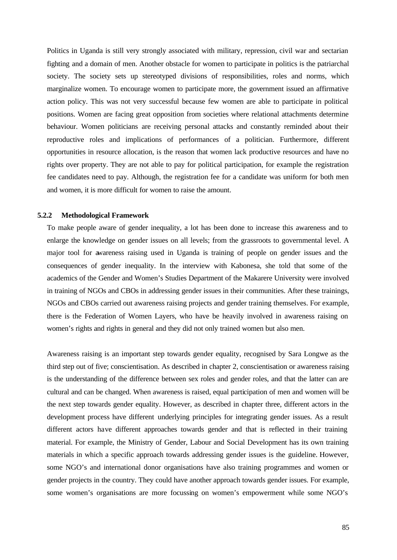Politics in Uganda is still very strongly associated with military, repression, civil war and sectarian fighting and a domain of men. Another obstacle for women to participate in politics is the patriarchal society. The society sets up stereotyped divisions of responsibilities, roles and norms, which marginalize women. To encourage women to participate more, the government issued an affirmative action policy. This was not very successful because few women are able to participate in political positions. Women are facing great opposition from societies where relational attachments determine behaviour. Women politicians are receiving personal attacks and constantly reminded about their reproductive roles and implications of performances of a politician. Furthermore, different opportunities in resource allocation, is the reason that women lack productive resources and have no rights over property. They are not able to pay for political participation, for example the registration fee candidates need to pay. Although, the registration fee for a candidate was uniform for both men and women, it is more difficult for women to raise the amount.

### **5.2.2 Methodological Framework**

To make people aware of gender inequality, a lot has been done to increase this awareness and to enlarge the knowledge on gender issues on all levels; from the grassroots to governmental level. A major tool for awareness raising used in Uganda is training of people on gender issues and the consequences of gender inequality. In the interview with Kabonesa, she told that some of the academics of the Gender and Women's Studies Department of the Makarere University were involved in training of NGOs and CBOs in addressing gender issues in their communities. After these trainings, NGOs and CBOs carried out awareness raising projects and gender training themselves. For example, there is the Federation of Women Layers, who have be heavily involved in awareness raising on women's rights and rights in general and they did not only trained women but also men.

Awareness raising is an important step towards gender equality, recognised by Sara Longwe as the third step out of five; conscientisation. As described in chapter 2, conscientisation or awareness raising is the understanding of the difference between sex roles and gender roles, and that the latter can are cultural and can be changed. When awareness is raised, equal participation of men and women will be the next step towards gender equality. However, as described in chapter three, different actors in the development process have different underlying principles for integrating gender issues. As a result different actors have different approaches towards gender and that is reflected in their training material. For example, the Ministry of Gender, Labour and Social Development has its own training materials in which a specific approach towards addressing gender issues is the guideline. However, some NGO's and international donor organisations have also training programmes and women or gender projects in the country. They could have another approach towards gender issues. For example, some women's organisations are more focussing on women's empowerment while some NGO's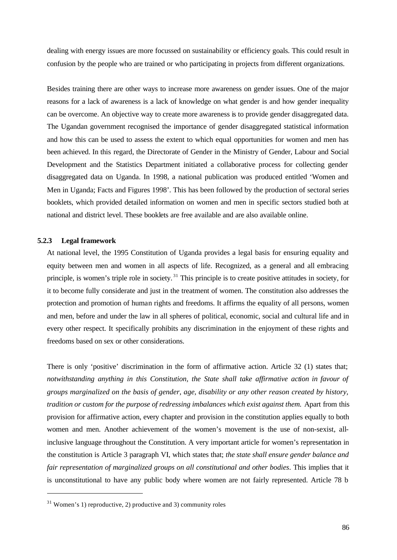dealing with energy issues are more focussed on sustainability or efficiency goals. This could result in confusion by the people who are trained or who participating in projects from different organizations.

Besides training there are other ways to increase more awareness on gender issues. One of the major reasons for a lack of awareness is a lack of knowledge on what gender is and how gender inequality can be overcome. An objective way to create more awareness is to provide gender disaggregated data. The Ugandan government recognised the importance of gender disaggregated statistical information and how this can be used to assess the extent to which equal opportunities for women and men has been achieved. In this regard, the Directorate of Gender in the Ministry of Gender, Labour and Social Development and the Statistics Department initiated a collaborative process for collecting gender disaggregated data on Uganda. In 1998, a national publication was produced entitled 'Women and Men in Uganda; Facts and Figures 1998'. This has been followed by the production of sectoral series booklets, which provided detailed information on women and men in specific sectors studied both at national and district level. These booklets are free available and are also available online.

#### **5.2.3 Legal framework**

l

At national level, the 1995 Constitution of Uganda provides a legal basis for ensuring equality and equity between men and women in all aspects of life. Recognized, as a general and all embracing principle, is women's triple role in society. <sup>31</sup> This principle is to create positive attitudes in society, for it to become fully considerate and just in the treatment of women. The constitution also addresses the protection and promotion of human rights and freedoms. It affirms the equality of all persons, women and men, before and under the law in all spheres of political, economic, social and cultural life and in every other respect. It specifically prohibits any discrimination in the enjoyment of these rights and freedoms based on sex or other considerations.

There is only 'positive' discrimination in the form of affirmative action. Article 32 (1) states that; *notwithstanding anything in this Constitution, the State shall take affirmative action in favour of groups marginalized on the basis of gender, age, disability or any other reason created by history, tradition or custom for the purpose of redressing imbalances which exist against them.* Apart from this provision for affirmative action, every chapter and provision in the constitution applies equally to both women and men. Another achievement of the women's movement is the use of non-sexist, allinclusive language throughout the Constitution. A very important article for women's representation in the constitution is Article 3 paragraph VI, which states that; *the state shall ensure gender balance and fair representation of marginalized groups on all constitutional and other bodies*. This implies that it is unconstitutional to have any public body where women are not fairly represented. Article 78 b

 $31$  Women's 1) reproductive, 2) productive and 3) community roles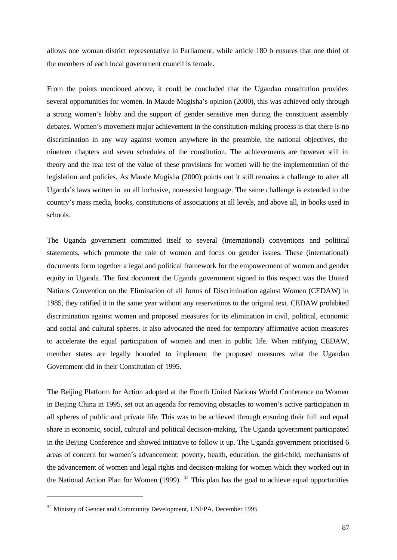allows one woman district representative in Parliament, while article 180 b ensures that one third of the members of each local government council is female.

From the points mentioned above, it could be concluded that the Ugandan constitution provides several opportunities for women. In Maude Mugisha's opinion (2000), this was achieved only through a strong women's lobby and the support of gender sensitive men during the constituent assembly debates. Women's movement major achievement in the constitution-making process is that there is no discrimination in any way against women anywhere in the preamble, the national objectives, the nineteen chapters and seven schedules of the constitution. The achievements are however still in theory and the real test of the value of these provisions for women will be the implementation of the legislation and policies. As Maude Mugisha (2000) points out it still remains a challenge to alter all Uganda's laws written in an all inclusive, non-sexist language. The same challenge is extended to the country's mass media, books, constitutions of associations at all levels, and above all, in books used in schools.

The Uganda government committed itself to several (international) conventions and political statements, which promote the role of women and focus on gender issues. These (international) documents form together a legal and political framework for the empowerment of women and gender equity in Uganda. The first document the Uganda government signed in this respect was the United Nations Convention on the Elimination of all forms of Discrimination against Women (CEDAW) in 1985, they ratified it in the same year without any reservations to the original text. CEDAW prohibited discrimination against women and proposed measures for its elimination in civil, political, economic and social and cultural spheres. It also advocated the need for temporary affirmative action measures to accelerate the equal participation of women and men in public life. When ratifying CEDAW, member states are legally bounded to implement the proposed measures what the Ugandan Government did in their Constitution of 1995.

The Beijing Platform for Action adopted at the Fourth United Nations World Conference on Women in Beijing China in 1995, set out an agenda for removing obstacles to women's active participation in all spheres of public and private life. This was to be achieved through ensuring their full and equal share in economic, social, cultural and political decision-making. The Uganda government participated in the Beijing Conference and showed initiative to follow it up. The Uganda government prioritised 6 areas of concern for women's advancement; poverty, health, education, the girl-child, mechanisms of the advancement of women and legal rights and decision-making for women which they worked out in the National Action Plan for Women (1999).  $32$  This plan has the goal to achieve equal opportunities

l

<sup>&</sup>lt;sup>32</sup> Ministry of Gender and Community Development, UNFPA, December 1995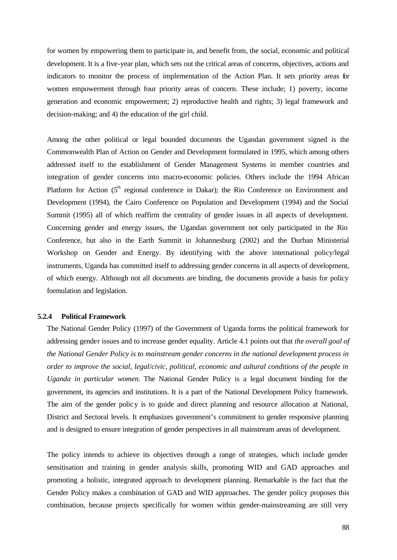for women by empowering them to participate in, and benefit from, the social, economic and political development. It is a five-year plan, which sets out the critical areas of concerns, objectives, actions and indicators to monitor the process of implementation of the Action Plan. It sets priority areas for women empowerment through four priority areas of concern. These include; 1) poverty, income generation and economic empowerment; 2) reproductive health and rights; 3) legal framework and decision-making; and 4) the education of the girl child.

Among the other political or legal bounded documents the Ugandan government signed is the Commonwealth Plan of Action on Gender and Development formulated in 1995, which among others addressed itself to the establishment of Gender Management Systems in member countries and integration of gender concerns into macro-economic policies. Others include the 1994 African Platform for Action  $(5<sup>th</sup>$  regional conference in Dakar); the Rio Conference on Environment and Development (1994), the Cairo Conference on Population and Development (1994) and the Social Summit (1995) all of which reaffirm the centrality of gender issues in all aspects of development. Concerning gender and energy issues, the Ugandan government not only participated in the Rio Conference, but also in the Earth Summit in Johannesburg (2002) and the Durban Ministerial Workshop on Gender and Energy. By identifying with the above international policy/legal instruments, Uganda has committed itself to addressing gender concerns in all aspects of development, of which energy. Although not all documents are binding, the documents provide a basis for policy formulation and legislation.

# **5.2.4 Political Framework**

The National Gender Policy (1997) of the Government of Uganda forms the political framework for addressing gender issues and to increase gender equality. Article 4.1 points out that *the overall goal of the National Gender Policy is to mainstream gender concerns in the national development process in order to improve the social, legal/civic, political, economic and cultural conditions of the people in Uganda in particular women.* The National Gender Policy is a legal document binding for the government, its agencies and institutions. It is a part of the National Development Policy framework. The aim of the gender policy is to guide and direct planning and resource allocation at National, District and Sectoral levels. It emphasizes government's commitment to gender responsive planning and is designed to ensure integration of gender perspectives in all mainstream areas of development.

The policy intends to achieve its objectives through a range of strategies, which include gender sensitisation and training in gender analysis skills, promoting WID and GAD approaches and promoting a holistic, integrated approach to development planning. Remarkable is the fact that the Gender Policy makes a combination of GAD and WID approaches. The gender policy proposes this combination, because projects specifically for women within gender-mainstreaming are still very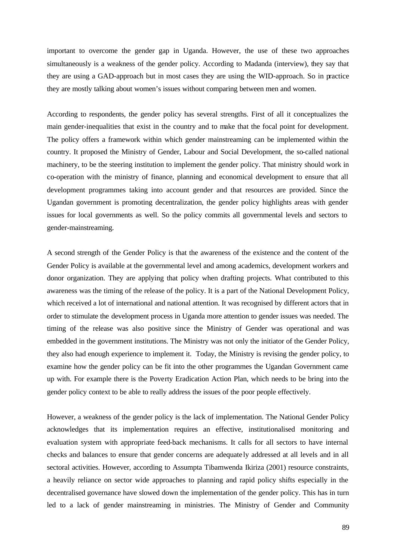important to overcome the gender gap in Uganda. However, the use of these two approaches simultaneously is a weakness of the gender policy. According to Madanda (interview), they say that they are using a GAD-approach but in most cases they are using the WID-approach. So in practice they are mostly talking about women's issues without comparing between men and women.

According to respondents, the gender policy has several strengths. First of all it conceptualizes the main gender-inequalities that exist in the country and to make that the focal point for development. The policy offers a framework within which gender mainstreaming can be implemented within the country. It proposed the Ministry of Gender, Labour and Social Development, the so-called national machinery, to be the steering institution to implement the gender policy. That ministry should work in co-operation with the ministry of finance, planning and economical development to ensure that all development programmes taking into account gender and that resources are provided. Since the Ugandan government is promoting decentralization, the gender policy highlights areas with gender issues for local governments as well. So the policy commits all governmental levels and sectors to gender-mainstreaming.

A second strength of the Gender Policy is that the awareness of the existence and the content of the Gender Policy is available at the governmental level and among academics, development workers and donor organization. They are applying that policy when drafting projects. What contributed to this awareness was the timing of the release of the policy. It is a part of the National Development Policy, which received a lot of international and national attention. It was recognised by different actors that in order to stimulate the development process in Uganda more attention to gender issues was needed. The timing of the release was also positive since the Ministry of Gender was operational and was embedded in the government institutions. The Ministry was not only the initiator of the Gender Policy, they also had enough experience to implement it. Today, the Ministry is revising the gender policy, to examine how the gender policy can be fit into the other programmes the Ugandan Government came up with. For example there is the Poverty Eradication Action Plan, which needs to be bring into the gender policy context to be able to really address the issues of the poor people effectively.

However, a weakness of the gender policy is the lack of implementation. The National Gender Policy acknowledges that its implementation requires an effective, institutionalised monitoring and evaluation system with appropriate feed-back mechanisms. It calls for all sectors to have internal checks and balances to ensure that gender concerns are adequate ly addressed at all levels and in all sectoral activities. However, according to Assumpta Tibamwenda Ikiriza (2001) resource constraints, a heavily reliance on sector wide approaches to planning and rapid policy shifts especially in the decentralised governance have slowed down the implementation of the gender policy. This has in turn led to a lack of gender mainstreaming in ministries. The Ministry of Gender and Community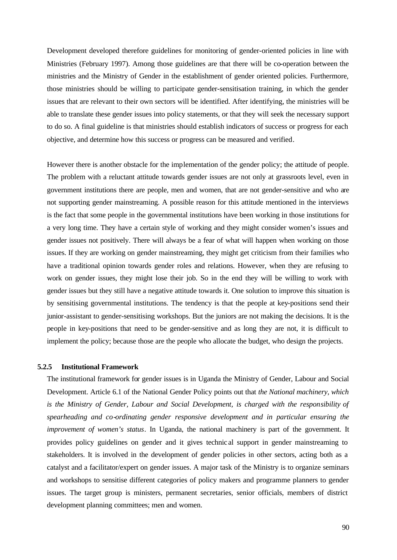Development developed therefore guidelines for monitoring of gender-oriented policies in line with Ministries (February 1997). Among those guidelines are that there will be co-operation between the ministries and the Ministry of Gender in the establishment of gender oriented policies. Furthermore, those ministries should be willing to participate gender-sensitisation training, in which the gender issues that are relevant to their own sectors will be identified. After identifying, the ministries will be able to translate these gender issues into policy statements, or that they will seek the necessary support to do so. A final guideline is that ministries should establish indicators of success or progress for each objective, and determine how this success or progress can be measured and verified.

However there is another obstacle for the implementation of the gender policy; the attitude of people. The problem with a reluctant attitude towards gender issues are not only at grassroots level, even in government institutions there are people, men and women, that are not gender-sensitive and who are not supporting gender mainstreaming. A possible reason for this attitude mentioned in the interviews is the fact that some people in the governmental institutions have been working in those institutions for a very long time. They have a certain style of working and they might consider women's issues and gender issues not positively. There will always be a fear of what will happen when working on those issues. If they are working on gender mainstreaming, they might get criticism from their families who have a traditional opinion towards gender roles and relations. However, when they are refusing to work on gender issues, they might lose their job. So in the end they will be willing to work with gender issues but they still have a negative attitude towards it. One solution to improve this situation is by sensitising governmental institutions. The tendency is that the people at key-positions send their junior-assistant to gender-sensitising workshops. But the juniors are not making the decisions. It is the people in key-positions that need to be gender-sensitive and as long they are not, it is difficult to implement the policy; because those are the people who allocate the budget, who design the projects.

### **5.2.5 Institutional Framework**

The institutional framework for gender issues is in Uganda the Ministry of Gender, Labour and Social Development. Article 6.1 of the National Gender Policy points out that *the National machinery, which is the Ministry of Gender, Labour and Social Development, is charged with the responsibility of spearheading and co-ordinating gender responsive development and in particular ensuring the improvement of women's status*. In Uganda, the national machinery is part of the government. It provides policy guidelines on gender and it gives technic al support in gender mainstreaming to stakeholders. It is involved in the development of gender policies in other sectors, acting both as a catalyst and a facilitator/expert on gender issues. A major task of the Ministry is to organize seminars and workshops to sensitise different categories of policy makers and programme planners to gender issues. The target group is ministers, permanent secretaries, senior officials, members of district development planning committees; men and women.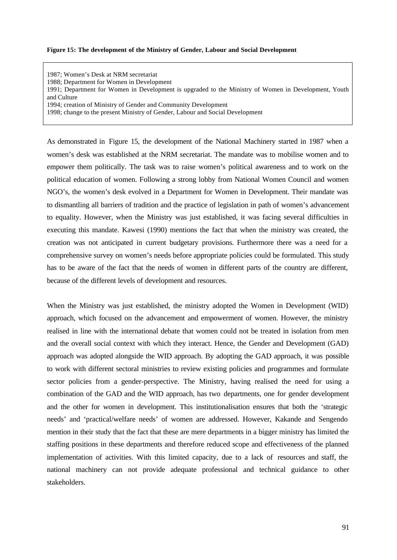#### **Figure 15: The development of the Ministry of Gender, Labour and Social Development**

1987; Women's Desk at NRM secretariat 1988; Department for Women in Development 1991; Department for Women in Development is upgraded to the Ministry of Women in Development, Youth and Culture 1994; creation of Ministry of Gender and Community Development 1998; change to the present Ministry of Gender, Labour and Social Development

As demonstrated in Figure 15, the development of the National Machinery started in 1987 when a women's desk was established at the NRM secretariat. The mandate was to mobilise women and to empower them politically. The task was to raise women's political awareness and to work on the political education of women. Following a strong lobby from National Women Council and women NGO's, the women's desk evolved in a Department for Women in Development. Their mandate was to dismantling all barriers of tradition and the practice of legislation in path of women's advancement to equality. However, when the Ministry was just established, it was facing several difficulties in executing this mandate. Kawesi (1990) mentions the fact that when the ministry was created, the creation was not anticipated in current budgetary provisions. Furthermore there was a need for a comprehensive survey on women's needs before appropriate policies could be formulated. This study has to be aware of the fact that the needs of women in different parts of the country are different, because of the different levels of development and resources.

When the Ministry was just established, the ministry adopted the Women in Development (WID) approach, which focused on the advancement and empowerment of women. However, the ministry realised in line with the international debate that women could not be treated in isolation from men and the overall social context with which they interact. Hence, the Gender and Development (GAD) approach was adopted alongside the WID approach. By adopting the GAD approach, it was possible to work with different sectoral ministries to review existing policies and programmes and formulate sector policies from a gender-perspective. The Ministry, having realised the need for using a combination of the GAD and the WID approach, has two departments, one for gender development and the other for women in development. This institutionalisation ensures that both the 'strategic needs' and 'practical/welfare needs' of women are addressed. However, Kakande and Sengendo mention in their study that the fact that these are mere departments in a bigger ministry has limited the staffing positions in these departments and therefore reduced scope and effectiveness of the planned implementation of activities. With this limited capacity, due to a lack of resources and staff, the national machinery can not provide adequate professional and technical guidance to other stakeholders.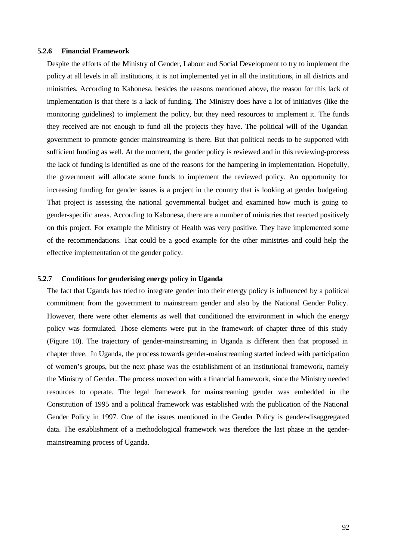## **5.2.6 Financial Framework**

Despite the efforts of the Ministry of Gender, Labour and Social Development to try to implement the policy at all levels in all institutions, it is not implemented yet in all the institutions, in all districts and ministries. According to Kabonesa, besides the reasons mentioned above, the reason for this lack of implementation is that there is a lack of funding. The Ministry does have a lot of initiatives (like the monitoring guidelines) to implement the policy, but they need resources to implement it. The funds they received are not enough to fund all the projects they have. The political will of the Ugandan government to promote gender mainstreaming is there. But that political needs to be supported with sufficient funding as well. At the moment, the gender policy is reviewed and in this reviewing-process the lack of funding is identified as one of the reasons for the hampering in implementation. Hopefully, the government will allocate some funds to implement the reviewed policy. An opportunity for increasing funding for gender issues is a project in the country that is looking at gender budgeting. That project is assessing the national governmental budget and examined how much is going to gender-specific areas. According to Kabonesa, there are a number of ministries that reacted positively on this project. For example the Ministry of Health was very positive. They have implemented some of the recommendations. That could be a good example for the other ministries and could help the effective implementation of the gender policy.

## **5.2.7 Conditions for genderising energy policy in Uganda**

The fact that Uganda has tried to integrate gender into their energy policy is influenced by a political commitment from the government to mainstream gender and also by the National Gender Policy. However, there were other elements as well that conditioned the environment in which the energy policy was formulated. Those elements were put in the framework of chapter three of this study (Figure 10). The trajectory of gender-mainstreaming in Uganda is different then that proposed in chapter three. In Uganda, the process towards gender-mainstreaming started indeed with participation of women's groups, but the next phase was the establishment of an institutional framework, namely the Ministry of Gender. The process moved on with a financial framework, since the Ministry needed resources to operate. The legal framework for mainstreaming gender was embedded in the Constitution of 1995 and a political framework was established with the publication of the National Gender Policy in 1997. One of the issues mentioned in the Gender Policy is gender-disaggregated data. The establishment of a methodological framework was therefore the last phase in the gendermainstreaming process of Uganda.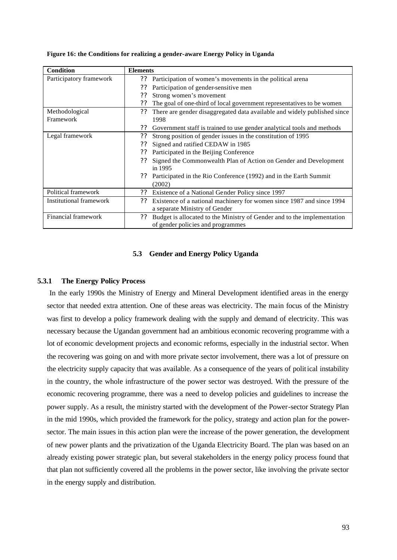| <b>Condition</b>           | <b>Elements</b>                                                                |  |
|----------------------------|--------------------------------------------------------------------------------|--|
| Participatory framework    | Participation of women's movements in the political arena<br>??                |  |
|                            | Participation of gender-sensitive men<br>??                                    |  |
|                            | Strong women's movement<br>??                                                  |  |
|                            | ??<br>The goal of one-third of local government representatives to be women    |  |
| Methodological             | There are gender disaggregated data available and widely published since<br>?? |  |
| Framework                  | 1998                                                                           |  |
|                            | Government staff is trained to use gender analytical tools and methods<br>??   |  |
| Legal framework            | Strong position of gender issues in the constitution of 1995<br>??             |  |
|                            | Signed and ratified CEDAW in 1985<br>??                                        |  |
|                            | Participated in the Beijing Conference<br>??                                   |  |
|                            | Signed the Commonwealth Plan of Action on Gender and Development<br>??         |  |
|                            | in 1995                                                                        |  |
|                            | Participated in the Rio Conference (1992) and in the Earth Summit<br>??        |  |
|                            | (2002)                                                                         |  |
| Political framework        | Existence of a National Gender Policy since 1997<br>??                         |  |
| Institutional framework    | Existence of a national machinery for women since 1987 and since 1994<br>??    |  |
|                            | a separate Ministry of Gender                                                  |  |
| <b>Financial framework</b> | Budget is allocated to the Ministry of Gender and to the implementation<br>??  |  |
|                            | of gender policies and programmes                                              |  |

**Figure 16: the Conditions for realizing a gender-aware Energy Policy in Uganda**

## **5.3 Gender and Energy Policy Uganda**

## **5.3.1 The Energy Policy Process**

 In the early 1990s the Ministry of Energy and Mineral Development identified areas in the energy sector that needed extra attention. One of these areas was electricity. The main focus of the Ministry was first to develop a policy framework dealing with the supply and demand of electricity. This was necessary because the Ugandan government had an ambitious economic recovering programme with a lot of economic development projects and economic reforms, especially in the industrial sector. When the recovering was going on and with more private sector involvement, there was a lot of pressure on the electricity supply capacity that was available. As a consequence of the years of political instability in the country, the whole infrastructure of the power sector was destroyed. With the pressure of the economic recovering programme, there was a need to develop policies and guidelines to increase the power supply. As a result, the ministry started with the development of the Power-sector Strategy Plan in the mid 1990s, which provided the framework for the policy, strategy and action plan for the powersector. The main issues in this action plan were the increase of the power generation, the development of new power plants and the privatization of the Uganda Electricity Board. The plan was based on an already existing power strategic plan, but several stakeholders in the energy policy process found that that plan not sufficiently covered all the problems in the power sector, like involving the private sector in the energy supply and distribution.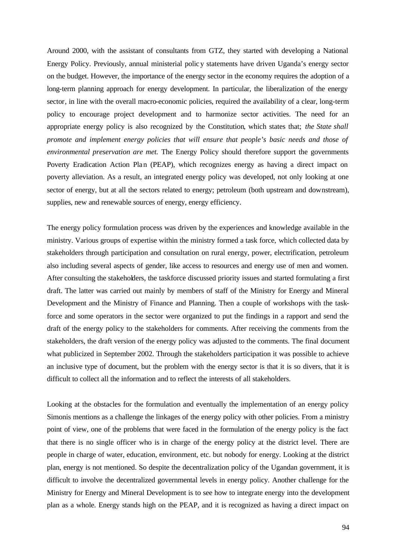Around 2000, with the assistant of consultants from GTZ, they started with developing a National Energy Policy. Previously, annual ministerial policy statements have driven Uganda's energy sector on the budget. However, the importance of the energy sector in the economy requires the adoption of a long-term planning approach for energy development. In particular, the liberalization of the energy sector, in line with the overall macro-economic policies, required the availability of a clear, long-term policy to encourage project development and to harmonize sector activities. The need for an appropriate energy policy is also recognized by the Constitution, which states that; *the State shall promote and implement energy policies that will ensure that people's basic needs and those of environmental preservation are met.* The Energy Policy should therefore support the governments Poverty Eradication Action Plan (PEAP), which recognizes energy as having a direct impact on poverty alleviation. As a result, an integrated energy policy was developed, not only looking at one sector of energy, but at all the sectors related to energy; petroleum (both upstream and downstream), supplies, new and renewable sources of energy, energy efficiency.

The energy policy formulation process was driven by the experiences and knowledge available in the ministry. Various groups of expertise within the ministry formed a task force, which collected data by stakeholders through participation and consultation on rural energy, power, electrification, petroleum also including several aspects of gender, like access to resources and energy use of men and women. After consulting the stakeholders, the taskforce discussed priority issues and started formulating a first draft. The latter was carried out mainly by members of staff of the Ministry for Energy and Mineral Development and the Ministry of Finance and Planning. Then a couple of workshops with the taskforce and some operators in the sector were organized to put the findings in a rapport and send the draft of the energy policy to the stakeholders for comments. After receiving the comments from the stakeholders, the draft version of the energy policy was adjusted to the comments. The final document what publicized in September 2002. Through the stakeholders participation it was possible to achieve an inclusive type of document, but the problem with the energy sector is that it is so divers, that it is difficult to collect all the information and to reflect the interests of all stakeholders.

Looking at the obstacles for the formulation and eventually the implementation of an energy policy Simonis mentions as a challenge the linkages of the energy policy with other policies. From a ministry point of view, one of the problems that were faced in the formulation of the energy policy is the fact that there is no single officer who is in charge of the energy policy at the district level. There are people in charge of water, education, environment, etc. but nobody for energy. Looking at the district plan, energy is not mentioned. So despite the decentralization policy of the Ugandan government, it is difficult to involve the decentralized governmental levels in energy policy. Another challenge for the Ministry for Energy and Mineral Development is to see how to integrate energy into the development plan as a whole. Energy stands high on the PEAP, and it is recognized as having a direct impact on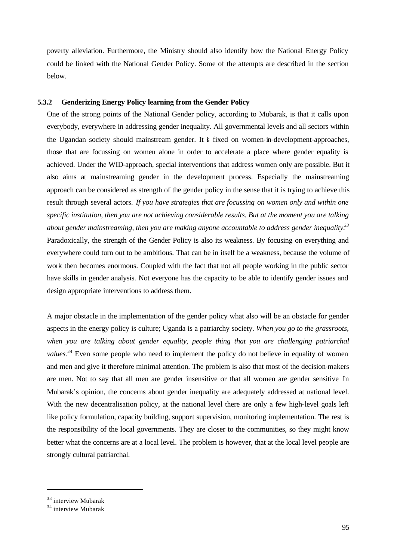poverty alleviation. Furthermore, the Ministry should also identify how the National Energy Policy could be linked with the National Gender Policy. Some of the attempts are described in the section below.

## **5.3.2 Genderizing Energy Policy learning from the Gender Policy**

One of the strong points of the National Gender policy, according to Mubarak, is that it calls upon everybody, everywhere in addressing gender inequality. All governmental levels and all sectors within the Ugandan society should mainstream gender. It is fixed on women-in-development-approaches, those that are focussing on women alone in order to accelerate a place where gender equality is achieved. Under the WID-approach, special interventions that address women only are possible. But it also aims at mainstreaming gender in the development process. Especially the mainstreaming approach can be considered as strength of the gender policy in the sense that it is trying to achieve this result through several actors. *If you have strategies that are focussing on women only and within one specific institution, then you are not achieving considerable results. But at the moment you are talking about gender mainstreaming, then you are making anyone accountable to address gender inequality.<sup>33</sup>* Paradoxically, the strength of the Gender Policy is also its weakness. By focusing on everything and everywhere could turn out to be ambitious. That can be in itself be a weakness, because the volume of work then becomes enormous. Coupled with the fact that not all people working in the public sector have skills in gender analysis. Not everyone has the capacity to be able to identify gender issues and design appropriate interventions to address them.

A major obstacle in the implementation of the gender policy what also will be an obstacle for gender aspects in the energy policy is culture; Uganda is a patriarchy society. *When you go to the grassroots, when you are talking about gender equality, people thing that you are challenging patriarchal* values.<sup>34</sup> Even some people who need to implement the policy do not believe in equality of women and men and give it therefore minimal attention. The problem is also that most of the decision-makers are men. Not to say that all men are gender insensitive or that all women are gender sensitive In Mubarak's opinion, the concerns about gender inequality are adequately addressed at national level. With the new decentralisation policy, at the national level there are only a few high-level goals left like policy formulation, capacity building, support supervision, monitoring implementation. The rest is the responsibility of the local governments. They are closer to the communities, so they might know better what the concerns are at a local level. The problem is however, that at the local level people are strongly cultural patriarchal.

l

<sup>33</sup> interview Mubarak

 $34$  interview Mubarak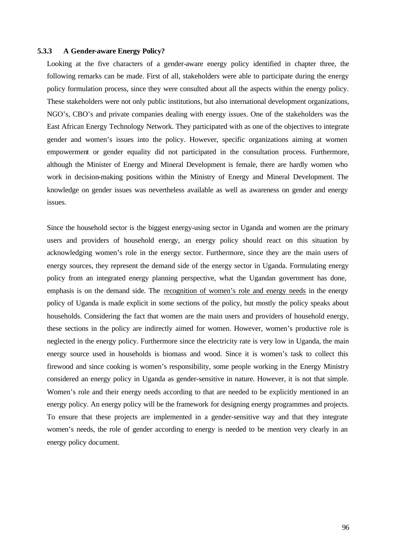### **5.3.3 A Gender-aware Energy Policy?**

Looking at the five characters of a gender-aware energy policy identified in chapter three, the following remarks can be made. First of all, stakeholders were able to participate during the energy policy formulation process, since they were consulted about all the aspects within the energy policy. These stakeholders were not only public institutions, but also international development organizations, NGO's, CBO's and private companies dealing with energy issues. One of the stakeholders was the East African Energy Technology Network. They participated with as one of the objectives to integrate gender and women's issues into the policy. However, specific organizations aiming at women empowerment or gender equality did not participated in the consultation process. Furthermore, although the Minister of Energy and Mineral Development is female, there are hardly women who work in decision-making positions within the Ministry of Energy and Mineral Development. The knowledge on gender issues was nevertheless available as well as awareness on gender and energy issues.

Since the household sector is the biggest energy-using sector in Uganda and women are the primary users and providers of household energy, an energy policy should react on this situation by acknowledging women's role in the energy sector. Furthermore, since they are the main users of energy sources, they represent the demand side of the energy sector in Uganda. Formulating energy policy from an integrated energy planning perspective, what the Ugandan government has done, emphasis is on the demand side. The recognition of women's role and energy needs in the energy policy of Uganda is made explicit in some sections of the policy, but mostly the policy speaks about households. Considering the fact that women are the main users and providers of household energy, these sections in the policy are indirectly aimed for women. However, women's productive role is neglected in the energy policy. Furthermore since the electricity rate is very low in Uganda, the main energy source used in households is biomass and wood. Since it is women's task to collect this firewood and since cooking is women's responsibility, some people working in the Energy Ministry considered an energy policy in Uganda as gender-sensitive in nature. However, it is not that simple. Women's role and their energy needs according to that are needed to be explicitly mentioned in an energy policy. An energy policy will be the framework for designing energy programmes and projects. To ensure that these projects are implemented in a gender-sensitive way and that they integrate women's needs, the role of gender according to energy is needed to be mention very clearly in an energy policy document.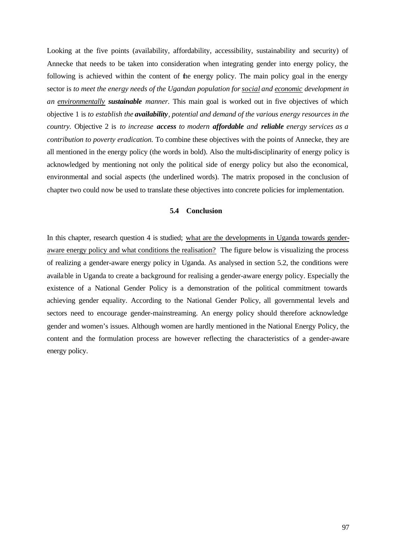Looking at the five points (availability, affordability, accessibility, sustainability and security) of Annecke that needs to be taken into consideration when integrating gender into energy policy, the following is achieved within the content of the energy policy. The main policy goal in the energy sector is *to meet the energy needs of the Ugandan population for social and economic development in an environmentally sustainable manner.* This main goal is worked out in five objectives of which objective 1 is *to establish the availability, potential and demand of the various energy resources in the country.* Objective 2 is *to increase access to modern affordable and reliable energy services as a contribution to poverty eradication.* To combine these objectives with the points of Annecke, they are all mentioned in the energy policy (the words in bold). Also the multi-disciplinarity of energy policy is acknowledged by mentioning not only the political side of energy policy but also the economical, environmental and social aspects (the underlined words). The matrix proposed in the conclusion of chapter two could now be used to translate these objectives into concrete policies for implementation.

# **5.4 Conclusion**

In this chapter, research question 4 is studied; what are the developments in Uganda towards genderaware energy policy and what conditions the realisation? The figure below is visualizing the process of realizing a gender-aware energy policy in Uganda. As analysed in section 5.2, the conditions were available in Uganda to create a background for realising a gender-aware energy policy. Especially the existence of a National Gender Policy is a demonstration of the political commitment towards achieving gender equality. According to the National Gender Policy, all governmental levels and sectors need to encourage gender-mainstreaming. An energy policy should therefore acknowledge gender and women's issues. Although women are hardly mentioned in the National Energy Policy, the content and the formulation process are however reflecting the characteristics of a gender-aware energy policy.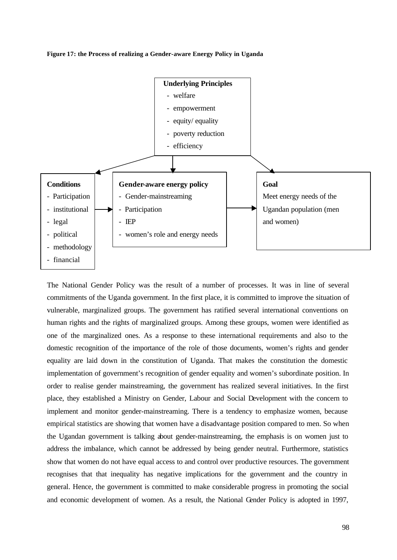

**Figure 17: the Process of realizing a Gender-aware Energy Policy in Uganda**

The National Gender Policy was the result of a number of processes. It was in line of several commitments of the Uganda government. In the first place, it is committed to improve the situation of vulnerable, marginalized groups. The government has ratified several international conventions on human rights and the rights of marginalized groups. Among these groups, women were identified as one of the marginalized ones. As a response to these international requirements and also to the domestic recognition of the importance of the role of those documents, women's rights and gender equality are laid down in the constitution of Uganda. That makes the constitution the domestic implementation of government's recognition of gender equality and women's subordinate position. In order to realise gender mainstreaming, the government has realized several initiatives. In the first place, they established a Ministry on Gender, Labour and Social Development with the concern to implement and monitor gender-mainstreaming. There is a tendency to emphasize women, because empirical statistics are showing that women have a disadvantage position compared to men. So when the Ugandan government is talking about gender-mainstreaming, the emphasis is on women just to address the imbalance, which cannot be addressed by being gender neutral. Furthermore, statistics show that women do not have equal access to and control over productive resources. The government recognises that that inequality has negative implications for the government and the country in general. Hence, the government is committed to make considerable progress in promoting the social and economic development of women. As a result, the National Gender Policy is adopted in 1997,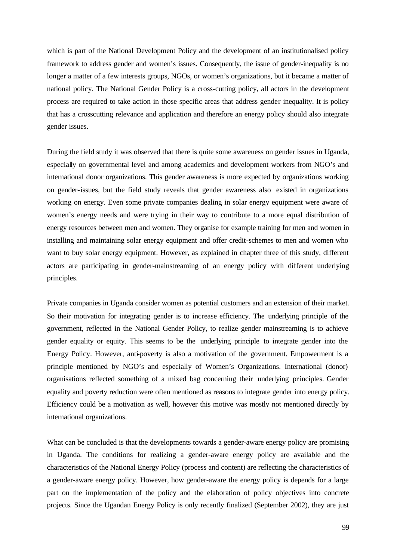which is part of the National Development Policy and the development of an institutionalised policy framework to address gender and women's issues. Consequently, the issue of gender-inequality is no longer a matter of a few interests groups, NGOs, or women's organizations, but it became a matter of national policy. The National Gender Policy is a cross-cutting policy, all actors in the development process are required to take action in those specific areas that address gender inequality. It is policy that has a crosscutting relevance and application and therefore an energy policy should also integrate gender issues.

During the field study it was observed that there is quite some awareness on gender issues in Uganda, especially on governmental level and among academics and development workers from NGO's and international donor organizations. This gender awareness is more expected by organizations working on gender-issues, but the field study reveals that gender awareness also existed in organizations working on energy. Even some private companies dealing in solar energy equipment were aware of women's energy needs and were trying in their way to contribute to a more equal distribution of energy resources between men and women. They organise for example training for men and women in installing and maintaining solar energy equipment and offer credit-schemes to men and women who want to buy solar energy equipment. However, as explained in chapter three of this study, different actors are participating in gender-mainstreaming of an energy policy with different underlying principles.

Private companies in Uganda consider women as potential customers and an extension of their market. So their motivation for integrating gender is to increase efficiency. The underlying principle of the government, reflected in the National Gender Policy, to realize gender mainstreaming is to achieve gender equality or equity. This seems to be the underlying principle to integrate gender into the Energy Policy. However, anti-poverty is also a motivation of the government. Empowerment is a principle mentioned by NGO's and especially of Women's Organizations. International (donor) organisations reflected something of a mixed bag concerning their underlying principles. Gender equality and poverty reduction were often mentioned as reasons to integrate gender into energy policy. Efficiency could be a motivation as well, however this motive was mostly not mentioned directly by international organizations.

What can be concluded is that the developments towards a gender-aware energy policy are promising in Uganda. The conditions for realizing a gender-aware energy policy are available and the characteristics of the National Energy Policy (process and content) are reflecting the characteristics of a gender-aware energy policy. However, how gender-aware the energy policy is depends for a large part on the implementation of the policy and the elaboration of policy objectives into concrete projects. Since the Ugandan Energy Policy is only recently finalized (September 2002), they are just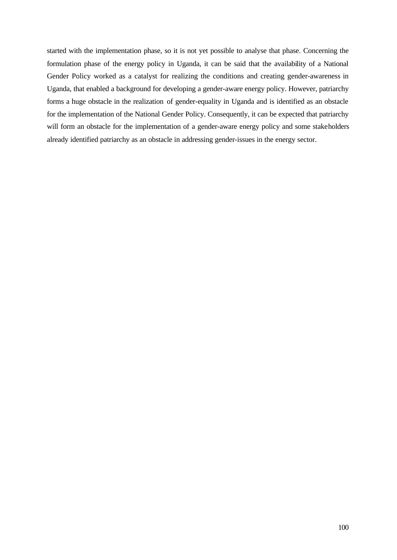started with the implementation phase, so it is not yet possible to analyse that phase. Concerning the formulation phase of the energy policy in Uganda, it can be said that the availability of a National Gender Policy worked as a catalyst for realizing the conditions and creating gender-awareness in Uganda, that enabled a background for developing a gender-aware energy policy. However, patriarchy forms a huge obstacle in the realization of gender-equality in Uganda and is identified as an obstacle for the implementation of the National Gender Policy. Consequently, it can be expected that patriarchy will form an obstacle for the implementation of a gender-aware energy policy and some stakeholders already identified patriarchy as an obstacle in addressing gender-issues in the energy sector.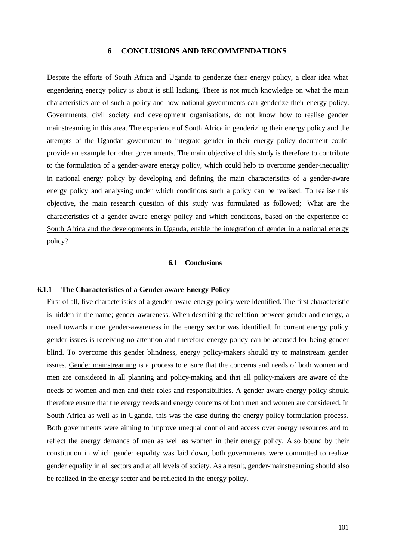### **6 CONCLUSIONS AND RECOMMENDATIONS**

Despite the efforts of South Africa and Uganda to genderize their energy policy, a clear idea what engendering energy policy is about is still lacking. There is not much knowledge on what the main characteristics are of such a policy and how national governments can genderize their energy policy. Governments, civil society and development organisations, do not know how to realise gender mainstreaming in this area. The experience of South Africa in genderizing their energy policy and the attempts of the Ugandan government to integrate gender in their energy policy document could provide an example for other governments. The main objective of this study is therefore to contribute to the formulation of a gender-aware energy policy, which could help to overcome gender-inequality in national energy policy by developing and defining the main characteristics of a gender-aware energy policy and analysing under which conditions such a policy can be realised. To realise this objective, the main research question of this study was formulated as followed; What are the characteristics of a gender-aware energy policy and which conditions, based on the experience of South Africa and the developments in Uganda, enable the integration of gender in a national energy policy?

### **6.1 Conclusions**

### **6.1.1 The Characteristics of a Gender-aware Energy Policy**

First of all, five characteristics of a gender-aware energy policy were identified. The first characteristic is hidden in the name; gender-awareness. When describing the relation between gender and energy, a need towards more gender-awareness in the energy sector was identified. In current energy policy gender-issues is receiving no attention and therefore energy policy can be accused for being gender blind. To overcome this gender blindness, energy policy-makers should try to mainstream gender issues. Gender mainstreaming is a process to ensure that the concerns and needs of both women and men are considered in all planning and policy-making and that all policy-makers are aware of the needs of women and men and their roles and responsibilities. A gender-aware energy policy should therefore ensure that the energy needs and energy concerns of both men and women are considered. In South Africa as well as in Uganda, this was the case during the energy policy formulation process. Both governments were aiming to improve unequal control and access over energy resources and to reflect the energy demands of men as well as women in their energy policy. Also bound by their constitution in which gender equality was laid down, both governments were committed to realize gender equality in all sectors and at all levels of society. As a result, gender-mainstreaming should also be realized in the energy sector and be reflected in the energy policy.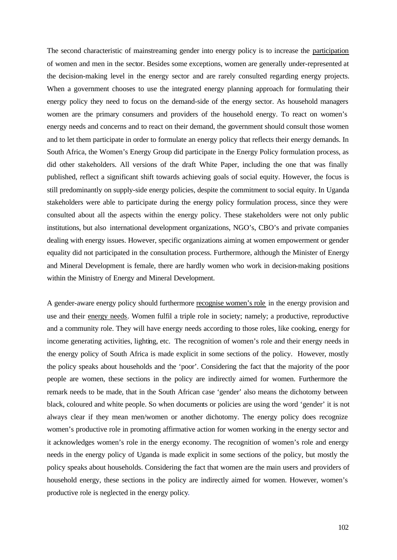The second characteristic of mainstreaming gender into energy policy is to increase the participation of women and men in the sector. Besides some exceptions, women are generally under-represented at the decision-making level in the energy sector and are rarely consulted regarding energy projects. When a government chooses to use the integrated energy planning approach for formulating their energy policy they need to focus on the demand-side of the energy sector. As household managers women are the primary consumers and providers of the household energy. To react on women's energy needs and concerns and to react on their demand, the government should consult those women and to let them participate in order to formulate an energy policy that reflects their energy demands. In South Africa, the Women's Energy Group did participate in the Energy Policy formulation process, as did other stakeholders. All versions of the draft White Paper, including the one that was finally published, reflect a significant shift towards achieving goals of social equity. However, the focus is still predominantly on supply-side energy policies, despite the commitment to social equity. In Uganda stakeholders were able to participate during the energy policy formulation process, since they were consulted about all the aspects within the energy policy. These stakeholders were not only public institutions, but also international development organizations, NGO's, CBO's and private companies dealing with energy issues. However, specific organizations aiming at women empowerment or gender equality did not participated in the consultation process. Furthermore, although the Minister of Energy and Mineral Development is female, there are hardly women who work in decision-making positions within the Ministry of Energy and Mineral Development.

A gender-aware energy policy should furthermore recognise women's role in the energy provision and use and their energy needs. Women fulfil a triple role in society; namely; a productive, reproductive and a community role. They will have energy needs according to those roles, like cooking, energy for income generating activities, lighting, etc. The recognition of women's role and their energy needs in the energy policy of South Africa is made explicit in some sections of the policy. However, mostly the policy speaks about households and the 'poor'. Considering the fact that the majority of the poor people are women, these sections in the policy are indirectly aimed for women. Furthermore the remark needs to be made, that in the South African case 'gender' also means the dichotomy between black, coloured and white people. So when documents or policies are using the word 'gender' it is not always clear if they mean men/women or another dichotomy. The energy policy does recognize women's productive role in promoting affirmative action for women working in the energy sector and it acknowledges women's role in the energy economy. The recognition of women's role and energy needs in the energy policy of Uganda is made explicit in some sections of the policy, but mostly the policy speaks about households. Considering the fact that women are the main users and providers of household energy, these sections in the policy are indirectly aimed for women. However, women's productive role is neglected in the energy policy.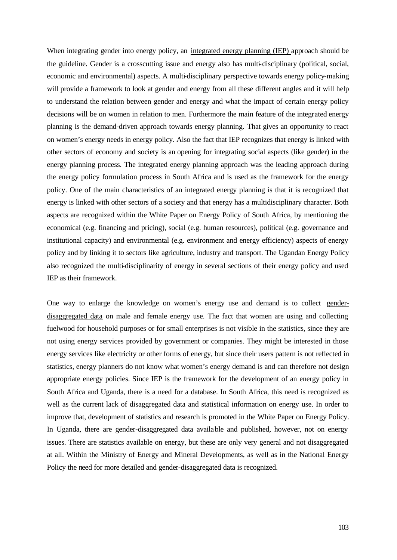When integrating gender into energy policy, an integrated energy planning (IEP) approach should be the guideline. Gender is a crosscutting issue and energy also has multi-disciplinary (political, social, economic and environmental) aspects. A multi-disciplinary perspective towards energy policy-making will provide a framework to look at gender and energy from all these different angles and it will help to understand the relation between gender and energy and what the impact of certain energy policy decisions will be on women in relation to men. Furthermore the main feature of the integrated energy planning is the demand-driven approach towards energy planning. That gives an opportunity to react on women's energy needs in energy policy. Also the fact that IEP recognizes that energy is linked with other sectors of economy and society is an opening for integrating social aspects (like gender) in the energy planning process. The integrated energy planning approach was the leading approach during the energy policy formulation process in South Africa and is used as the framework for the energy policy. One of the main characteristics of an integrated energy planning is that it is recognized that energy is linked with other sectors of a society and that energy has a multidisciplinary character. Both aspects are recognized within the White Paper on Energy Policy of South Africa, by mentioning the economical (e.g. financing and pricing), social (e.g. human resources), political (e.g. governance and institutional capacity) and environmental (e.g. environment and energy efficiency) aspects of energy policy and by linking it to sectors like agriculture, industry and transport. The Ugandan Energy Policy also recognized the multi-disciplinarity of energy in several sections of their energy policy and used IEP as their framework.

One way to enlarge the knowledge on women's energy use and demand is to collect genderdisaggregated data on male and female energy use. The fact that women are using and collecting fuelwood for household purposes or for small enterprises is not visible in the statistics, since they are not using energy services provided by government or companies. They might be interested in those energy services like electricity or other forms of energy, but since their users pattern is not reflected in statistics, energy planners do not know what women's energy demand is and can therefore not design appropriate energy policies. Since IEP is the framework for the development of an energy policy in South Africa and Uganda, there is a need for a database. In South Africa, this need is recognized as well as the current lack of disaggregated data and statistical information on energy use. In order to improve that, development of statistics and research is promoted in the White Paper on Energy Policy. In Uganda, there are gender-disaggregated data available and published, however, not on energy issues. There are statistics available on energy, but these are only very general and not disaggregated at all. Within the Ministry of Energy and Mineral Developments, as well as in the National Energy Policy the need for more detailed and gender-disaggregated data is recognized.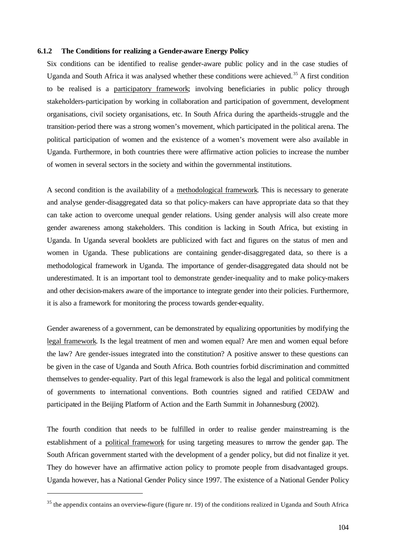## **6.1.2 The Conditions for realizing a Gender-aware Energy Policy**

Six conditions can be identified to realise gender-aware public policy and in the case studies of Uganda and South Africa it was analysed whether these conditions were achieved.<sup>35</sup> A first condition to be realised is a participatory framework; involving beneficiaries in public policy through stakeholders-participation by working in collaboration and participation of government, development organisations, civil society organisations, etc. In South Africa during the apartheids-struggle and the transition-period there was a strong women's movement, which participated in the political arena. The political participation of women and the existence of a women's movement were also available in Uganda. Furthermore, in both countries there were affirmative action policies to increase the number of women in several sectors in the society and within the governmental institutions.

A second condition is the availability of a methodological framework. This is necessary to generate and analyse gender-disaggregated data so that policy-makers can have appropriate data so that they can take action to overcome unequal gender relations. Using gender analysis will also create more gender awareness among stakeholders. This condition is lacking in South Africa, but existing in Uganda. In Uganda several booklets are publicized with fact and figures on the status of men and women in Uganda. These publications are containing gender-disaggregated data, so there is a methodological framework in Uganda. The importance of gender-disaggregated data should not be underestimated. It is an important tool to demonstrate gender-inequality and to make policy-makers and other decision-makers aware of the importance to integrate gender into their policies. Furthermore, it is also a framework for monitoring the process towards gender-equality.

Gender awareness of a government, can be demonstrated by equalizing opportunities by modifying the legal framework. Is the legal treatment of men and women equal? Are men and women equal before the law? Are gender-issues integrated into the constitution? A positive answer to these questions can be given in the case of Uganda and South Africa. Both countries forbid discrimination and committed themselves to gender-equality. Part of this legal framework is also the legal and political commitment of governments to international conventions. Both countries signed and ratified CEDAW and participated in the Beijing Platform of Action and the Earth Summit in Johannesburg (2002).

The fourth condition that needs to be fulfilled in order to realise gender mainstreaming is the establishment of a political framework for using targeting measures to narrow the gender gap. The South African government started with the development of a gender policy, but did not finalize it yet. They do however have an affirmative action policy to promote people from disadvantaged groups. Uganda however, has a National Gender Policy since 1997. The existence of a National Gender Policy

l

<sup>&</sup>lt;sup>35</sup> the appendix contains an overview-figure (figure nr. 19) of the conditions realized in Uganda and South Africa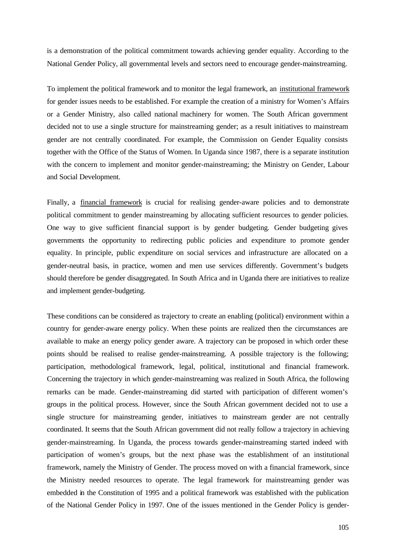is a demonstration of the political commitment towards achieving gender equality. According to the National Gender Policy, all governmental levels and sectors need to encourage gender-mainstreaming.

To implement the political framework and to monitor the legal framework, an institutional framework for gender issues needs to be established. For example the creation of a ministry for Women's Affairs or a Gender Ministry, also called national machinery for women. The South African government decided not to use a single structure for mainstreaming gender; as a result initiatives to mainstream gender are not centrally coordinated. For example, the Commission on Gender Equality consists together with the Office of the Status of Women. In Uganda since 1987, there is a separate institution with the concern to implement and monitor gender-mainstreaming; the Ministry on Gender, Labour and Social Development.

Finally, a financial framework is crucial for realising gender-aware policies and to demonstrate political commitment to gender mainstreaming by allocating sufficient resources to gender policies. One way to give sufficient financial support is by gender budgeting*.* Gender budgeting gives governments the opportunity to redirecting public policies and expenditure to promote gender equality. In principle, public expenditure on social services and infrastructure are allocated on a gender-neutral basis, in practice, women and men use services differently. Government's budgets should therefore be gender disaggregated. In South Africa and in Uganda there are initiatives to realize and implement gender-budgeting.

These conditions can be considered as trajectory to create an enabling (political) environment within a country for gender-aware energy policy. When these points are realized then the circumstances are available to make an energy policy gender aware. A trajectory can be proposed in which order these points should be realised to realise gender-mainstreaming. A possible trajectory is the following; participation, methodological framework, legal, political, institutional and financial framework. Concerning the trajectory in which gender-mainstreaming was realized in South Africa, the following remarks can be made. Gender-mainstreaming did started with participation of different women's groups in the political process. However, since the South African government decided not to use a single structure for mainstreaming gender, initiatives to mainstream gender are not centrally coordinated. It seems that the South African government did not really follow a trajectory in achieving gender-mainstreaming. In Uganda, the process towards gender-mainstreaming started indeed with participation of women's groups, but the next phase was the establishment of an institutional framework, namely the Ministry of Gender. The process moved on with a financial framework, since the Ministry needed resources to operate. The legal framework for mainstreaming gender was embedded in the Constitution of 1995 and a political framework was established with the publication of the National Gender Policy in 1997. One of the issues mentioned in the Gender Policy is gender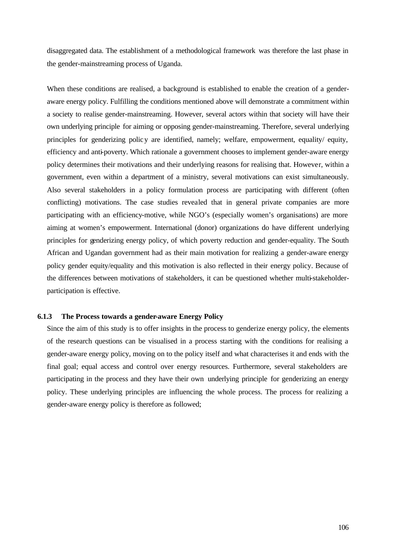disaggregated data. The establishment of a methodological framework was therefore the last phase in the gender-mainstreaming process of Uganda.

When these conditions are realised, a background is established to enable the creation of a genderaware energy policy. Fulfilling the conditions mentioned above will demonstrate a commitment within a society to realise gender-mainstreaming. However, several actors within that society will have their own underlying principle for aiming or opposing gender-mainstreaming. Therefore, several underlying principles for genderizing policy are identified, namely; welfare, empowerment, equality/ equity, efficiency and anti-poverty. Which rationale a government chooses to implement gender-aware energy policy determines their motivations and their underlying reasons for realising that. However, within a government, even within a department of a ministry, several motivations can exist simultaneously. Also several stakeholders in a policy formulation process are participating with different (often conflicting) motivations. The case studies revealed that in general private companies are more participating with an efficiency-motive, while NGO's (especially women's organisations) are more aiming at women's empowerment. International (donor) organizations do have different underlying principles for genderizing energy policy, of which poverty reduction and gender-equality. The South African and Ugandan government had as their main motivation for realizing a gender-aware energy policy gender equity/equality and this motivation is also reflected in their energy policy. Because of the differences between motivations of stakeholders, it can be questioned whether multi-stakeholderparticipation is effective.

# **6.1.3 The Process towards a gender-aware Energy Policy**

Since the aim of this study is to offer insights in the process to genderize energy policy, the elements of the research questions can be visualised in a process starting with the conditions for realising a gender-aware energy policy, moving on to the policy itself and what characterises it and ends with the final goal; equal access and control over energy resources. Furthermore, several stakeholders are participating in the process and they have their own underlying principle for genderizing an energy policy. These underlying principles are influencing the whole process. The process for realizing a gender-aware energy policy is therefore as followed;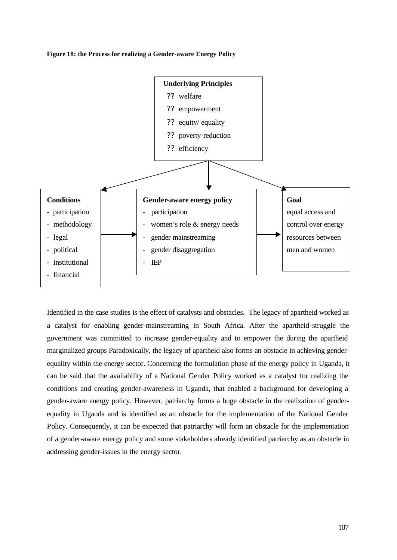

**Figure 18: the Process for realizing a Gender-aware Energy Policy**

Identified in the case studies is the effect of catalysts and obstacles. The legacy of apartheid worked as a catalyst for enabling gender-mainstreaming in South Africa. After the apartheid-struggle the government was committed to increase gender-equality and to empower the during the apartheid marginalized groups Paradoxically, the legacy of apartheid also forms an obstacle in achieving genderequality within the energy sector. Concerning the formulation phase of the energy policy in Uganda, it can be said that the availability of a National Gender Policy worked as a catalyst for realizing the conditions and creating gender-awareness in Uganda, that enabled a background for developing a gender-aware energy policy. However, patriarchy forms a huge obstacle in the realization of genderequality in Uganda and is identified as an obstacle for the implementation of the National Gender Policy. Consequently, it can be expected that patriarchy will form an obstacle for the implementation of a gender-aware energy policy and some stakeholders already identified patriarchy as an obstacle in addressing gender-issues in the energy sector.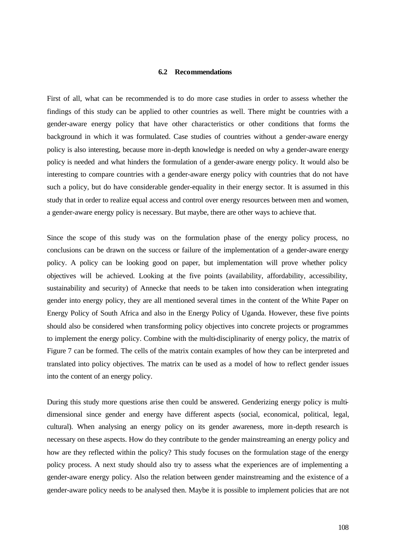#### **6.2 Recommendations**

First of all, what can be recommended is to do more case studies in order to assess whether the findings of this study can be applied to other countries as well. There might be countries with a gender-aware energy policy that have other characteristics or other conditions that forms the background in which it was formulated. Case studies of countries without a gender-aware energy policy is also interesting, because more in-depth knowledge is needed on why a gender-aware energy policy is needed and what hinders the formulation of a gender-aware energy policy. It would also be interesting to compare countries with a gender-aware energy policy with countries that do not have such a policy, but do have considerable gender-equality in their energy sector. It is assumed in this study that in order to realize equal access and control over energy resources between men and women, a gender-aware energy policy is necessary. But maybe, there are other ways to achieve that.

Since the scope of this study was on the formulation phase of the energy policy process, no conclusions can be drawn on the success or failure of the implementation of a gender-aware energy policy. A policy can be looking good on paper, but implementation will prove whether policy objectives will be achieved. Looking at the five points (availability, affordability, accessibility, sustainability and security) of Annecke that needs to be taken into consideration when integrating gender into energy policy, they are all mentioned several times in the content of the White Paper on Energy Policy of South Africa and also in the Energy Policy of Uganda. However, these five points should also be considered when transforming policy objectives into concrete projects or programmes to implement the energy policy. Combine with the multi-disciplinarity of energy policy, the matrix of Figure 7 can be formed. The cells of the matrix contain examples of how they can be interpreted and translated into policy objectives. The matrix can be used as a model of how to reflect gender issues into the content of an energy policy.

During this study more questions arise then could be answered. Genderizing energy policy is multidimensional since gender and energy have different aspects (social, economical, political, legal, cultural). When analysing an energy policy on its gender awareness, more in-depth research is necessary on these aspects. How do they contribute to the gender mainstreaming an energy policy and how are they reflected within the policy? This study focuses on the formulation stage of the energy policy process. A next study should also try to assess what the experiences are of implementing a gender-aware energy policy. Also the relation between gender mainstreaming and the existence of a gender-aware policy needs to be analysed then. Maybe it is possible to implement policies that are not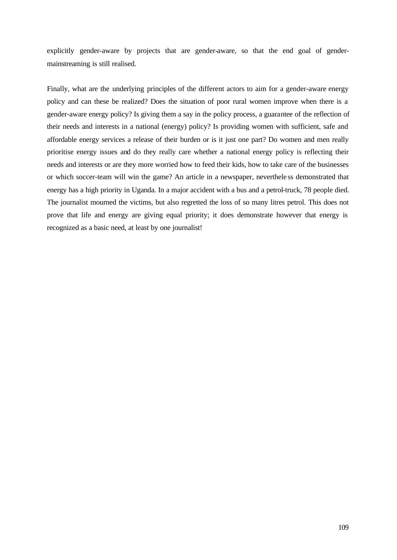explicitly gender-aware by projects that are gender-aware, so that the end goal of gendermainstreaming is still realised.

Finally, what are the underlying principles of the different actors to aim for a gender-aware energy policy and can these be realized? Does the situation of poor rural women improve when there is a gender-aware energy policy? Is giving them a say in the policy process, a guarantee of the reflection of their needs and interests in a national (energy) policy? Is providing women with sufficient, safe and affordable energy services a release of their burden or is it just one part? Do women and men really prioritise energy issues and do they really care whether a national energy policy is reflecting their needs and interests or are they more worried how to feed their kids, how to take care of the businesses or which soccer-team will win the game? An article in a newspaper, neverthele ss demonstrated that energy has a high priority in Uganda. In a major accident with a bus and a petrol-truck, 78 people died. The journalist mourned the victims, but also regretted the loss of so many litres petrol. This does not prove that life and energy are giving equal priority; it does demonstrate however that energy is recognized as a basic need, at least by one journalist!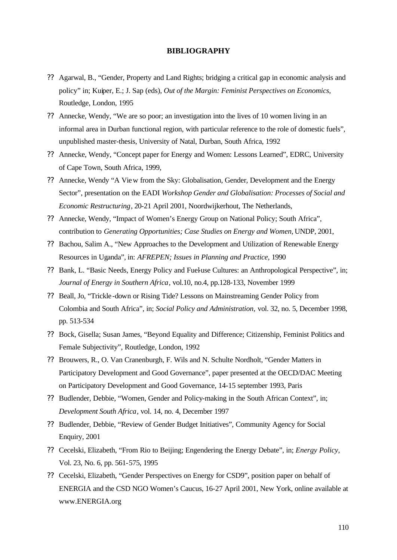# **BIBLIOGRAPHY**

- ?? Agarwal, B., "Gender, Property and Land Rights; bridging a critical gap in economic analysis and policy" in; Kuiper, E.; J. Sap (eds), *Out of the Margin: Feminist Perspectives on Economics*, Routledge, London, 1995
- ?? Annecke, Wendy, "We are so poor; an investigation into the lives of 10 women living in an informal area in Durban functional region, with particular reference to the role of domestic fuels", unpublished master-thesis, University of Natal, Durban, South Africa, 1992
- ?? Annecke, Wendy, "Concept paper for Energy and Women: Lessons Learned", EDRC, University of Cape Town, South Africa, 1999,
- ?? Annecke, Wendy "A View from the Sky: Globalisation, Gender, Development and the Energy Sector", presentation on the EADI *Workshop Gender and Globalisation: Processes of Social and Economic Restructuring*, 20-21 April 2001, Noordwijkerhout, The Netherlands,
- ?? Annecke, Wendy, "Impact of Women's Energy Group on National Policy; South Africa", contribution to *Generating Opportunities; Case Studies on Energy and Women*, UNDP, 2001,
- ?? Bachou, Salim A., "New Approaches to the Development and Utilization of Renewable Energy Resources in Uganda", in: *AFREPEN; Issues in Planning and Practice,* 1990
- ?? Bank, L. "Basic Needs, Energy Policy and Fuel-use Cultures: an Anthropological Perspective", in; *Journal of Energy in Southern Africa*, vol.10, no.4, pp.128-133, November 1999
- ?? Beall, Jo, "Trickle -down or Rising Tide? Lessons on Mainstreaming Gender Policy from Colombia and South Africa", in; *Social Policy and Administration,* vol. 32, no. 5, December 1998, pp. 513-534
- ?? Bock, Gisella; Susan James, "Beyond Equality and Difference; Citizenship, Feminist Politics and Female Subjectivity", Routledge, London, 1992
- ?? Brouwers, R., O. Van Cranenburgh, F. Wils and N. Schulte Nordholt, "Gender Matters in Participatory Development and Good Governance", paper presented at the OECD/DAC Meeting on Participatory Development and Good Governance, 14-15 september 1993, Paris
- ?? Budlender, Debbie, "Women, Gender and Policy-making in the South African Context", in; *Development South Africa*, vol. 14, no. 4, December 1997
- ?? Budlender, Debbie, "Review of Gender Budget Initiatives", Community Agency for Social Enquiry, 2001
- ?? Cecelski, Elizabeth, "From Rio to Beijing; Engendering the Energy Debate", in; *Energy Policy*, Vol. 23, No. 6, pp. 561-575, 1995
- ?? Cecelski, Elizabeth, "Gender Perspectives on Energy for CSD9", position paper on behalf of ENERGIA and the CSD NGO Women's Caucus, 16-27 April 2001, New York, online available at www.ENERGIA.org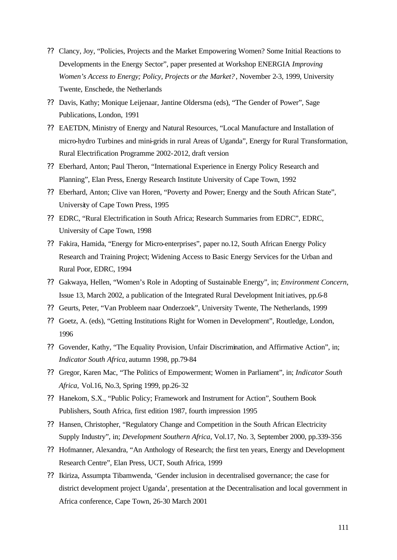- ?? Clancy, Joy, "Policies, Projects and the Market Empowering Women? Some Initial Reactions to Developments in the Energy Sector", paper presented at Workshop ENERGIA *Improving Women's Access to Energy; Policy, Projects or the Market?*, November 2-3, 1999, University Twente, Enschede, the Netherlands
- ?? Davis, Kathy; Monique Leijenaar, Jantine Oldersma (eds), "The Gender of Power", Sage Publications, London, 1991
- ?? EAETDN, Ministry of Energy and Natural Resources, "Local Manufacture and Installation of micro-hydro Turbines and mini-grids in rural Areas of Uganda", Energy for Rural Transformation, Rural Electrification Programme 2002-2012, draft version
- ?? Eberhard, Anton; Paul Theron, "International Experience in Energy Policy Research and Planning", Elan Press, Energy Research Institute University of Cape Town, 1992
- ?? Eberhard, Anton; Clive van Horen, "Poverty and Power; Energy and the South African State", University of Cape Town Press, 1995
- ?? EDRC, "Rural Electrification in South Africa; Research Summaries from EDRC", EDRC, University of Cape Town, 1998
- ?? Fakira, Hamida, "Energy for Micro-enterprises", paper no.12, South African Energy Policy Research and Training Project; Widening Access to Basic Energy Services for the Urban and Rural Poor, EDRC, 1994
- ?? Gakwaya, Hellen, "Women's Role in Adopting of Sustainable Energy", in; *Environment Concern*, Issue 13, March 2002, a publication of the Integrated Rural Development Initiatives, pp.6-8
- ?? Geurts, Peter, "Van Probleem naar Onderzoek", University Twente, The Netherlands, 1999
- ?? Goetz, A. (eds), "Getting Institutions Right for Women in Development", Routledge, London, 1996
- ?? Govender, Kathy, "The Equality Provision, Unfair Discrimination, and Affirmative Action", in; *Indicator South Africa,* autumn 1998, pp.79-84
- ?? Gregor, Karen Mac, "The Politics of Empowerment; Women in Parliament", in; *Indicator South Africa,* Vol.16, No.3, Spring 1999, pp.26-32
- ?? Hanekom, S.X., "Public Policy; Framework and Instrument for Action", Southern Book Publishers, South Africa, first edition 1987, fourth impression 1995
- ?? Hansen, Christopher, "Regulatory Change and Competition in the South African Electricity Supply Industry", in; *Development Southern Africa*, Vol.17, No. 3, September 2000, pp.339-356
- ?? Hofmanner, Alexandra, "An Anthology of Research; the first ten years, Energy and Development Research Centre", Elan Press, UCT, South Africa, 1999
- ?? Ikiriza, Assumpta Tibamwenda, 'Gender inclusion in decentralised governance; the case for district development project Uganda', presentation at the Decentralisation and local government in Africa conference, Cape Town, 26-30 March 2001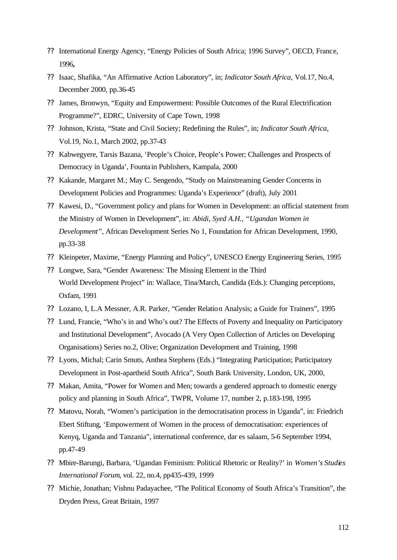- ?? International Energy Agency, "Energy Policies of South Africa; 1996 Survey", OECD, France, 1996**,**
- ?? Isaac, Shafika, "An Affirmative Action Laboratory", in; *Indicator South Africa,* Vol.17, No.4, December 2000, pp.36-45
- ?? James, Bronwyn, "Equity and Empowerment: Possible Outcomes of the Rural Electrification Programme?", EDRC, University of Cape Town, 1998
- ?? Johnson, Krista, "State and Civil Society; Redefining the Rules", in; *Indicator South Africa,* Vol.19, No.1, March 2002, pp.37-43
- ?? Kabwegyere, Tarsis Bazana, 'People's Choice, People's Power; Challenges and Prospects of Democracy in Uganda', Founta in Publishers, Kampala, 2000
- ?? Kakande, Margaret M.; May C. Sengendo, "Study on Mainstreaming Gender Concerns in Development Policies and Programmes: Uganda's Experience" (draft), July 2001
- ?? Kawesi, D., "Government policy and plans for Women in Development: an official statement from the Ministry of Women in Development", in: *Abidi, Syed A.H., "Ugandan Women in Development"*, African Development Series No 1, Foundation for African Development, 1990, pp.33-38
- ?? Kleinpeter, Maxime, "Energy Planning and Policy", UNESCO Energy Engineering Series, 1995
- ?? Longwe, Sara, "Gender Awareness: The Missing Element in the Third World Development Project" in: Wallace, Tina/March, Candida (Eds.): Changing perceptions, Oxfam, 1991
- ?? Lozano, I, L.A Messner, A.R. Parker*,* "Gender Relation Analysis; a Guide for Trainers"*,* 1995
- ?? Lund, Francie, "Who's in and Who's out? The Effects of Poverty and Inequality on Participatory and Institutional Development", Avocado (A Very Open Collection of Articles on Developing Organisations) Series no.2, Olive; Organization Development and Training, 1998
- ?? Lyons, Michal; Carin Smuts, Anthea Stephens (Eds.) "Integrating Participation; Participatory Development in Post-apartheid South Africa", South Bank University, London, UK, 2000,
- ?? Makan, Amita, "Power for Women and Men; towards a gendered approach to domestic energy policy and planning in South Africa", TWPR, Volume 17, number 2, p.183-198, 1995
- ?? Matovu, Norah, "Women's participation in the democratisation process in Uganda", in: Friedrich Ebert Stiftung, 'Empowerment of Women in the process of democratisation: experiences of Kenyq, Uganda and Tanzania", international conference, dar es salaam, 5-6 September 1994, pp.47-49
- ?? Mbire-Barungi, Barbara, 'Ugandan Feminism: Political Rhetoric or Reality?' in *Women's Studies International Forum*, vol. 22, no.4, pp435-439, 1999
- ?? Michie, Jonathan; Vishnu Padayachee, "The Political Economy of South Africa's Transition", the Dryden Press, Great Britain, 1997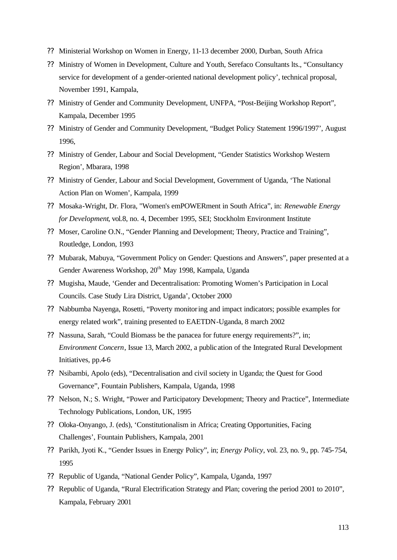- ?? Ministerial Workshop on Women in Energy, 11-13 december 2000, Durban, South Africa
- ?? Ministry of Women in Development, Culture and Youth, Serefaco Consultants lts., "Consultancy service for development of a gender-oriented national development policy', technical proposal, November 1991, Kampala,
- ?? Ministry of Gender and Community Development, UNFPA, "Post-Beijing Workshop Report", Kampala, December 1995
- ?? Ministry of Gender and Community Development, "Budget Policy Statement 1996/1997', August 1996,
- ?? Ministry of Gender, Labour and Social Development, "Gender Statistics Workshop Western Region', Mbarara, 1998
- ?? Ministry of Gender, Labour and Social Development, Government of Uganda, 'The National Action Plan on Women', Kampala, 1999
- ?? Mosaka-Wright, Dr. Flora, "Women's emPOWERment in South Africa", in: *Renewable Energy for Development*, vol.8, no. 4, December 1995, SEI; Stockholm Environment Institute
- ?? Moser, Caroline O.N., "Gender Planning and Development; Theory, Practice and Training", Routledge, London, 1993
- ?? Mubarak, Mabuya, "Government Policy on Gender: Questions and Answers", paper presented at a Gender Awareness Workshop, 20<sup>th</sup> May 1998, Kampala, Uganda
- ?? Mugisha, Maude, 'Gender and Decentralisation: Promoting Women's Participation in Local Councils. Case Study Lira District, Uganda', October 2000
- ?? Nabbumba Nayenga, Rosetti, "Poverty monitoring and impact indicators; possible examples for energy related work", training presented to EAETDN-Uganda, 8 march 2002
- ?? Nassuna, Sarah, "Could Biomass be the panacea for future energy requirements?", in; *Environment Concern*, Issue 13, March 2002, a publication of the Integrated Rural Development Initiatives, pp.4-6
- ?? Nsibambi, Apolo (eds), "Decentralisation and civil society in Uganda; the Quest for Good Governance", Fountain Publishers, Kampala, Uganda, 1998
- ?? Nelson, N.; S. Wright, "Power and Participatory Development; Theory and Practice", Intermediate Technology Publications, London, UK, 1995
- ?? Oloka-Onyango, J. (eds), 'Constitutionalism in Africa; Creating Opportunities, Facing Challenges', Fountain Publishers, Kampala, 2001
- ?? Parikh, Jyoti K., "Gender Issues in Energy Policy", in; *Energy Policy*, vol. 23, no. 9., pp. 745-754, 1995
- ?? Republic of Uganda, "National Gender Policy", Kampala, Uganda, 1997
- ?? Republic of Uganda, "Rural Electrification Strategy and Plan; covering the period 2001 to 2010", Kampala, February 2001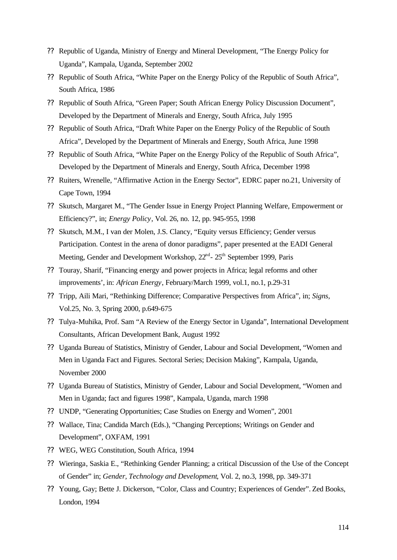- ?? Republic of Uganda, Ministry of Energy and Mineral Development, "The Energy Policy for Uganda", Kampala, Uganda, September 2002
- ?? Republic of South Africa, "White Paper on the Energy Policy of the Republic of South Africa", South Africa, 1986
- ?? Republic of South Africa, "Green Paper; South African Energy Policy Discussion Document", Developed by the Department of Minerals and Energy, South Africa, July 1995
- ?? Republic of South Africa, "Draft White Paper on the Energy Policy of the Republic of South Africa", Developed by the Department of Minerals and Energy, South Africa, June 1998
- ?? Republic of South Africa, "White Paper on the Energy Policy of the Republic of South Africa", Developed by the Department of Minerals and Energy, South Africa, December 1998
- ?? Ruiters, Wrenelle, "Affirmative Action in the Energy Sector", EDRC paper no.21, University of Cape Town, 1994
- ?? Skutsch, Margaret M., "The Gender Issue in Energy Project Planning Welfare, Empowerment or Efficiency?", in; *Energy Policy*, Vol. 26, no. 12, pp. 945-955, 1998
- ?? Skutsch, M.M., I van der Molen, J.S. Clancy, "Equity versus Efficiency; Gender versus Participation. Contest in the arena of donor paradigms", paper presented at the EADI General Meeting, Gender and Development Workshop, 22<sup>nd</sup>- 25<sup>th</sup> September 1999, Paris
- ?? Touray, Sharif, "Financing energy and power projects in Africa; legal reforms and other improvements', in: *African Energy*, February/March 1999, vol.1, no.1, p.29-31
- ?? Tripp, Aili Mari, "Rethinking Difference; Comparative Perspectives from Africa", in; *Signs,*  Vol.25, No. 3, Spring 2000, p.649-675
- ?? Tulya-Muhika, Prof. Sam "A Review of the Energy Sector in Uganda", International Development Consultants, African Development Bank, August 1992
- ?? Uganda Bureau of Statistics, Ministry of Gender, Labour and Social Development, "Women and Men in Uganda Fact and Figures. Sectoral Series; Decision Making", Kampala, Uganda, November 2000
- ?? Uganda Bureau of Statistics, Ministry of Gender, Labour and Social Development, "Women and Men in Uganda; fact and figures 1998", Kampala, Uganda, march 1998
- ?? UNDP, "Generating Opportunities; Case Studies on Energy and Women", 2001
- ?? Wallace, Tina; Candida March (Eds.), "Changing Perceptions; Writings on Gender and Development", OXFAM, 1991
- ?? WEG, WEG Constitution, South Africa, 1994
- ?? Wieringa, Saskia E., "Rethinking Gender Planning; a critical Discussion of the Use of the Concept of Gender" in; *Gender, Technology and Development*, Vol. 2, no.3, 1998, pp. 349-371
- ?? Young, Gay; Bette J. Dickerson, "Color, Class and Country; Experiences of Gender". Zed Books, London, 1994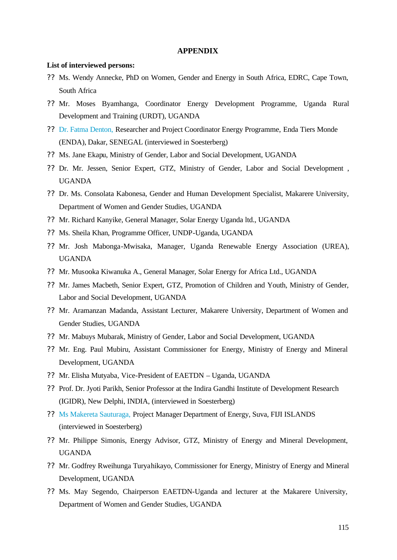## **APPENDIX**

#### **List of interviewed persons:**

- ?? Ms. Wendy Annecke, PhD on Women, Gender and Energy in South Africa, EDRC, Cape Town, South Africa
- ?? Mr. Moses Byamhanga, Coordinator Energy Development Programme, Uganda Rural Development and Training (URDT), UGANDA
- ?? Dr. Fatma Denton, Researcher and Project Coordinator Energy Programme, Enda Tiers Monde (ENDA), Dakar, SENEGAL (interviewed in Soesterberg)
- ?? Ms. Jane Ekapu, Ministry of Gender, Labor and Social Development, UGANDA
- ?? Dr. Mr. Jessen, Senior Expert, GTZ, Ministry of Gender, Labor and Social Development , UGANDA
- ?? Dr. Ms. Consolata Kabonesa, Gender and Human Development Specialist, Makarere University, Department of Women and Gender Studies, UGANDA
- ?? Mr. Richard Kanyike, General Manager, Solar Energy Uganda ltd., UGANDA
- ?? Ms. Sheila Khan, Programme Officer, UNDP-Uganda, UGANDA
- ?? Mr. Josh Mabonga-Mwisaka, Manager, Uganda Renewable Energy Association (UREA), UGANDA
- ?? Mr. Musooka Kiwanuka A., General Manager, Solar Energy for Africa Ltd., UGANDA
- ?? Mr. James Macbeth, Senior Expert, GTZ, Promotion of Children and Youth, Ministry of Gender, Labor and Social Development, UGANDA
- ?? Mr. Aramanzan Madanda, Assistant Lecturer, Makarere University, Department of Women and Gender Studies, UGANDA
- ?? Mr. Mabuys Mubarak, Ministry of Gender, Labor and Social Development, UGANDA
- ?? Mr. Eng. Paul Mubiru, Assistant Commissioner for Energy, Ministry of Energy and Mineral Development, UGANDA
- ?? Mr. Elisha Mutyaba, Vice-President of EAETDN Uganda, UGANDA
- ?? Prof. Dr. Jyoti Parikh, Senior Professor at the Indira Gandhi Institute of Development Research (IGIDR), New Delphi, INDIA, (interviewed in Soesterberg)
- ?? Ms Makereta Sauturaga, Project Manager Department of Energy, Suva, FIJI ISLANDS (interviewed in Soesterberg)
- ?? Mr. Philippe Simonis, Energy Advisor, GTZ, Ministry of Energy and Mineral Development, UGANDA
- ?? Mr. Godfrey Rweihunga Turyahikayo, Commissioner for Energy, Ministry of Energy and Mineral Development, UGANDA
- ?? Ms. May Segendo, Chairperson EAETDN-Uganda and lecturer at the Makarere University, Department of Women and Gender Studies, UGANDA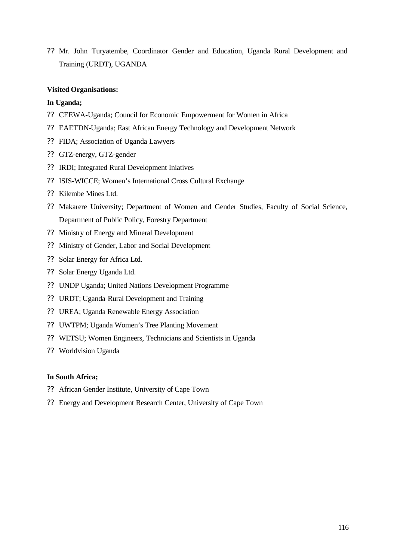?? Mr. John Turyatembe, Coordinator Gender and Education, Uganda Rural Development and Training (URDT), UGANDA

## **Visited Organisations:**

### **In Uganda;**

- ?? CEEWA-Uganda; Council for Economic Empowerment for Women in Africa
- ?? EAETDN-Uganda; East African Energy Technology and Development Network
- ?? FIDA; Association of Uganda Lawyers
- ?? GTZ-energy, GTZ-gender
- ?? IRDI; Integrated Rural Development Iniatives
- ?? ISIS-WICCE; Women's International Cross Cultural Exchange
- ?? Kilembe Mines Ltd.
- ?? Makarere University; Department of Women and Gender Studies, Faculty of Social Science, Department of Public Policy, Forestry Department
- ?? Ministry of Energy and Mineral Development
- ?? Ministry of Gender, Labor and Social Development
- ?? Solar Energy for Africa Ltd.
- ?? Solar Energy Uganda Ltd.
- ?? UNDP Uganda; United Nations Development Programme
- ?? URDT; Uganda Rural Development and Training
- ?? UREA; Uganda Renewable Energy Association
- ?? UWTPM; Uganda Women's Tree Planting Movement
- ?? WETSU; Women Engineers, Technicians and Scientists in Uganda
- ?? Worldvision Uganda

# **In South Africa;**

- ?? African Gender Institute, University of Cape Town
- ?? Energy and Development Research Center, University of Cape Town